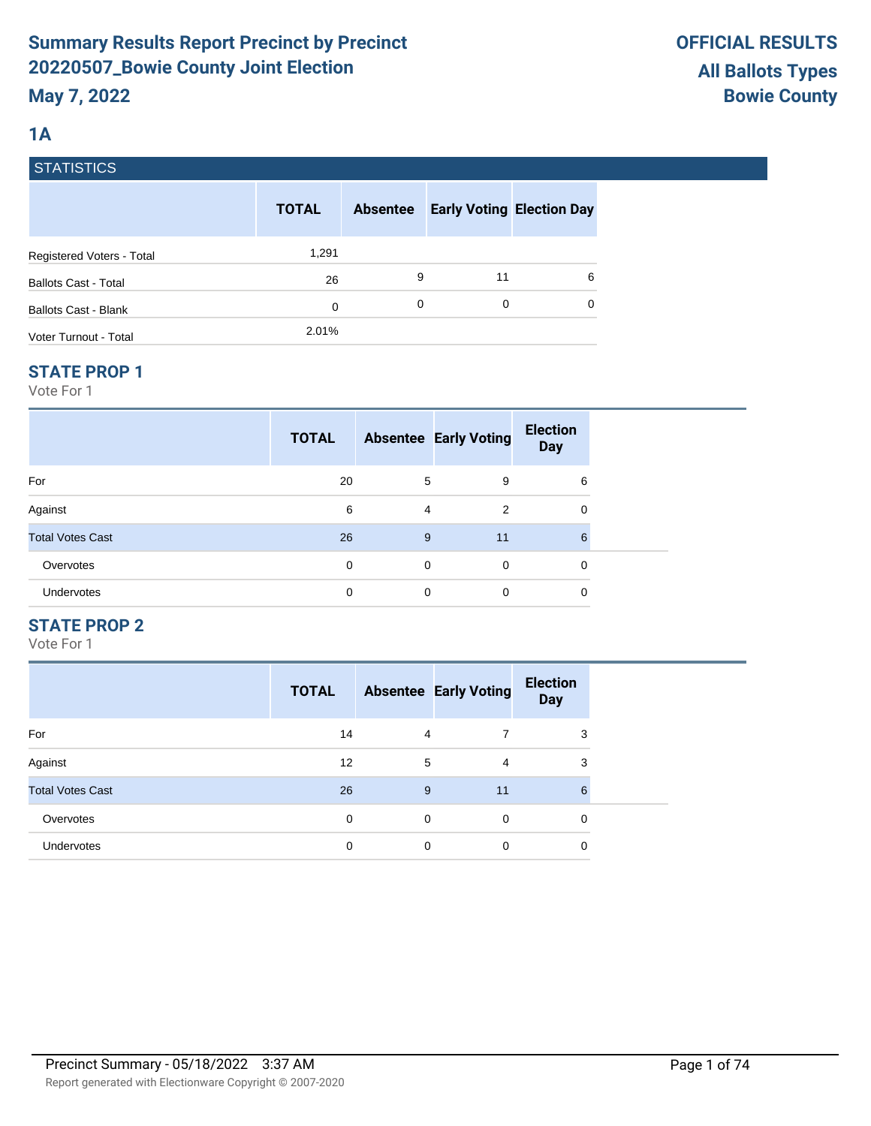# **1A**

| <b>STATISTICS</b> |  |
|-------------------|--|
|                   |  |

|                             | <b>TOTAL</b> | <b>Absentee</b> |    | <b>Early Voting Election Day</b> |
|-----------------------------|--------------|-----------------|----|----------------------------------|
| Registered Voters - Total   | 1,291        |                 |    |                                  |
| <b>Ballots Cast - Total</b> | 26           | 9               | 11 | 6                                |
| <b>Ballots Cast - Blank</b> | 0            | 0               | 0  | 0                                |
| Voter Turnout - Total       | 2.01%        |                 |    |                                  |

## **STATE PROP 1**

Vote For 1

| <b>TOTAL</b> |    | <b>Election</b><br><b>Day</b> |                              |
|--------------|----|-------------------------------|------------------------------|
| 20           | 9  | 6                             |                              |
| 6            | 2  | 0                             |                              |
| 26           | 11 | 6                             |                              |
| 0            | 0  | 0                             |                              |
| 0            | 0  | 0                             |                              |
|              |    | 5<br>4<br>9<br>$\Omega$<br>0  | <b>Absentee Early Voting</b> |

# **STATE PROP 2**

|                         | <b>TOTAL</b> |   | <b>Absentee Early Voting</b> | <b>Election</b><br><b>Day</b> |
|-------------------------|--------------|---|------------------------------|-------------------------------|
| For                     | 14           | 4 |                              | 3                             |
| Against                 | 12           | 5 | 4                            | 3                             |
| <b>Total Votes Cast</b> | 26           | 9 | 11                           | 6                             |
| Overvotes               | $\Omega$     | 0 | $\Omega$                     | 0                             |
| <b>Undervotes</b>       | 0            | 0 | $\mathbf 0$                  | 0                             |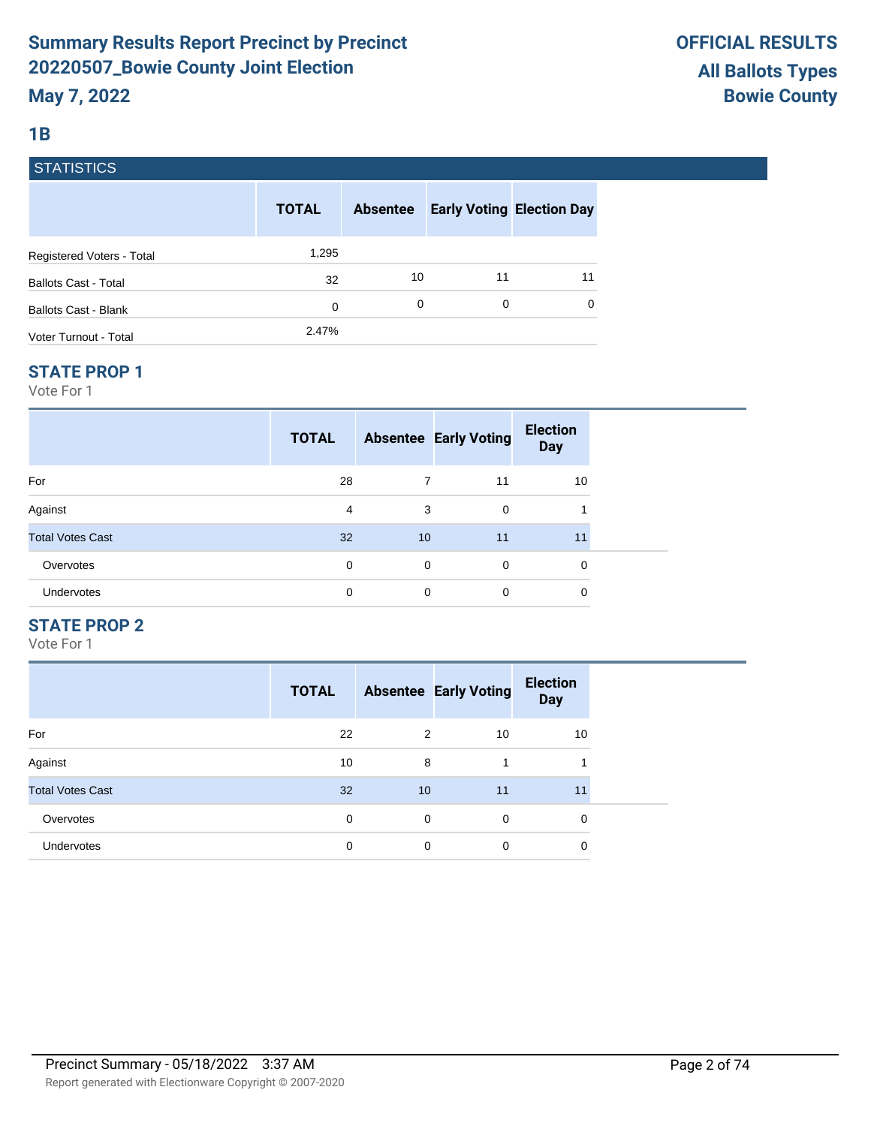# **1B**

|  | <b>STATISTICS</b> |  |
|--|-------------------|--|
|  |                   |  |

|                             | <b>TOTAL</b> | <b>Absentee</b> |    | <b>Early Voting Election Day</b> |
|-----------------------------|--------------|-----------------|----|----------------------------------|
| Registered Voters - Total   | 1,295        |                 |    |                                  |
| <b>Ballots Cast - Total</b> | 32           | 10              | 11 | 11                               |
| <b>Ballots Cast - Blank</b> | 0            | 0               | 0  | 0                                |
| Voter Turnout - Total       | 2.47%        |                 |    |                                  |

## **STATE PROP 1**

Vote For 1

|                         | <b>TOTAL</b> |    | <b>Absentee Early Voting</b> | <b>Election</b><br><b>Day</b> |  |
|-------------------------|--------------|----|------------------------------|-------------------------------|--|
| For                     | 28           | 7  | 11                           | 10                            |  |
| Against                 | 4            | 3  | $\Omega$                     |                               |  |
| <b>Total Votes Cast</b> | 32           | 10 | 11                           | 11                            |  |
| Overvotes               | 0            | 0  | $\Omega$                     | 0                             |  |
| Undervotes              | 0            | 0  | $\mathbf 0$                  | 0                             |  |

# **STATE PROP 2**

|                         | <b>TOTAL</b> |    | <b>Absentee Early Voting</b> | <b>Election</b><br><b>Day</b> |
|-------------------------|--------------|----|------------------------------|-------------------------------|
| For                     | 22           | 2  | 10                           | 10                            |
| Against                 | 10           | 8  | 1                            |                               |
| <b>Total Votes Cast</b> | 32           | 10 | 11                           | 11                            |
| Overvotes               | 0            | 0  | $\Omega$                     | 0                             |
| Undervotes              | 0            | 0  | 0                            | 0                             |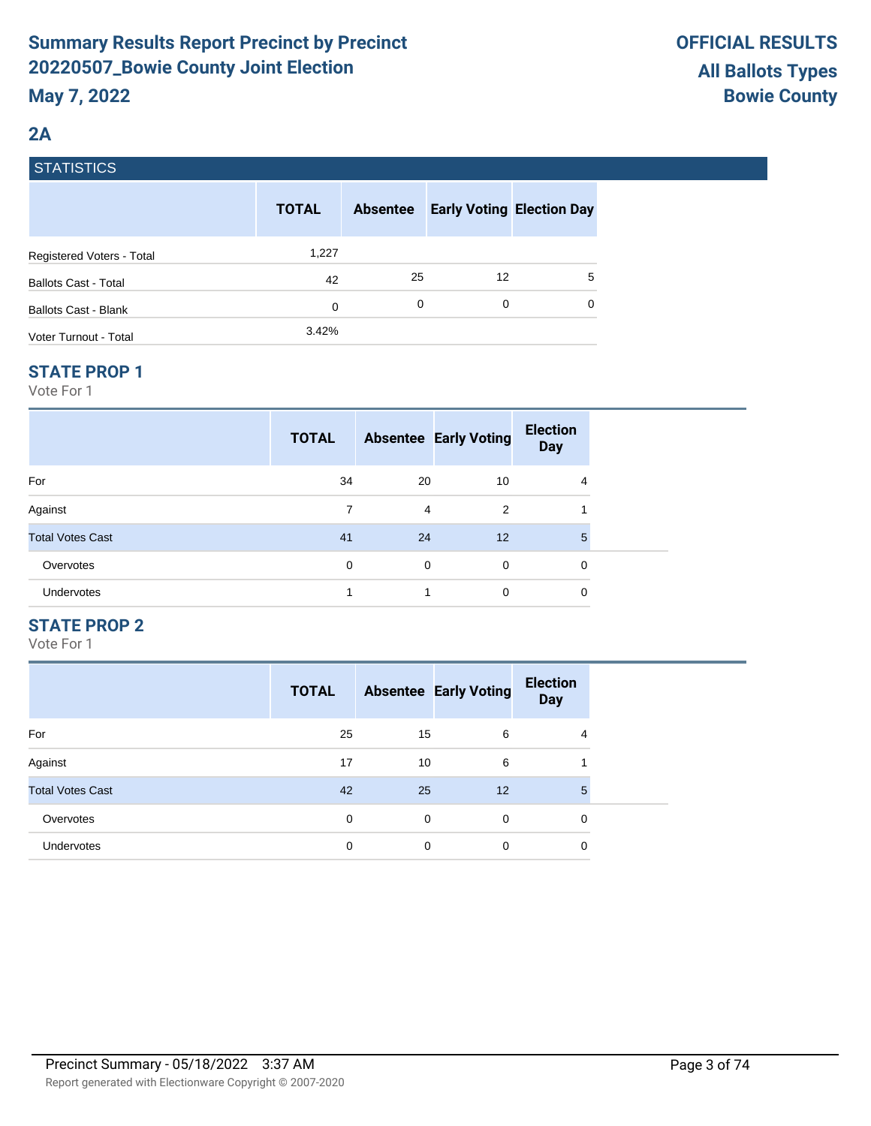# **2A**

|  | <b>STATISTICS</b> |
|--|-------------------|
|  |                   |

|                             | <b>TOTAL</b> | <b>Absentee</b> | <b>Early Voting Election Day</b> |   |
|-----------------------------|--------------|-----------------|----------------------------------|---|
| Registered Voters - Total   | 1,227        |                 |                                  |   |
| <b>Ballots Cast - Total</b> | 42           | 25              | 12                               | 5 |
| <b>Ballots Cast - Blank</b> | 0            | 0               | 0                                | 0 |
| Voter Turnout - Total       | 3.42%        |                 |                                  |   |

## **STATE PROP 1**

Vote For 1

|                         | <b>TOTAL</b> |    | <b>Absentee Early Voting</b> | <b>Election</b><br><b>Day</b> |  |
|-------------------------|--------------|----|------------------------------|-------------------------------|--|
| For                     | 34           | 20 | 10                           | 4                             |  |
| Against                 | 7            | 4  | 2                            |                               |  |
| <b>Total Votes Cast</b> | 41           | 24 | 12                           | 5                             |  |
| Overvotes               | $\Omega$     | 0  | $\Omega$                     | 0                             |  |
| Undervotes              | 4            | 1  | $\mathbf 0$                  | 0                             |  |

# **STATE PROP 2**

|                         | <b>TOTAL</b> |    | <b>Absentee Early Voting</b> | <b>Election</b><br><b>Day</b> |
|-------------------------|--------------|----|------------------------------|-------------------------------|
| For                     | 25           | 15 | 6                            | 4                             |
| Against                 | 17           | 10 | 6                            |                               |
| <b>Total Votes Cast</b> | 42           | 25 | 12                           | 5                             |
| Overvotes               | 0            | 0  | $\Omega$                     | 0                             |
| Undervotes              | 0            | 0  | 0                            | 0                             |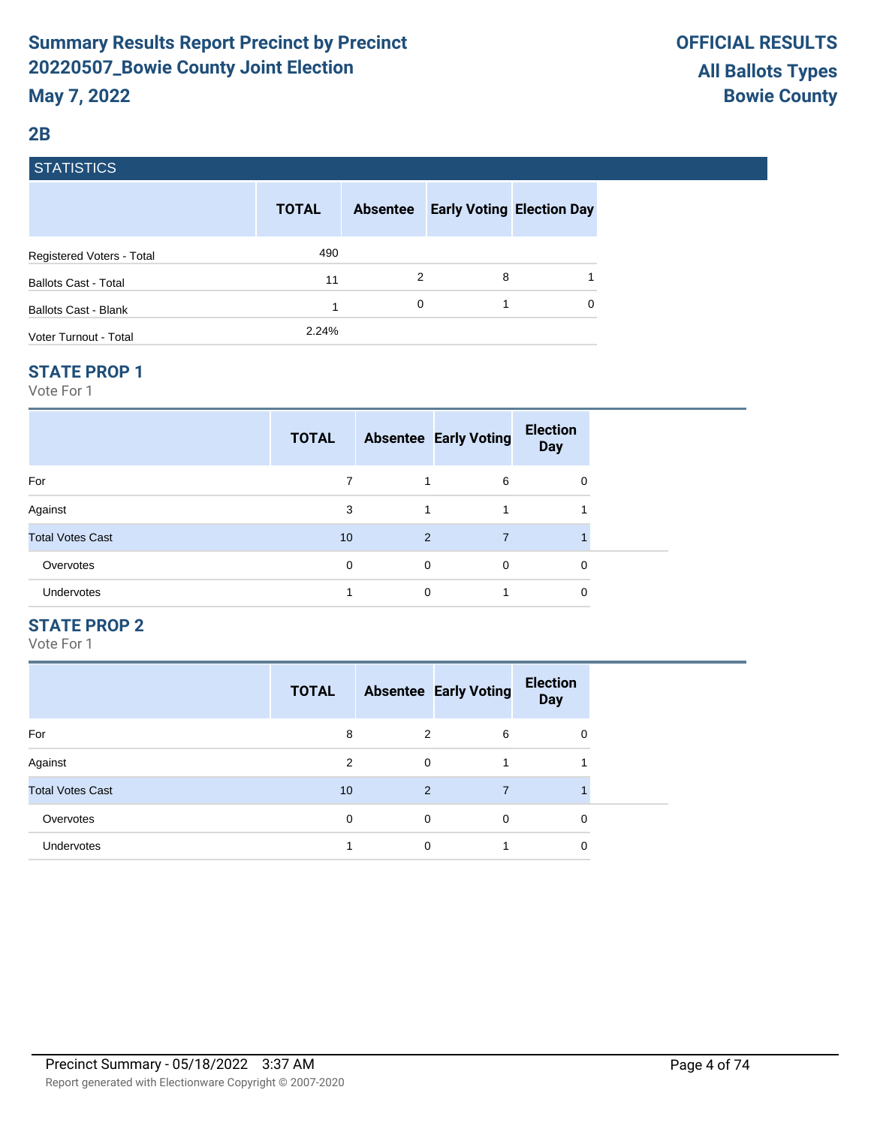## **2B**

# **STATISTICS**

|                             | <b>TOTAL</b> | <b>Absentee</b> | <b>Early Voting Election Day</b> |          |
|-----------------------------|--------------|-----------------|----------------------------------|----------|
| Registered Voters - Total   | 490          |                 |                                  |          |
| <b>Ballots Cast - Total</b> | 11           | 2               | 8                                |          |
| <b>Ballots Cast - Blank</b> |              | 0               |                                  | $\Omega$ |
| Voter Turnout - Total       | 2.24%        |                 |                                  |          |

#### **STATE PROP 1**

Vote For 1

|                         | <b>TOTAL</b> |                | <b>Absentee Early Voting</b> | <b>Election</b><br><b>Day</b> |  |
|-------------------------|--------------|----------------|------------------------------|-------------------------------|--|
| For                     |              |                | 6                            | 0                             |  |
| Against                 | 3            | 1              |                              |                               |  |
| <b>Total Votes Cast</b> | 10           | $\overline{2}$ |                              |                               |  |
| Overvotes               | $\Omega$     | $\mathbf 0$    | $\mathbf 0$                  | 0                             |  |
| Undervotes              |              | 0              |                              | 0                             |  |

# **STATE PROP 2**

|                         | <b>TOTAL</b> |   | <b>Absentee Early Voting</b> | <b>Election</b><br><b>Day</b> |
|-------------------------|--------------|---|------------------------------|-------------------------------|
| For                     | 8            | 2 | 6                            | 0                             |
| Against                 | 2            | 0 |                              |                               |
| <b>Total Votes Cast</b> | 10           | 2 | 7                            |                               |
| Overvotes               | 0            | 0 | $\Omega$                     | 0                             |
| Undervotes              |              | 0 |                              | 0                             |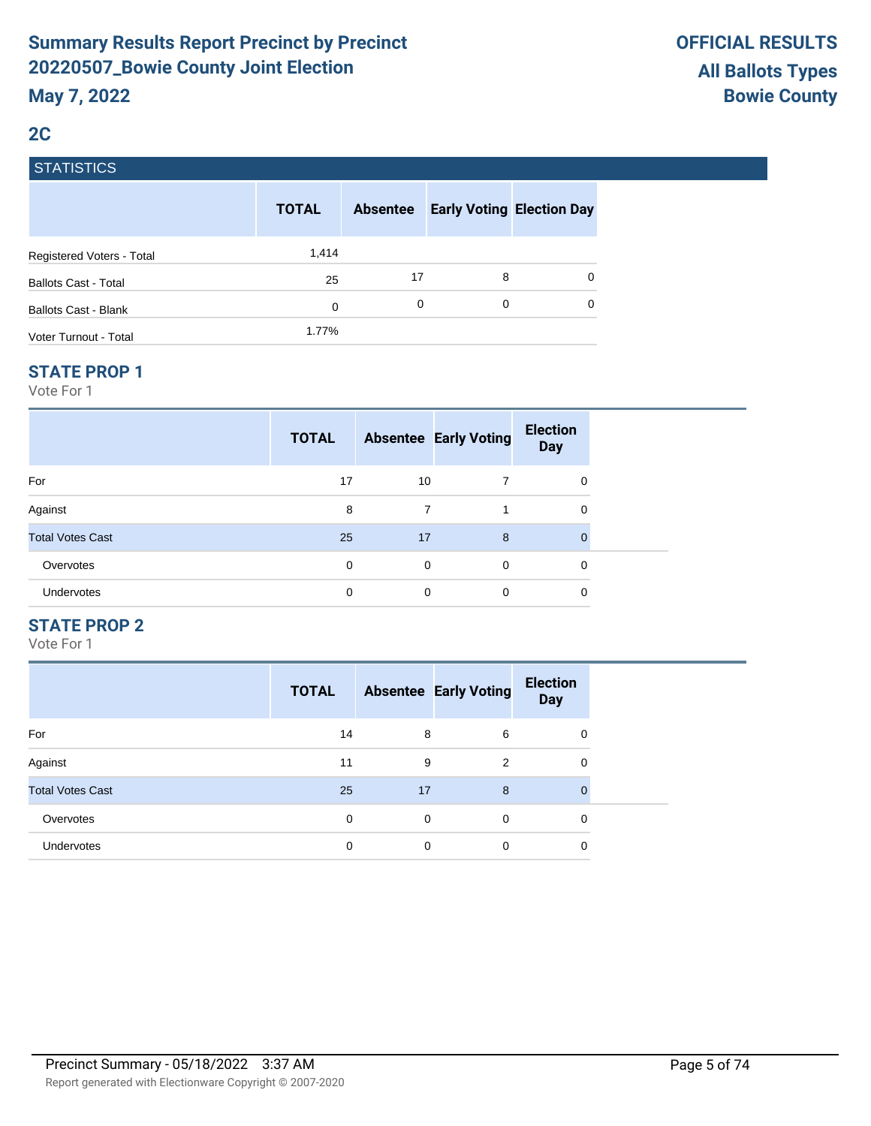# **2C**

# **STATISTICS**

|                             | <b>TOTAL</b> | <b>Absentee</b> |   | <b>Early Voting Election Day</b> |
|-----------------------------|--------------|-----------------|---|----------------------------------|
| Registered Voters - Total   | 1,414        |                 |   |                                  |
| <b>Ballots Cast - Total</b> | 25           | 17              | 8 | 0                                |
| <b>Ballots Cast - Blank</b> | 0            | 0               | 0 | 0                                |
| Voter Turnout - Total       | 1.77%        |                 |   |                                  |

#### **STATE PROP 1**

Vote For 1

|                         | <b>TOTAL</b> |    | <b>Absentee Early Voting</b> | <b>Election</b><br><b>Day</b> |  |
|-------------------------|--------------|----|------------------------------|-------------------------------|--|
| For                     | 17           | 10 | 7                            | 0                             |  |
| Against                 | 8            | 7  |                              | 0                             |  |
| <b>Total Votes Cast</b> | 25           | 17 | 8                            | $\Omega$                      |  |
| Overvotes               | 0            | 0  | 0                            | 0                             |  |
| Undervotes              | 0            | 0  | 0                            | 0                             |  |

# **STATE PROP 2**

|                         | <b>TOTAL</b> |    | <b>Absentee Early Voting</b> | <b>Election</b><br><b>Day</b> |
|-------------------------|--------------|----|------------------------------|-------------------------------|
| For                     | 14           | 8  | 6                            | 0                             |
| Against                 | 11           | 9  | 2                            | 0                             |
| <b>Total Votes Cast</b> | 25           | 17 | 8                            | 0                             |
| Overvotes               | 0            | 0  | $\Omega$                     | 0                             |
| <b>Undervotes</b>       | 0            | 0  | 0                            | 0                             |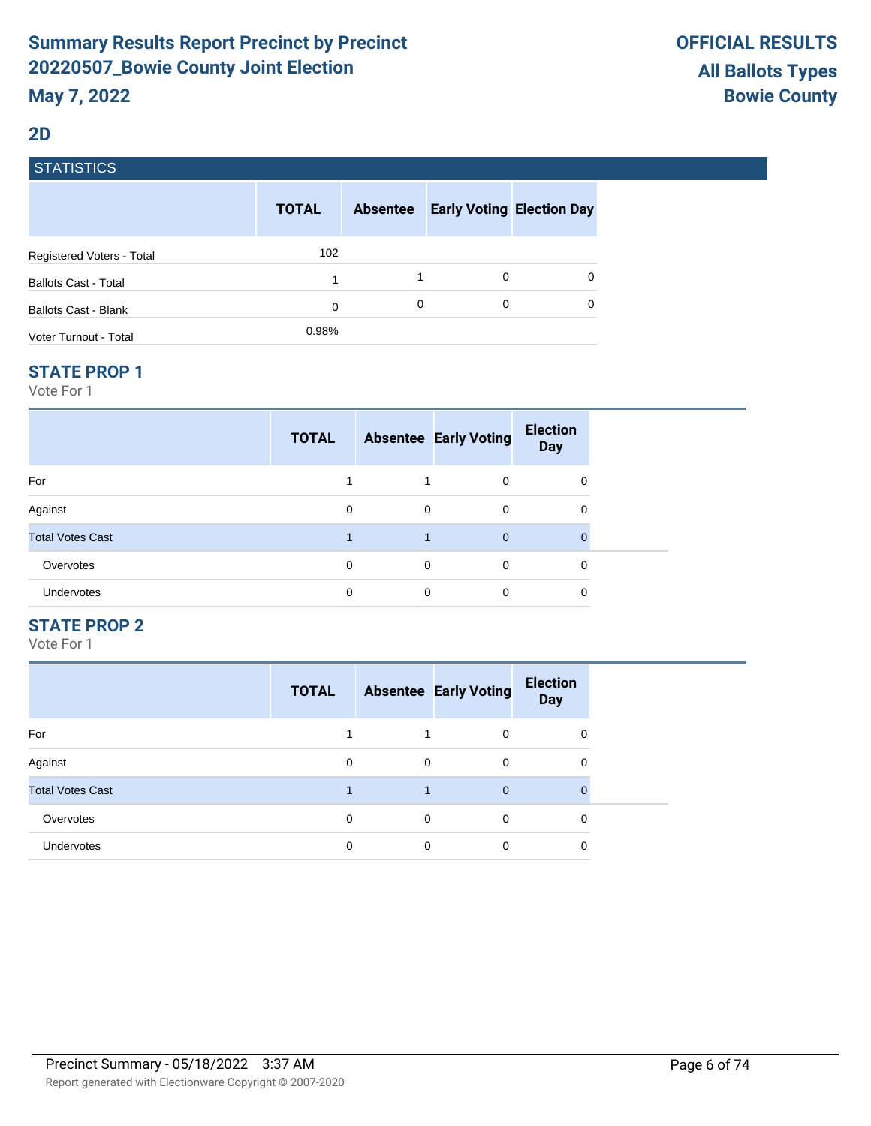#### **2D**

# **STATISTICS**

|                             | <b>TOTAL</b> | <b>Absentee</b> |   | <b>Early Voting Election Day</b> |
|-----------------------------|--------------|-----------------|---|----------------------------------|
| Registered Voters - Total   | 102          |                 |   |                                  |
| <b>Ballots Cast - Total</b> | 1            |                 | 0 | 0                                |
| Ballots Cast - Blank        | 0            | 0               | 0 | $\Omega$                         |
| Voter Turnout - Total       | 0.98%        |                 |   |                                  |

#### **STATE PROP 1**

Vote For 1

|                         | <b>TOTAL</b> |             | <b>Absentee Early Voting</b> | <b>Election</b><br><b>Day</b> |  |
|-------------------------|--------------|-------------|------------------------------|-------------------------------|--|
| For                     |              |             | $\Omega$                     | 0                             |  |
| Against                 | 0            | $\mathbf 0$ | 0                            | 0                             |  |
| <b>Total Votes Cast</b> |              |             | $\overline{0}$               | $\mathbf{0}$                  |  |
| Overvotes               | 0            | $\mathbf 0$ | $\Omega$                     | 0                             |  |
| Undervotes              | 0            | 0           | $\Omega$                     | 0                             |  |

# **STATE PROP 2**

|                         | <b>TOTAL</b> |              | <b>Absentee Early Voting</b> | <b>Election</b><br><b>Day</b> |
|-------------------------|--------------|--------------|------------------------------|-------------------------------|
| For                     |              |              | $\Omega$                     | 0                             |
| Against                 | $\Omega$     | $\mathbf 0$  | $\Omega$                     | 0                             |
| <b>Total Votes Cast</b> |              | $\mathbf{1}$ | $\overline{0}$               | $\Omega$                      |
| Overvotes               | $\Omega$     | $\mathbf 0$  | $\Omega$                     | $\Omega$                      |
| <b>Undervotes</b>       | 0            | $\Omega$     | $\Omega$                     | 0                             |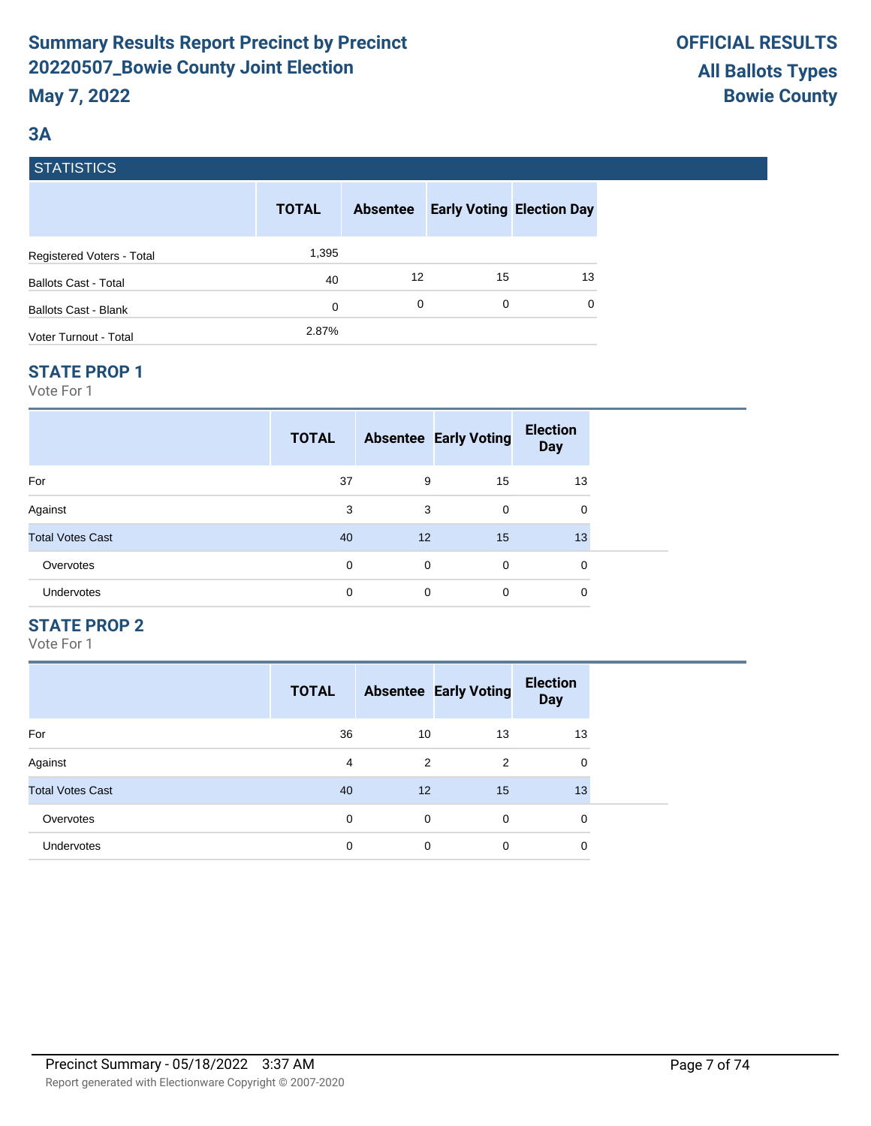# **3A**

# **STATISTICS**

|                             | <b>TOTAL</b> | <b>Absentee</b> | <b>Early Voting Election Day</b> |    |
|-----------------------------|--------------|-----------------|----------------------------------|----|
| Registered Voters - Total   | 1,395        |                 |                                  |    |
| <b>Ballots Cast - Total</b> | 40           | 12              | 15                               | 13 |
| Ballots Cast - Blank        | 0            | 0               | 0                                | 0  |
| Voter Turnout - Total       | 2.87%        |                 |                                  |    |

## **STATE PROP 1**

Vote For 1

|                         | <b>TOTAL</b> |                   | <b>Absentee Early Voting</b> | <b>Election</b><br><b>Day</b> |  |
|-------------------------|--------------|-------------------|------------------------------|-------------------------------|--|
| For                     | 37           | 9                 | 15                           | 13                            |  |
| Against                 | 3            | 3                 | 0                            | 0                             |  |
| <b>Total Votes Cast</b> | 40           | $12 \overline{ }$ | 15                           | 13                            |  |
| Overvotes               | 0            | $\mathbf 0$       | 0                            | 0                             |  |
| Undervotes              | 0            | 0                 | 0                            | 0                             |  |

# **STATE PROP 2**

|                         | <b>TOTAL</b> |                | <b>Absentee Early Voting</b> | <b>Election</b><br><b>Day</b> |
|-------------------------|--------------|----------------|------------------------------|-------------------------------|
| For                     | 36           | 10             | 13                           | 13                            |
| Against                 | 4            | $\overline{2}$ | 2                            | 0                             |
| <b>Total Votes Cast</b> | 40           | 12             | 15                           | 13                            |
| Overvotes               | $\Omega$     | $\mathbf 0$    | $\Omega$                     | 0                             |
| <b>Undervotes</b>       | 0            | 0              | 0                            | 0                             |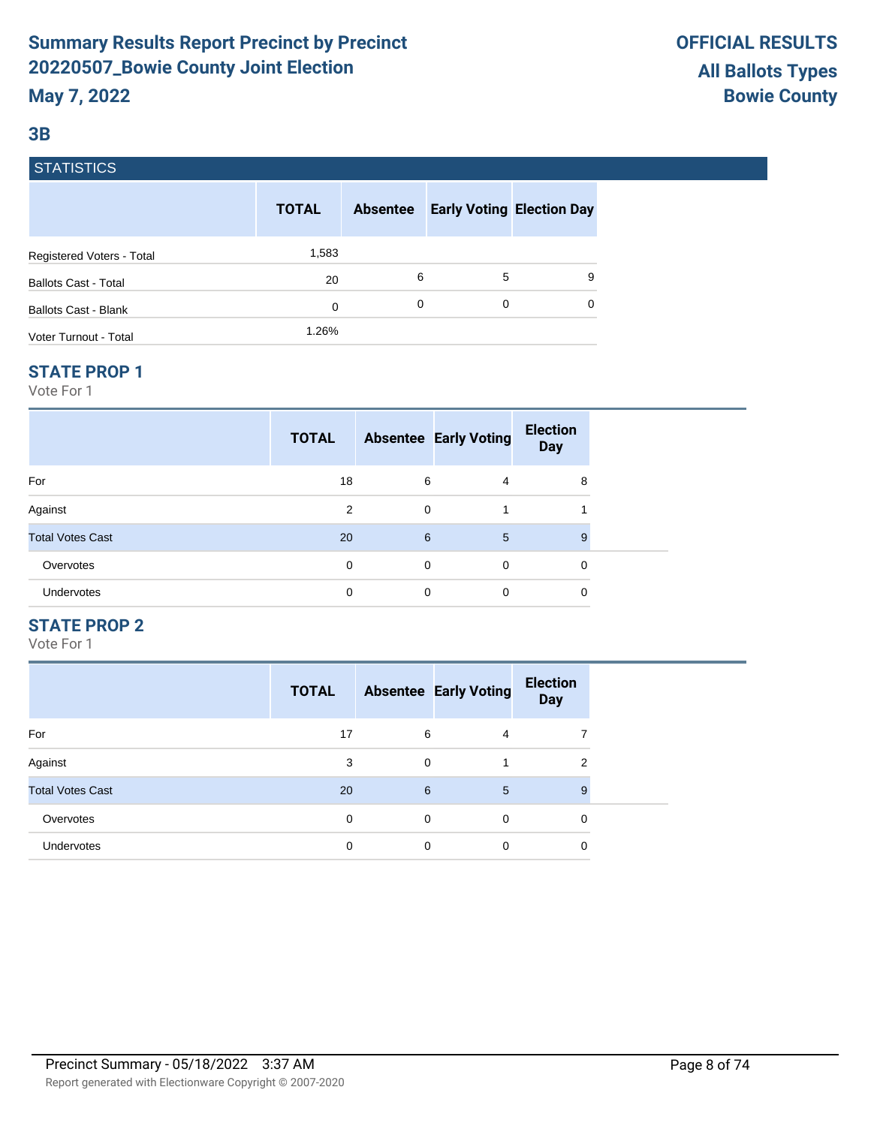# **3B**

# **STATISTICS**

|                             | <b>TOTAL</b> | <b>Absentee</b> |   | <b>Early Voting Election Day</b> |
|-----------------------------|--------------|-----------------|---|----------------------------------|
| Registered Voters - Total   | 1,583        |                 |   |                                  |
| <b>Ballots Cast - Total</b> | 20           | 6               | 5 | 9                                |
| <b>Ballots Cast - Blank</b> | 0            | 0               | 0 | 0                                |
| Voter Turnout - Total       | 1.26%        |                 |   |                                  |

#### **STATE PROP 1**

Vote For 1

|                         | <b>TOTAL</b> |             | <b>Absentee Early Voting</b> | <b>Election</b><br><b>Day</b> |  |
|-------------------------|--------------|-------------|------------------------------|-------------------------------|--|
| For                     | 18           | 6           | 4                            | 8                             |  |
| Against                 | 2            | $\mathbf 0$ | 1                            |                               |  |
| <b>Total Votes Cast</b> | 20           | 6           | 5                            | 9                             |  |
| Overvotes               | 0            | $\mathbf 0$ | $\mathbf 0$                  | 0                             |  |
| Undervotes              | 0            | 0           | $\Omega$                     | 0                             |  |

# **STATE PROP 2**

|                         | <b>TOTAL</b> |   | <b>Absentee Early Voting</b> | <b>Election</b><br><b>Day</b> |
|-------------------------|--------------|---|------------------------------|-------------------------------|
| For                     | 17           | 6 | 4                            |                               |
| Against                 | 3            | 0 |                              | 2                             |
| <b>Total Votes Cast</b> | 20           | 6 | 5                            | 9                             |
| Overvotes               | 0            | 0 | $\mathbf 0$                  | 0                             |
| <b>Undervotes</b>       | 0            | 0 | 0                            | 0                             |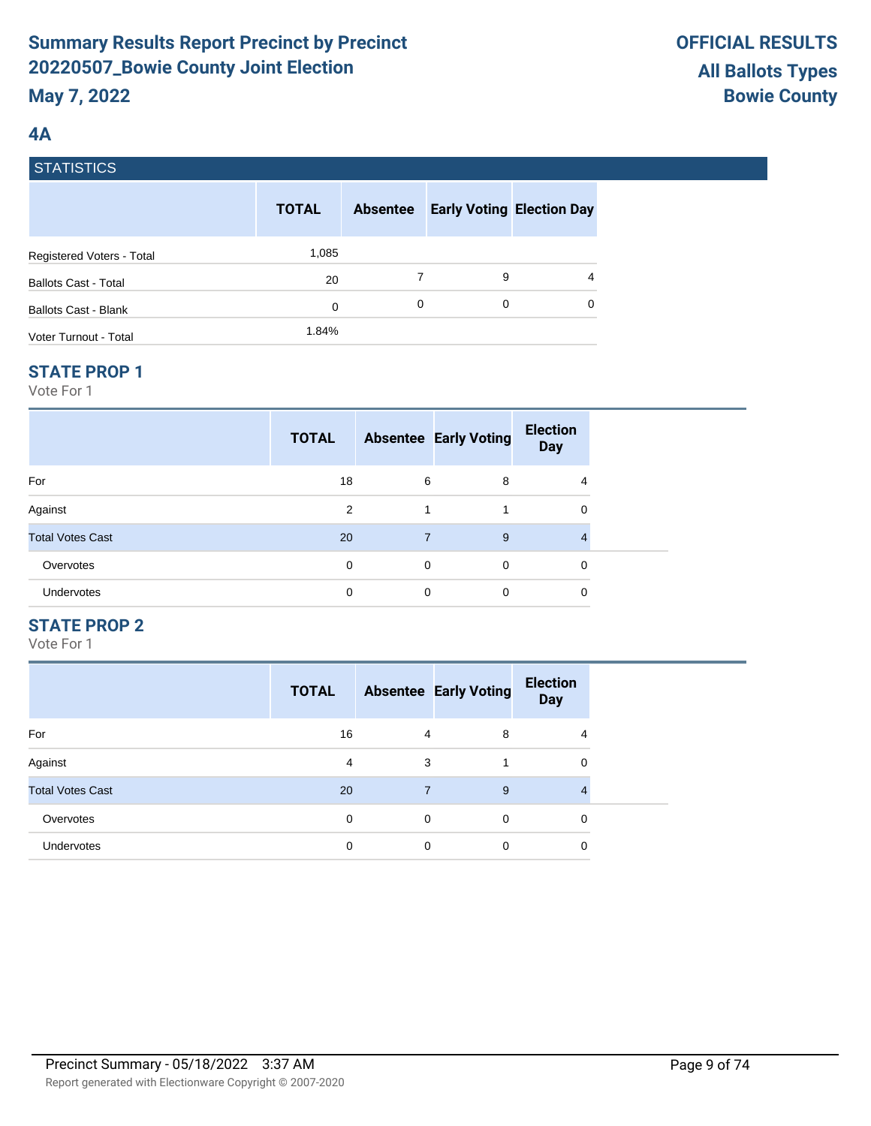# **4A**

# **STATISTICS**

|                             | <b>TOTAL</b> | <b>Absentee</b> |   | <b>Early Voting Election Day</b> |
|-----------------------------|--------------|-----------------|---|----------------------------------|
| Registered Voters - Total   | 1,085        |                 |   |                                  |
| <b>Ballots Cast - Total</b> | 20           |                 | 9 | 4                                |
| <b>Ballots Cast - Blank</b> | 0            | 0               | 0 | $\Omega$                         |
| Voter Turnout - Total       | 1.84%        |                 |   |                                  |

#### **STATE PROP 1**

Vote For 1

|                         | <b>TOTAL</b> |             | <b>Absentee Early Voting</b> | <b>Election</b><br><b>Day</b> |  |
|-------------------------|--------------|-------------|------------------------------|-------------------------------|--|
| For                     | 18           | 6           | 8                            | 4                             |  |
| Against                 | 2            | 1           |                              | 0                             |  |
| <b>Total Votes Cast</b> | 20           | 7           | 9                            | 4                             |  |
| Overvotes               | 0            | $\mathbf 0$ | $\Omega$                     | 0                             |  |
| Undervotes              | 0            | 0           | $\mathbf 0$                  | 0                             |  |

# **STATE PROP 2**

|                         | <b>TOTAL</b> |   | <b>Absentee Early Voting</b> | <b>Election</b><br><b>Day</b> |
|-------------------------|--------------|---|------------------------------|-------------------------------|
| For                     | 16           | 4 | 8                            | 4                             |
| Against                 | 4            | 3 |                              | 0                             |
| <b>Total Votes Cast</b> | 20           | 7 | 9                            |                               |
| Overvotes               | 0            | 0 | $\Omega$                     | 0                             |
| <b>Undervotes</b>       | 0            | 0 | 0                            | 0                             |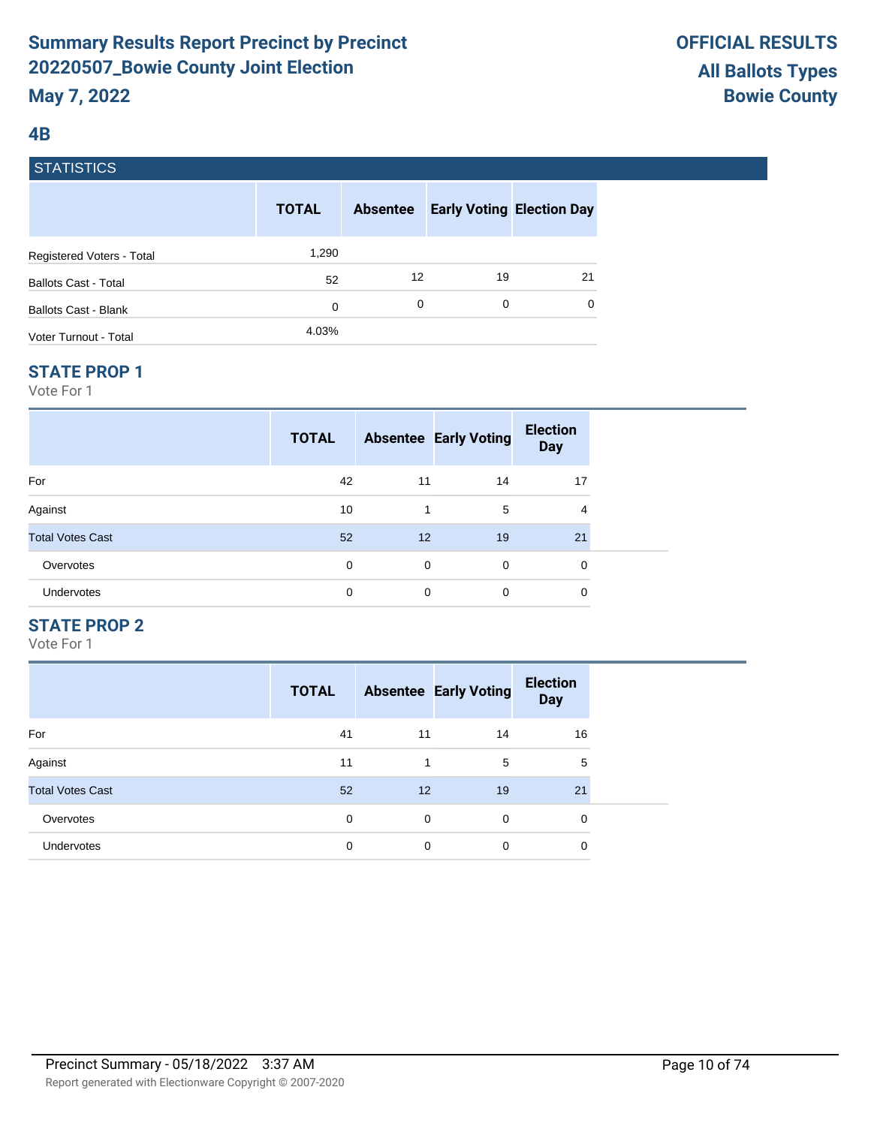# **4B**

# **STATISTICS**

|                             | <b>TOTAL</b> | <b>Absentee</b> | <b>Early Voting Election Day</b> |          |
|-----------------------------|--------------|-----------------|----------------------------------|----------|
| Registered Voters - Total   | 1,290        |                 |                                  |          |
| <b>Ballots Cast - Total</b> | 52           | 12              | 19                               | 21       |
| <b>Ballots Cast - Blank</b> | 0            | 0               | 0                                | $\Omega$ |
| Voter Turnout - Total       | 4.03%        |                 |                                  |          |

#### **STATE PROP 1**

Vote For 1

|                         | <b>TOTAL</b> |             | <b>Absentee Early Voting</b> | <b>Election</b><br><b>Day</b> |  |
|-------------------------|--------------|-------------|------------------------------|-------------------------------|--|
| For                     | 42           | 11          | 14                           | 17                            |  |
| Against                 | 10           | 1           | 5                            | 4                             |  |
| <b>Total Votes Cast</b> | 52           | 12          | 19                           | 21                            |  |
| Overvotes               | 0            | $\mathbf 0$ | $\Omega$                     | 0                             |  |
| Undervotes              | 0            | 0           | $\Omega$                     | 0                             |  |

# **STATE PROP 2**

|                         | <b>TOTAL</b> |    | <b>Absentee Early Voting</b> | <b>Election</b><br><b>Day</b> |
|-------------------------|--------------|----|------------------------------|-------------------------------|
| For                     | 41           | 11 | 14                           | 16                            |
| Against                 | 11           |    | 5                            | 5                             |
| <b>Total Votes Cast</b> | 52           | 12 | 19                           | 21                            |
| Overvotes               | 0            | 0  | $\Omega$                     | 0                             |
| <b>Undervotes</b>       | 0            | 0  | 0                            | 0                             |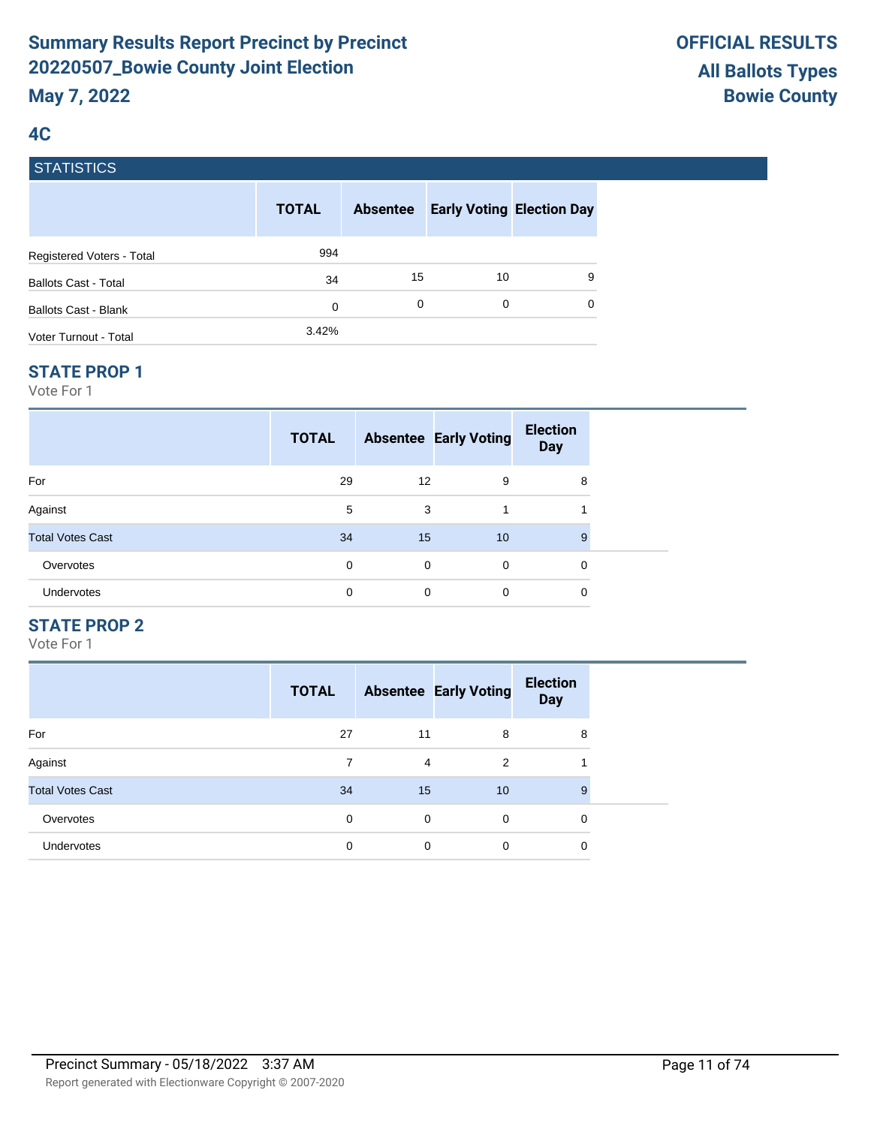# **4C**

# **STATISTICS**

|                             | <b>TOTAL</b> | <b>Absentee</b> | <b>Early Voting Election Day</b> |   |
|-----------------------------|--------------|-----------------|----------------------------------|---|
| Registered Voters - Total   | 994          |                 |                                  |   |
| <b>Ballots Cast - Total</b> | 34           | 15              | 10                               | 9 |
| Ballots Cast - Blank        | 0            | 0               | 0                                | 0 |
| Voter Turnout - Total       | 3.42%        |                 |                                  |   |

#### **STATE PROP 1**

Vote For 1

|                         | <b>TOTAL</b> |                   | <b>Absentee Early Voting</b> | <b>Election</b><br><b>Day</b> |  |
|-------------------------|--------------|-------------------|------------------------------|-------------------------------|--|
| For                     | 29           | $12 \overline{ }$ | 9                            | 8                             |  |
| Against                 | 5            | 3                 | 1                            |                               |  |
| <b>Total Votes Cast</b> | 34           | 15                | 10                           | 9                             |  |
| Overvotes               | 0            | $\mathbf 0$       | $\mathbf 0$                  | 0                             |  |
| Undervotes              | 0            | 0                 | $\Omega$                     | 0                             |  |

# **STATE PROP 2**

|                         | <b>TOTAL</b> |    | <b>Absentee Early Voting</b> | <b>Election</b><br><b>Day</b> |
|-------------------------|--------------|----|------------------------------|-------------------------------|
| For                     | 27           | 11 | 8                            | 8                             |
| Against                 |              | 4  | 2                            |                               |
| <b>Total Votes Cast</b> | 34           | 15 | 10                           | 9                             |
| Overvotes               | 0            | 0  | $\Omega$                     | 0                             |
| <b>Undervotes</b>       | 0            | 0  | 0                            | 0                             |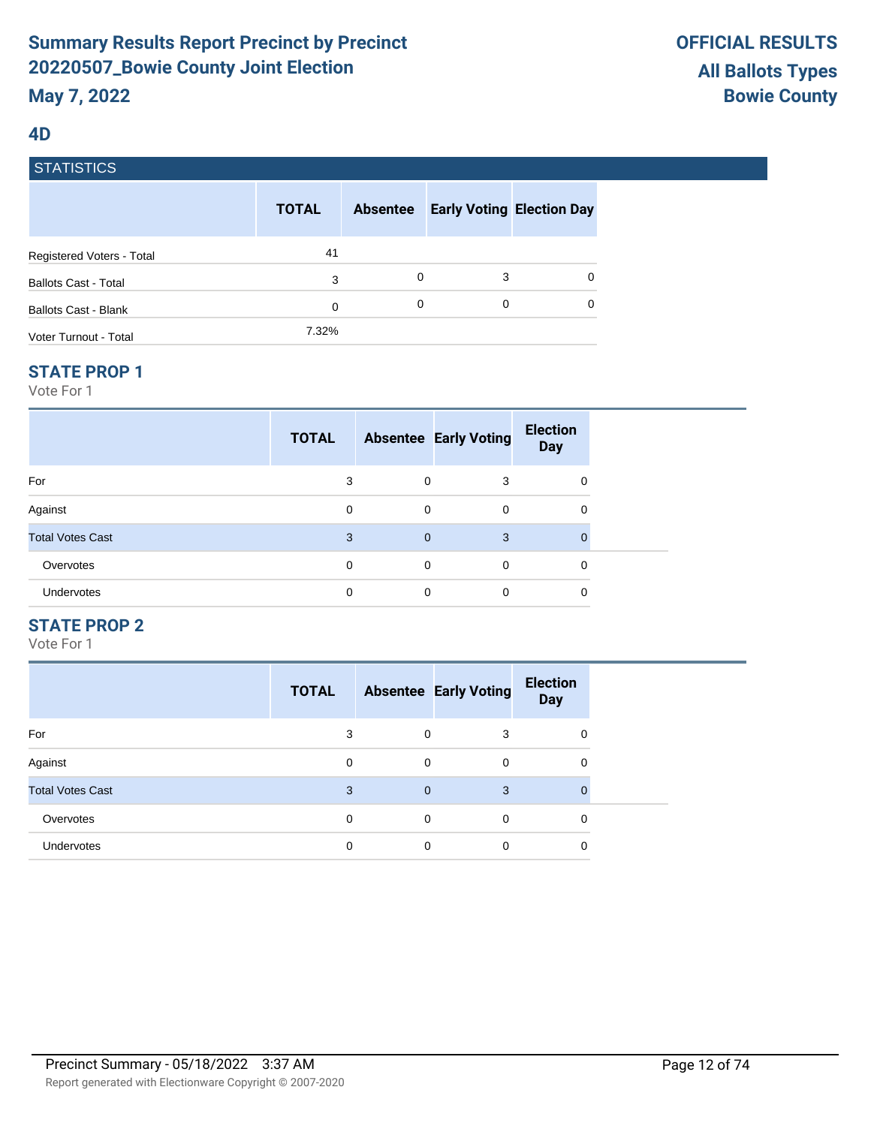#### **4D**

| <b>STATISTICS</b> |  |
|-------------------|--|
|                   |  |
|                   |  |

|                             | <b>TOTAL</b> | <b>Absentee</b> |   | <b>Early Voting Election Day</b> |
|-----------------------------|--------------|-----------------|---|----------------------------------|
| Registered Voters - Total   | 41           |                 |   |                                  |
| <b>Ballots Cast - Total</b> | 3            | 0               | 3 | 0                                |
| <b>Ballots Cast - Blank</b> | 0            | 0               | 0 | 0                                |
| Voter Turnout - Total       | 7.32%        |                 |   |                                  |

#### **STATE PROP 1**

Vote For 1

|                         | <b>TOTAL</b> |                | <b>Absentee Early Voting</b> | <b>Election</b><br><b>Day</b> |  |
|-------------------------|--------------|----------------|------------------------------|-------------------------------|--|
| For                     | 3            | $\mathbf 0$    | 3                            | 0                             |  |
| Against                 | 0            | 0              | $\mathbf 0$                  | 0                             |  |
| <b>Total Votes Cast</b> | 3            | $\overline{0}$ | 3                            | $\overline{0}$                |  |
| Overvotes               | 0            | 0              | 0                            | 0                             |  |
| Undervotes              | 0            | 0              | 0                            | 0                             |  |

# **STATE PROP 2**

|                         | <b>TOTAL</b> |                | <b>Absentee Early Voting</b> | <b>Election</b><br><b>Day</b> |
|-------------------------|--------------|----------------|------------------------------|-------------------------------|
| For                     | 3            | 0              | 3                            | 0                             |
| Against                 | 0            | 0              | 0                            | 0                             |
| <b>Total Votes Cast</b> | 3            | $\overline{0}$ | 3                            | $\mathbf 0$                   |
| Overvotes               | $\Omega$     | $\mathbf 0$    | $\Omega$                     | 0                             |
| <b>Undervotes</b>       | $\Omega$     | 0              | $\Omega$                     | 0                             |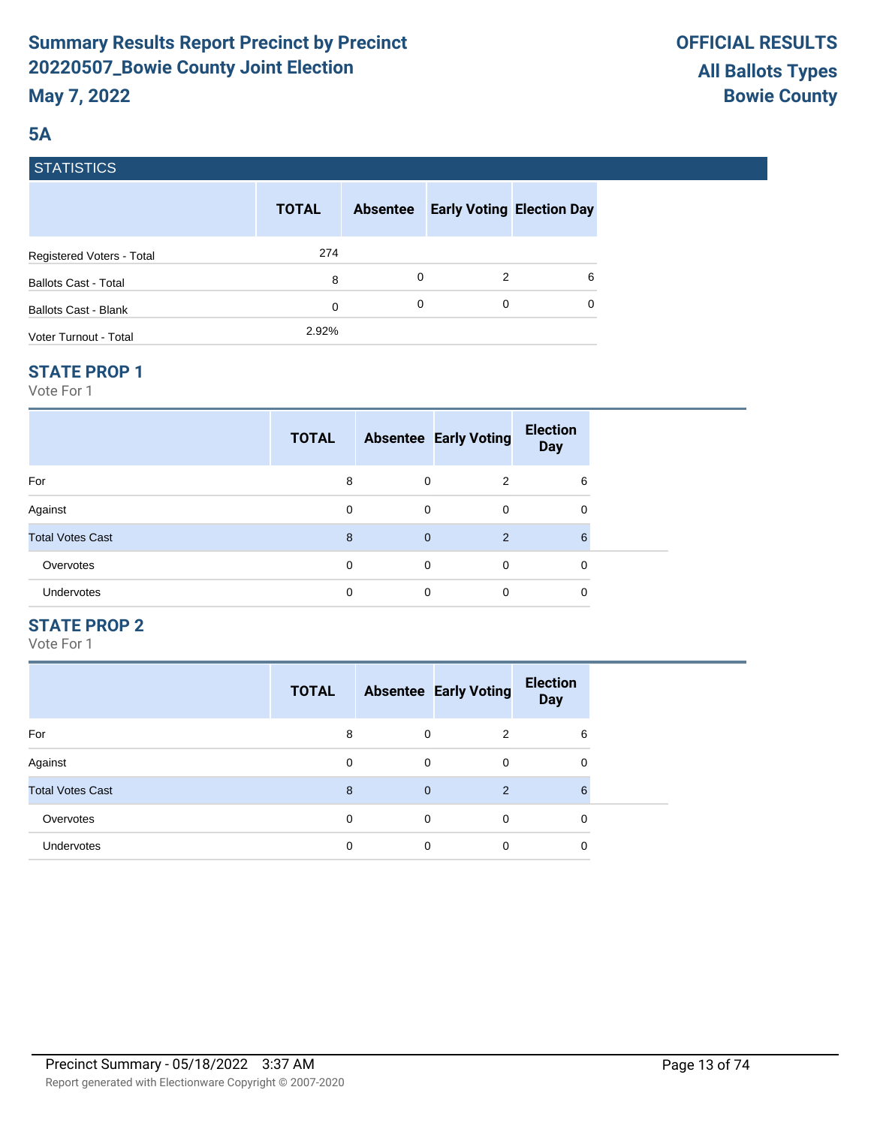# **5A**

|  | <b>STATISTICS</b> |
|--|-------------------|
|  |                   |

|                             | <b>TOTAL</b> | <b>Absentee</b> |   | <b>Early Voting Election Day</b> |
|-----------------------------|--------------|-----------------|---|----------------------------------|
| Registered Voters - Total   | 274          |                 |   |                                  |
| <b>Ballots Cast - Total</b> | 8            | 0               | 2 | 6                                |
| <b>Ballots Cast - Blank</b> | 0            | 0               | 0 | 0                                |
| Voter Turnout - Total       | 2.92%        |                 |   |                                  |

## **STATE PROP 1**

Vote For 1

|                         | <b>TOTAL</b> |                | <b>Absentee Early Voting</b> | <b>Election</b><br><b>Day</b> |  |
|-------------------------|--------------|----------------|------------------------------|-------------------------------|--|
| For                     | 8            | 0              | 2                            | 6                             |  |
| Against                 | 0            | 0              | 0                            | 0                             |  |
| <b>Total Votes Cast</b> | 8            | $\overline{0}$ | 2                            | 6                             |  |
| Overvotes               | 0            | $\mathbf 0$    | $\Omega$                     | 0                             |  |
| Undervotes              | 0            | 0              | $\Omega$                     | 0                             |  |

# **STATE PROP 2**

|                         | <b>TOTAL</b> |             | <b>Absentee Early Voting</b> | <b>Election</b><br><b>Day</b> |
|-------------------------|--------------|-------------|------------------------------|-------------------------------|
| For                     | 8            | 0           | 2                            | 6                             |
| Against                 | 0            | 0           | 0                            | 0                             |
| <b>Total Votes Cast</b> | 8            | $\mathbf 0$ | 2                            | 6                             |
| Overvotes               | $\Omega$     | $\mathbf 0$ | $\Omega$                     | 0                             |
| <b>Undervotes</b>       | 0            | 0           | 0                            | 0                             |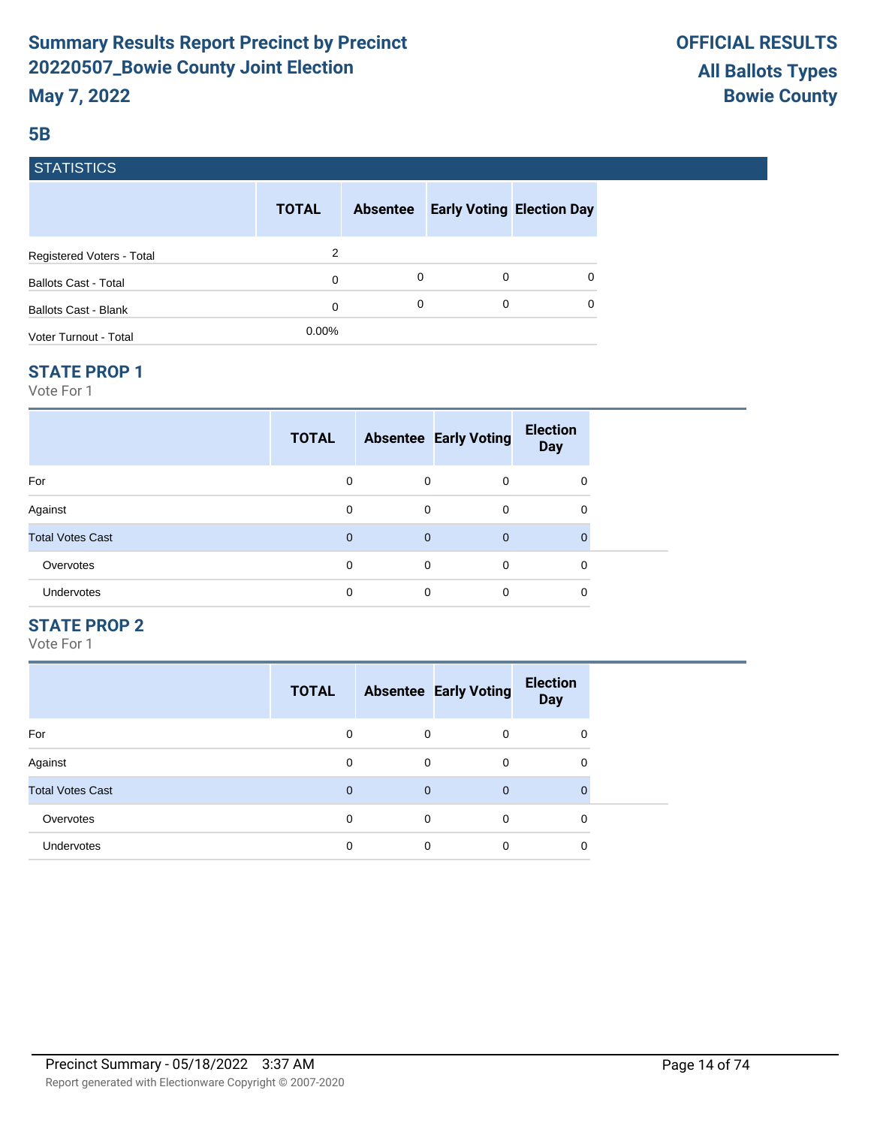## **5B**

# **STATISTICS**

|                             | <b>TOTAL</b> | <b>Absentee</b> |   | <b>Early Voting Election Day</b> |
|-----------------------------|--------------|-----------------|---|----------------------------------|
| Registered Voters - Total   | 2            |                 |   |                                  |
| <b>Ballots Cast - Total</b> | 0            | 0               | 0 | 0                                |
| <b>Ballots Cast - Blank</b> | 0            | 0               | 0 | $\Omega$                         |
| Voter Turnout - Total       | $0.00\%$     |                 |   |                                  |

#### **STATE PROP 1**

Vote For 1

|                         | <b>TOTAL</b> |                | <b>Absentee Early Voting</b> | <b>Election</b><br><b>Day</b> |  |
|-------------------------|--------------|----------------|------------------------------|-------------------------------|--|
| For                     | 0            | $\mathbf 0$    | $\Omega$                     | 0                             |  |
| Against                 | 0            | $\mathbf 0$    | 0                            | 0                             |  |
| <b>Total Votes Cast</b> | $\mathbf 0$  | $\overline{0}$ | $\overline{0}$               | $\mathbf{0}$                  |  |
| Overvotes               | 0            | $\mathbf 0$    | $\Omega$                     | 0                             |  |
| Undervotes              | $\Omega$     | 0              | $\Omega$                     | 0                             |  |

## **STATE PROP 2**

|                         | <b>TOTAL</b> |              | <b>Absentee Early Voting</b> | <b>Election</b><br><b>Day</b> |
|-------------------------|--------------|--------------|------------------------------|-------------------------------|
| For                     | $\Omega$     | 0            | $\Omega$                     | 0                             |
| Against                 | 0            | 0            | 0                            | 0                             |
| <b>Total Votes Cast</b> | $\mathbf{0}$ | $\mathbf{0}$ | $\mathbf 0$                  | $\mathbf 0$                   |
| Overvotes               | $\Omega$     | $\mathbf 0$  | $\Omega$                     | 0                             |
| <b>Undervotes</b>       | $\Omega$     | 0            | $\Omega$                     | 0                             |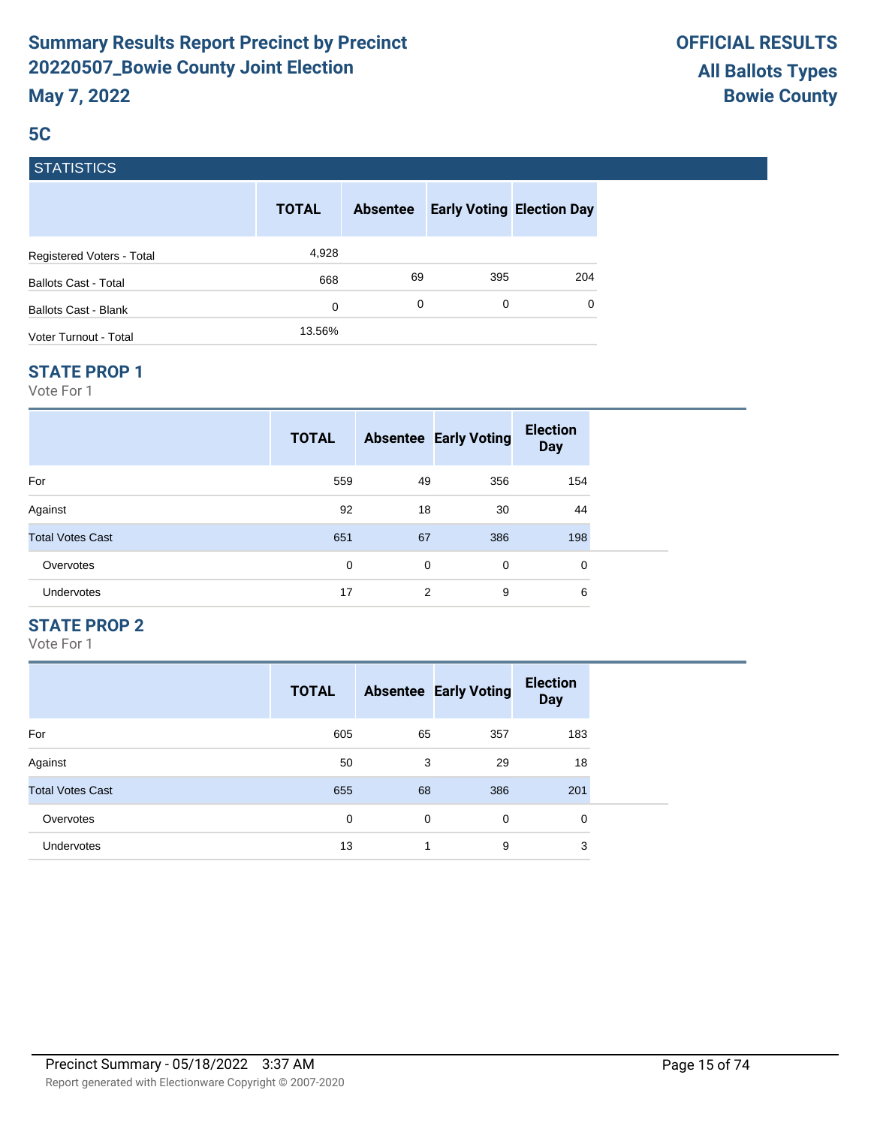# **5C**

# **STATISTICS**

|                             | <b>TOTAL</b> | <b>Absentee</b> | <b>Early Voting Election Day</b> |     |
|-----------------------------|--------------|-----------------|----------------------------------|-----|
| Registered Voters - Total   | 4,928        |                 |                                  |     |
| <b>Ballots Cast - Total</b> | 668          | 69              | 395                              | 204 |
| Ballots Cast - Blank        | 0            | 0               | 0                                | 0   |
| Voter Turnout - Total       | 13.56%       |                 |                                  |     |

#### **STATE PROP 1**

Vote For 1

|                         | <b>TOTAL</b> |             | <b>Absentee Early Voting</b> | <b>Election</b><br><b>Day</b> |
|-------------------------|--------------|-------------|------------------------------|-------------------------------|
| For                     | 559          | 49          | 356                          | 154                           |
| Against                 | 92           | 18          | 30                           | 44                            |
| <b>Total Votes Cast</b> | 651          | 67          | 386                          | 198                           |
| Overvotes               | 0            | $\mathbf 0$ | 0                            | 0                             |
| <b>Undervotes</b>       | 17           | 2           | 9                            | 6                             |

# **STATE PROP 2**

|                         | <b>TOTAL</b> |    | <b>Absentee Early Voting</b> | <b>Election</b><br><b>Day</b> |
|-------------------------|--------------|----|------------------------------|-------------------------------|
| For                     | 605          | 65 | 357                          | 183                           |
| Against                 | 50           | 3  | 29                           | 18                            |
| <b>Total Votes Cast</b> | 655          | 68 | 386                          | 201                           |
| Overvotes               | 0            | 0  | $\mathbf 0$                  | 0                             |
| <b>Undervotes</b>       | 13           | ٠  | 9                            | 3                             |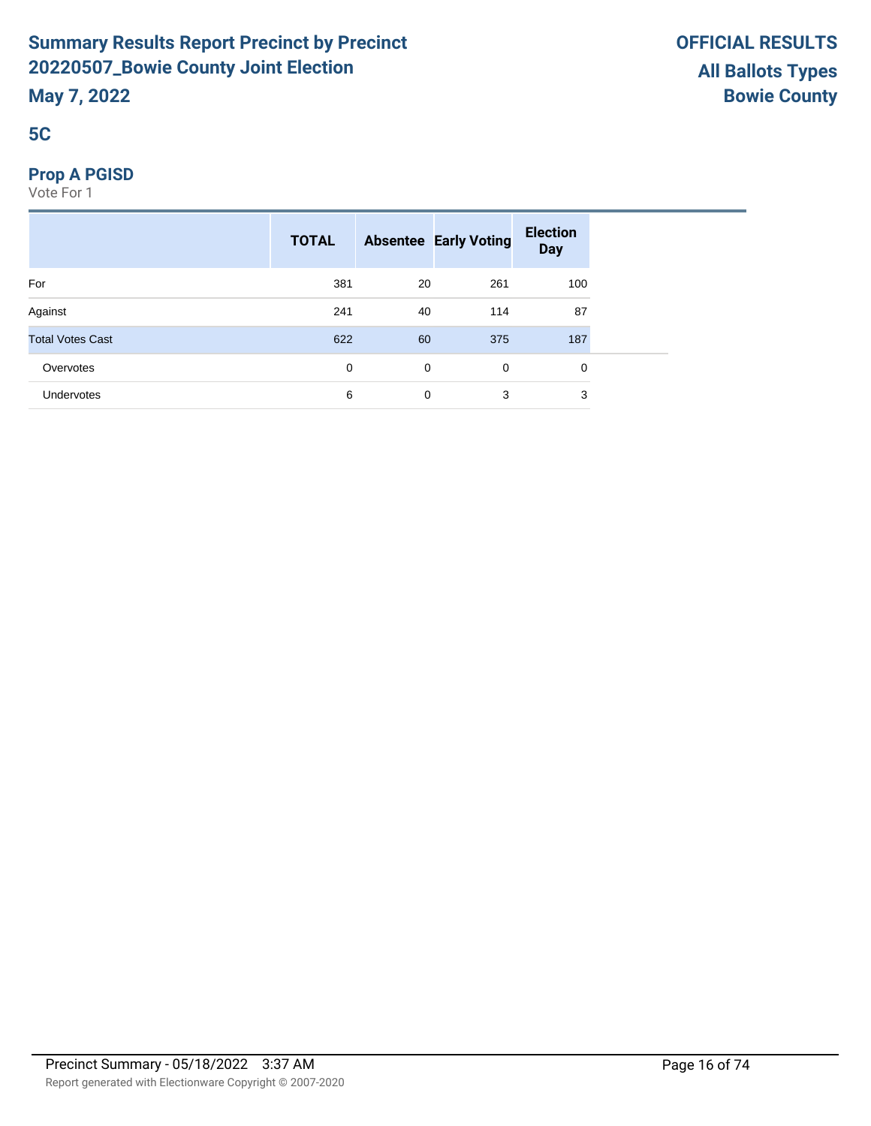# **5C**

# **Prop A PGISD**

|                         | <b>TOTAL</b> |             | <b>Absentee Early Voting</b> | <b>Election</b><br><b>Day</b> |  |
|-------------------------|--------------|-------------|------------------------------|-------------------------------|--|
| For                     | 381          | 20          | 261                          | 100                           |  |
| Against                 | 241          | 40          | 114                          | 87                            |  |
| <b>Total Votes Cast</b> | 622          | 60          | 375                          | 187                           |  |
| Overvotes               | 0            | $\mathbf 0$ | 0                            | 0                             |  |
| <b>Undervotes</b>       | 6            | 0           | 3                            | 3                             |  |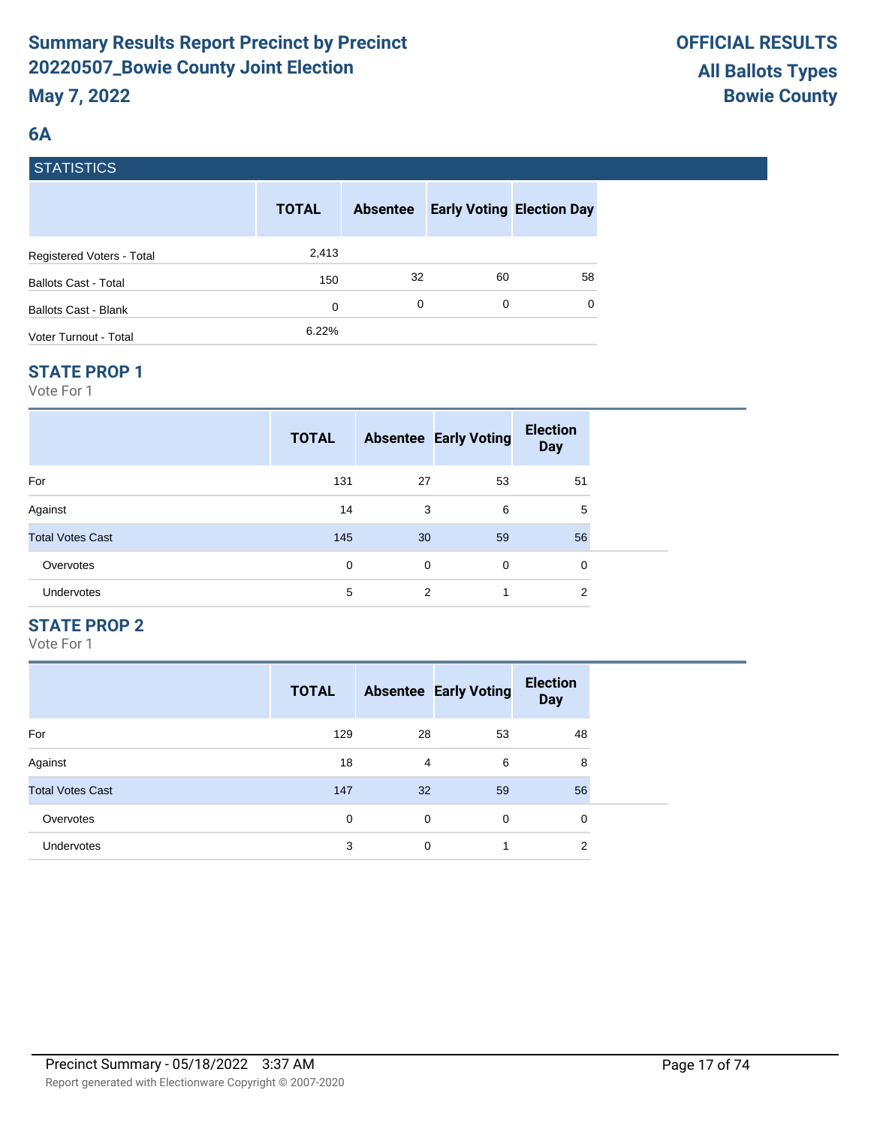# **6A**

# **STATISTICS**

|                             | <b>TOTAL</b> | <b>Absentee</b> | <b>Early Voting Election Day</b> |    |
|-----------------------------|--------------|-----------------|----------------------------------|----|
| Registered Voters - Total   | 2,413        |                 |                                  |    |
| <b>Ballots Cast - Total</b> | 150          | 32              | 60                               | 58 |
| Ballots Cast - Blank        | 0            | 0               | 0                                | 0  |
| Voter Turnout - Total       | 6.22%        |                 |                                  |    |

#### **STATE PROP 1**

Vote For 1

|                         | <b>TOTAL</b> |    | <b>Absentee Early Voting</b> | <b>Election</b><br><b>Day</b> |  |
|-------------------------|--------------|----|------------------------------|-------------------------------|--|
| For                     | 131          | 27 | 53                           | 51                            |  |
| Against                 | 14           | 3  | 6                            | 5                             |  |
| <b>Total Votes Cast</b> | 145          | 30 | 59                           | 56                            |  |
| Overvotes               | 0            | 0  | 0                            | 0                             |  |
| <b>Undervotes</b>       | 5            | 2  | 1                            | 2                             |  |

# **STATE PROP 2**

|                         | <b>TOTAL</b> |                | <b>Absentee Early Voting</b> | <b>Election</b><br><b>Day</b> |
|-------------------------|--------------|----------------|------------------------------|-------------------------------|
| For                     | 129          | 28             | 53                           | 48                            |
| Against                 | 18           | $\overline{4}$ | 6                            | 8                             |
| <b>Total Votes Cast</b> | 147          | 32             | 59                           | 56                            |
| Overvotes               | $\Omega$     | 0              | $\Omega$                     | 0                             |
| <b>Undervotes</b>       | 3            | 0              |                              | 2                             |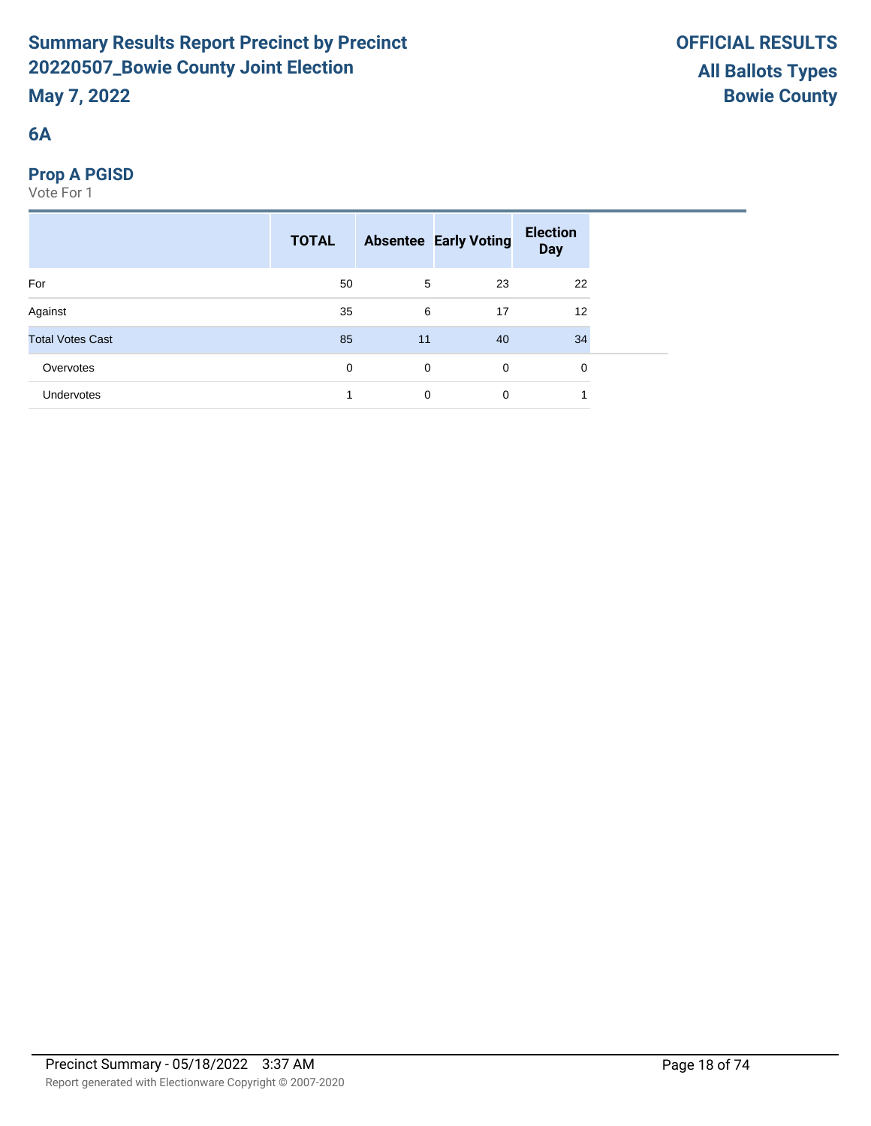# **6A**

# **Prop A PGISD**

|                         | <b>TOTAL</b> |             | <b>Absentee Early Voting</b> | <b>Election</b><br><b>Day</b> |  |
|-------------------------|--------------|-------------|------------------------------|-------------------------------|--|
| For                     | 50           | 5           | 23                           | 22                            |  |
| Against                 | 35           | 6           | 17                           | 12                            |  |
| <b>Total Votes Cast</b> | 85           | 11          | 40                           | 34                            |  |
| Overvotes               | 0            | $\mathbf 0$ | $\mathbf 0$                  | 0                             |  |
| Undervotes              |              | 0           | 0                            |                               |  |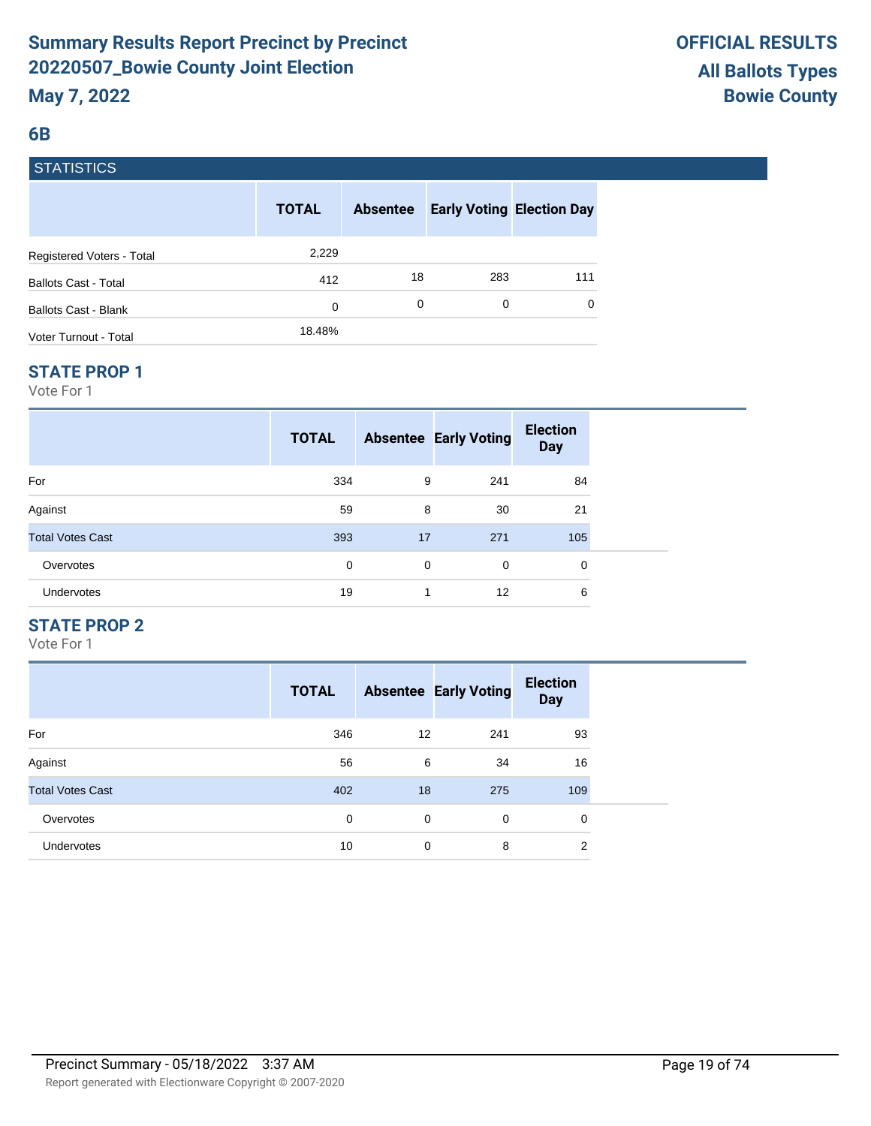## **6B**

# **STATISTICS**

|                             | <b>TOTAL</b> | <b>Absentee</b> | <b>Early Voting Election Day</b> |     |
|-----------------------------|--------------|-----------------|----------------------------------|-----|
| Registered Voters - Total   | 2,229        |                 |                                  |     |
| <b>Ballots Cast - Total</b> | 412          | 18              | 283                              | 111 |
| Ballots Cast - Blank        | 0            | 0               | 0                                | 0   |
| Voter Turnout - Total       | 18.48%       |                 |                                  |     |

#### **STATE PROP 1**

Vote For 1

|                         | <b>TOTAL</b> |             | <b>Absentee Early Voting</b> | <b>Election</b><br><b>Day</b> |  |
|-------------------------|--------------|-------------|------------------------------|-------------------------------|--|
| For                     | 334          | 9           | 241                          | 84                            |  |
| Against                 | 59           | 8           | 30                           | 21                            |  |
| <b>Total Votes Cast</b> | 393          | 17          | 271                          | 105                           |  |
| Overvotes               | $\Omega$     | $\mathbf 0$ | 0                            | 0                             |  |
| <b>Undervotes</b>       | 19           | 1           | 12                           | 6                             |  |

## **STATE PROP 2**

|                         | <b>TOTAL</b> |                   | <b>Absentee Early Voting</b> | <b>Election</b><br><b>Day</b> |
|-------------------------|--------------|-------------------|------------------------------|-------------------------------|
| For                     | 346          | $12 \overline{ }$ | 241                          | 93                            |
| Against                 | 56           | 6                 | 34                           | 16                            |
| <b>Total Votes Cast</b> | 402          | 18                | 275                          | 109                           |
| Overvotes               | $\Omega$     | $\mathbf 0$       | $\Omega$                     | 0                             |
| <b>Undervotes</b>       | 10           | $\mathbf 0$       | 8                            | $\overline{2}$                |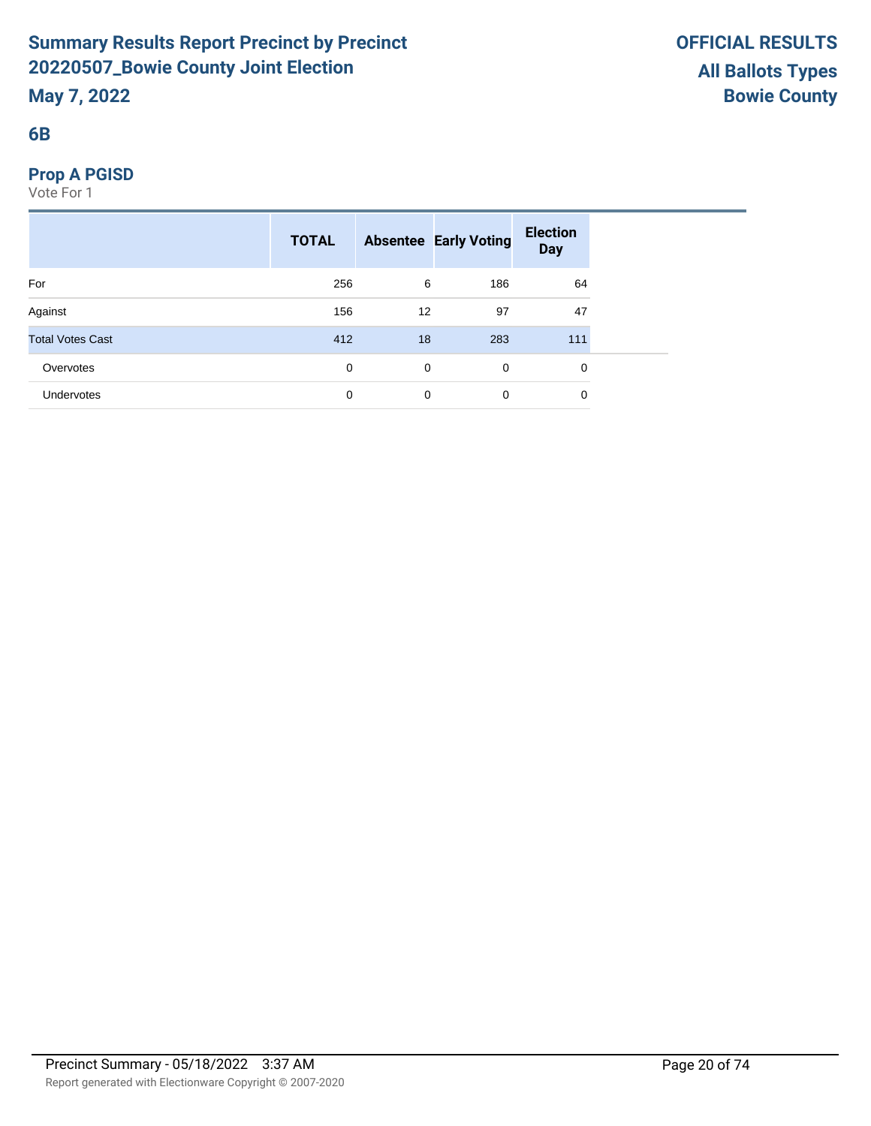# **6B**

# **Prop A PGISD**

|                         | <b>TOTAL</b> |             | <b>Absentee Early Voting</b> | <b>Election</b><br><b>Day</b> |  |
|-------------------------|--------------|-------------|------------------------------|-------------------------------|--|
| For                     | 256          | 6           | 186                          | 64                            |  |
| Against                 | 156          | 12          | 97                           | 47                            |  |
| <b>Total Votes Cast</b> | 412          | 18          | 283                          | 111                           |  |
| Overvotes               | 0            | $\mathbf 0$ | $\mathbf 0$                  | 0                             |  |
| Undervotes              | $\mathbf 0$  | 0           | $\mathbf 0$                  | 0                             |  |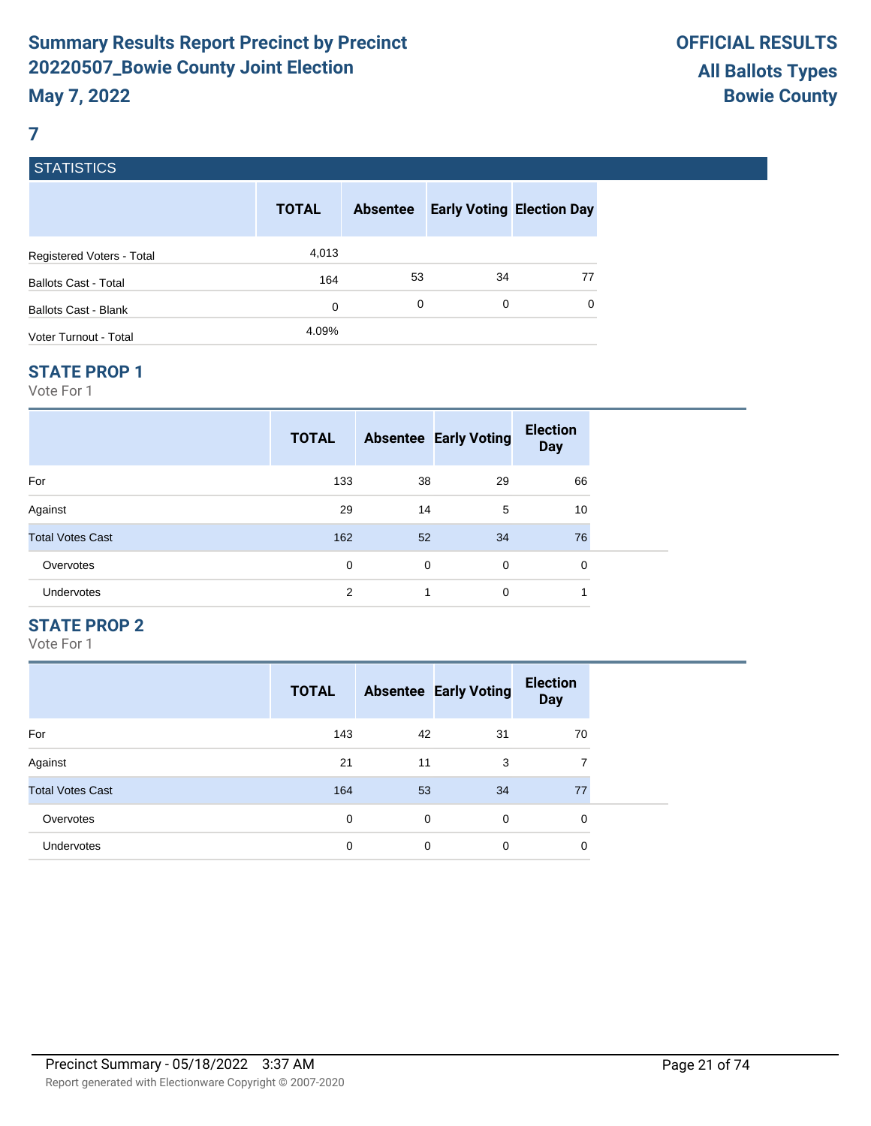## **7**

# **STATISTICS**

|                             | <b>TOTAL</b> | <b>Absentee</b> | <b>Early Voting Election Day</b> |    |
|-----------------------------|--------------|-----------------|----------------------------------|----|
| Registered Voters - Total   | 4,013        |                 |                                  |    |
| <b>Ballots Cast - Total</b> | 164          | 53              | 34                               | 77 |
| Ballots Cast - Blank        | 0            | 0               | 0                                | 0  |
| Voter Turnout - Total       | 4.09%        |                 |                                  |    |

#### **STATE PROP 1**

Vote For 1

|                         | <b>TOTAL</b> |    | <b>Absentee Early Voting</b> | <b>Election</b><br><b>Day</b> |  |
|-------------------------|--------------|----|------------------------------|-------------------------------|--|
| For                     | 133          | 38 | 29                           | 66                            |  |
| Against                 | 29           | 14 | 5                            | 10                            |  |
| <b>Total Votes Cast</b> | 162          | 52 | 34                           | 76                            |  |
| Overvotes               | 0            | 0  | $\mathbf 0$                  | $\mathbf 0$                   |  |
| <b>Undervotes</b>       | 2            | 1  | $\mathbf 0$                  | 1                             |  |

# **STATE PROP 2**

|                         | <b>TOTAL</b> |    | <b>Absentee Early Voting</b> | <b>Election</b><br><b>Day</b> |
|-------------------------|--------------|----|------------------------------|-------------------------------|
| For                     | 143          | 42 | 31                           | 70                            |
| Against                 | 21           | 11 | 3                            | 7                             |
| <b>Total Votes Cast</b> | 164          | 53 | 34                           | 77                            |
| Overvotes               | 0            | 0  | $\Omega$                     | 0                             |
| Undervotes              | 0            | 0  | 0                            | 0                             |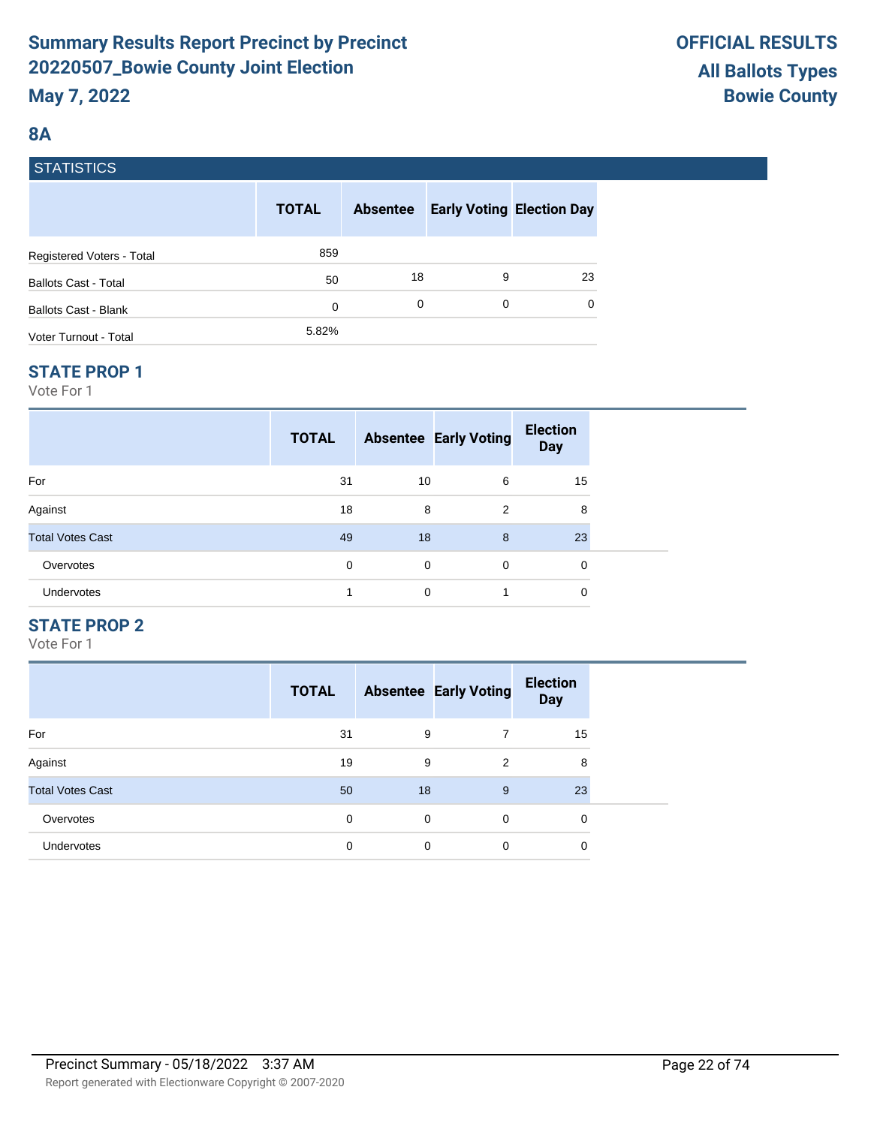# **8A**

|  | <b>STATISTICS</b> |
|--|-------------------|
|  |                   |

|                             | <b>TOTAL</b> | <b>Absentee</b> |   | <b>Early Voting Election Day</b> |
|-----------------------------|--------------|-----------------|---|----------------------------------|
| Registered Voters - Total   | 859          |                 |   |                                  |
| <b>Ballots Cast - Total</b> | 50           | 18              | 9 | 23                               |
| <b>Ballots Cast - Blank</b> | 0            | 0               | 0 | 0                                |
| Voter Turnout - Total       | 5.82%        |                 |   |                                  |

## **STATE PROP 1**

Vote For 1

| <b>TOTAL</b> |          | <b>Election</b><br><b>Day</b> |                              |
|--------------|----------|-------------------------------|------------------------------|
| 31           | 6        | 15                            |                              |
| 18           | 2        | 8                             |                              |
| 49           | 8        | 23                            |                              |
| $\Omega$     | $\Omega$ | $\mathbf 0$                   |                              |
|              | 1        | 0                             |                              |
|              |          | 10<br>8<br>18<br>0<br>0       | <b>Absentee Early Voting</b> |

# **STATE PROP 2**

|                         | <b>TOTAL</b> |    | <b>Absentee Early Voting</b> | <b>Election</b><br><b>Day</b> |
|-------------------------|--------------|----|------------------------------|-------------------------------|
| For                     | 31           | 9  |                              | 15                            |
| Against                 | 19           | 9  | $\overline{2}$               | 8                             |
| <b>Total Votes Cast</b> | 50           | 18 | 9                            | 23                            |
| Overvotes               | $\Omega$     | 0  | $\Omega$                     | 0                             |
| <b>Undervotes</b>       | 0            | 0  | 0                            | 0                             |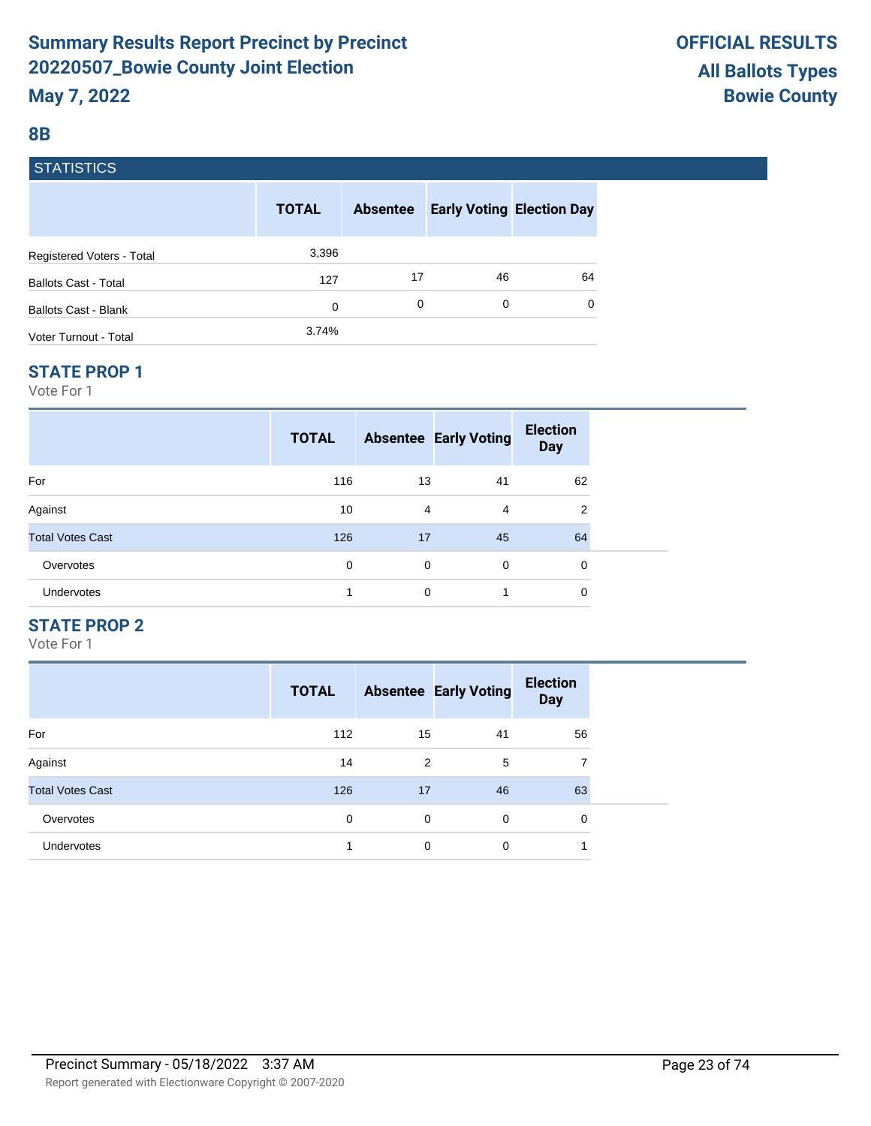## **8B**

# **STATISTICS**

|                             | <b>TOTAL</b> | <b>Absentee</b> | <b>Early Voting Election Day</b> |    |
|-----------------------------|--------------|-----------------|----------------------------------|----|
| Registered Voters - Total   | 3,396        |                 |                                  |    |
| <b>Ballots Cast - Total</b> | 127          | 17              | 46                               | 64 |
| Ballots Cast - Blank        | 0            | 0               | 0                                | 0  |
| Voter Turnout - Total       | 3.74%        |                 |                                  |    |

#### **STATE PROP 1**

Vote For 1

|                         | <b>TOTAL</b> |                | <b>Absentee Early Voting</b> | <b>Election</b><br><b>Day</b> |  |
|-------------------------|--------------|----------------|------------------------------|-------------------------------|--|
| For                     | 116          | 13             | 41                           | 62                            |  |
| Against                 | 10           | $\overline{4}$ | 4                            | 2                             |  |
| <b>Total Votes Cast</b> | 126          | 17             | 45                           | 64                            |  |
| Overvotes               | 0            | 0              | 0                            | 0                             |  |
| <b>Undervotes</b>       | 4            | 0              | 1                            | 0                             |  |

# **STATE PROP 2**

|                         | <b>TOTAL</b> |    | <b>Absentee Early Voting</b> | <b>Election</b><br><b>Day</b> |
|-------------------------|--------------|----|------------------------------|-------------------------------|
| For                     | 112          | 15 | 41                           | 56                            |
| Against                 | 14           | 2  | 5                            | 7                             |
| <b>Total Votes Cast</b> | 126          | 17 | 46                           | 63                            |
| Overvotes               | 0            | 0  | $\Omega$                     | 0                             |
| <b>Undervotes</b>       |              | 0  | 0                            |                               |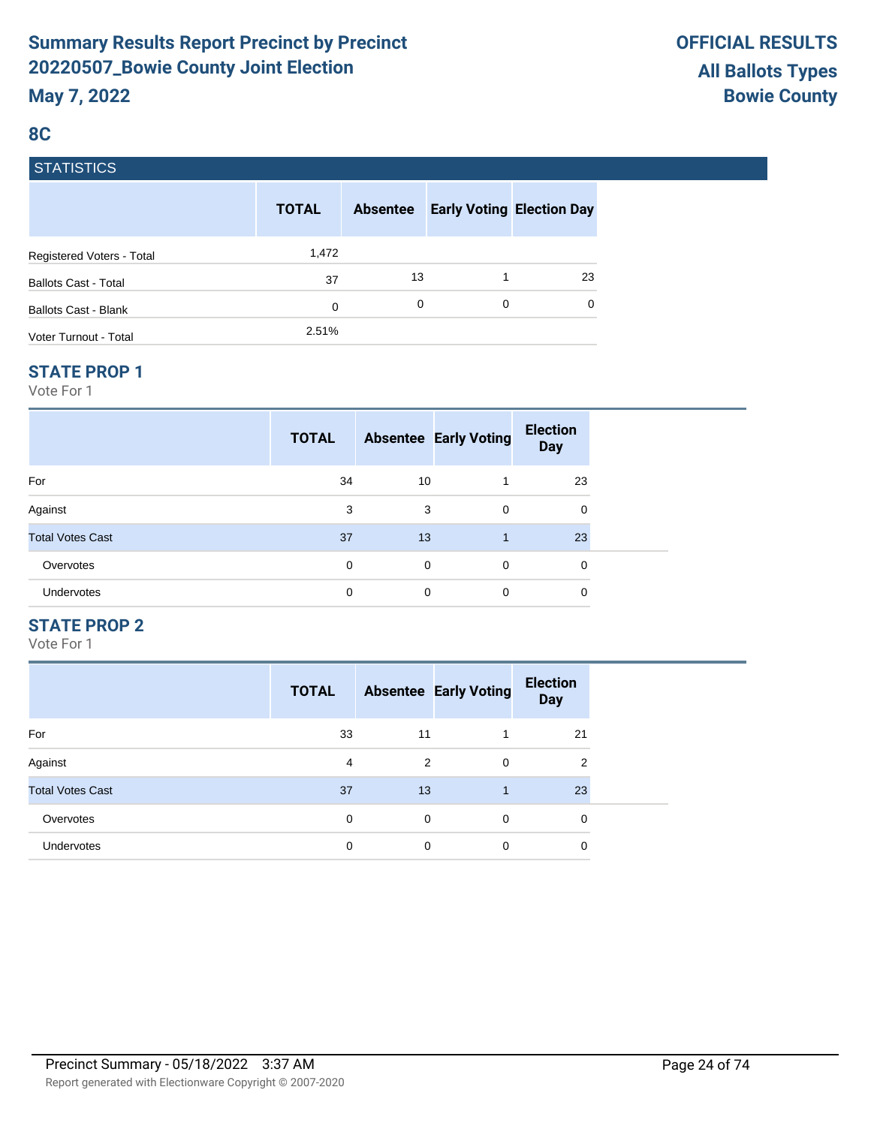# **8C**

# **STATISTICS**

|                             | <b>TOTAL</b> | <b>Absentee</b> |   | <b>Early Voting Election Day</b> |
|-----------------------------|--------------|-----------------|---|----------------------------------|
| Registered Voters - Total   | 1,472        |                 |   |                                  |
| <b>Ballots Cast - Total</b> | 37           | 13              |   | 23                               |
| <b>Ballots Cast - Blank</b> | 0            | 0               | 0 | $\Omega$                         |
| Voter Turnout - Total       | 2.51%        |                 |   |                                  |

#### **STATE PROP 1**

Vote For 1

|                         | <b>TOTAL</b> |             | <b>Absentee Early Voting</b> | <b>Election</b><br><b>Day</b> |  |
|-------------------------|--------------|-------------|------------------------------|-------------------------------|--|
| For                     | 34           | 10          |                              | 23                            |  |
| Against                 | 3            | 3           | $\mathbf 0$                  | 0                             |  |
| <b>Total Votes Cast</b> | 37           | 13          |                              | 23                            |  |
| Overvotes               | 0            | $\mathbf 0$ | $\mathbf 0$                  | 0                             |  |
| Undervotes              | 0            | 0           | 0                            | 0                             |  |

# **STATE PROP 2**

|                         | <b>TOTAL</b> |    | <b>Absentee Early Voting</b> | <b>Election</b><br><b>Day</b> |
|-------------------------|--------------|----|------------------------------|-------------------------------|
| For                     | 33           | 11 |                              | 21                            |
| Against                 | 4            | 2  | 0                            | 2                             |
| <b>Total Votes Cast</b> | 37           | 13 |                              | 23                            |
| Overvotes               | $\Omega$     | 0  | $\Omega$                     | 0                             |
| <b>Undervotes</b>       | 0            | 0  | 0                            | 0                             |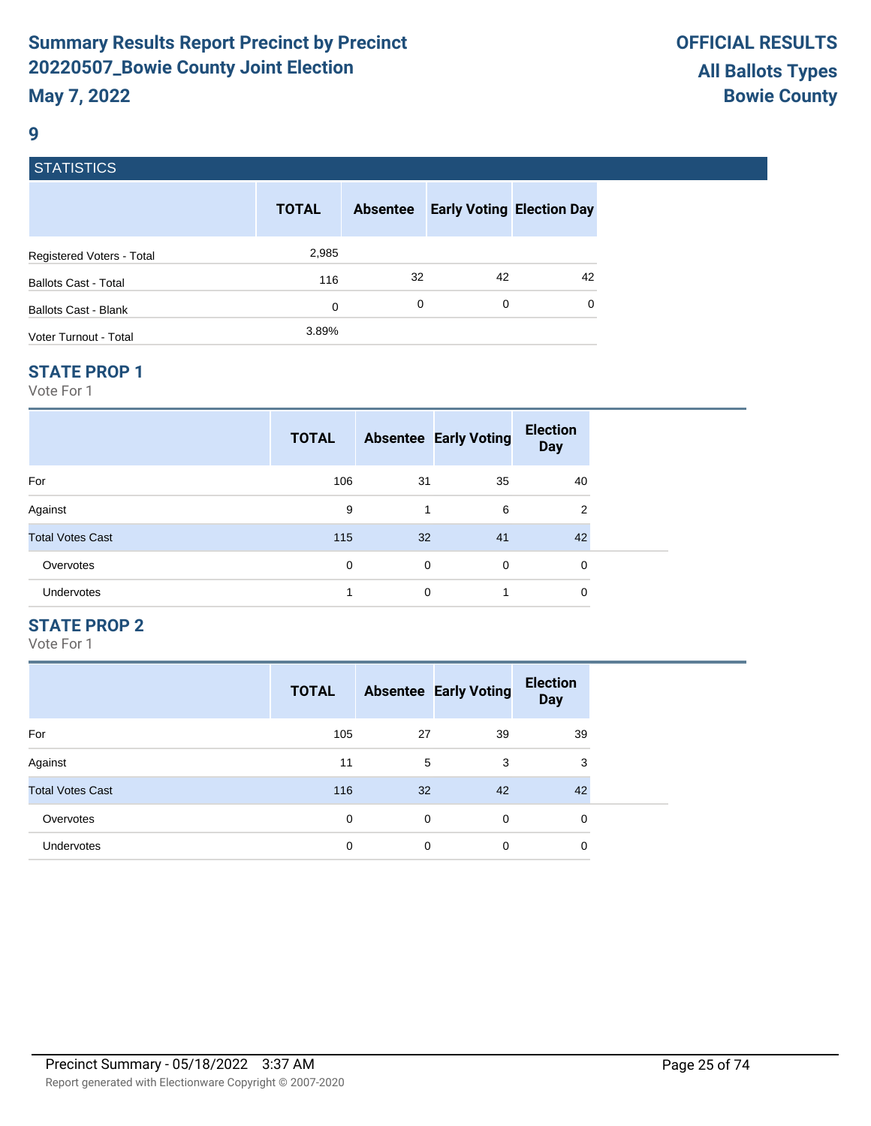#### **9**

# **STATISTICS**

|                             | <b>TOTAL</b> | <b>Absentee</b> | <b>Early Voting Election Day</b> |    |
|-----------------------------|--------------|-----------------|----------------------------------|----|
| Registered Voters - Total   | 2,985        |                 |                                  |    |
| <b>Ballots Cast - Total</b> | 116          | 32              | 42                               | 42 |
| Ballots Cast - Blank        | 0            | 0               | 0                                | 0  |
| Voter Turnout - Total       | 3.89%        |                 |                                  |    |

#### **STATE PROP 1**

Vote For 1

|                         | <b>TOTAL</b> |    | <b>Absentee Early Voting</b> | <b>Election</b><br><b>Day</b> |  |
|-------------------------|--------------|----|------------------------------|-------------------------------|--|
| For                     | 106          | 31 | 35                           | 40                            |  |
| Against                 | 9            | 1  | 6                            | 2                             |  |
| <b>Total Votes Cast</b> | 115          | 32 | 41                           | 42                            |  |
| Overvotes               | 0            | 0  | 0                            | 0                             |  |
| <b>Undervotes</b>       | 4            | 0  | 1                            | 0                             |  |

# **STATE PROP 2**

|                         | <b>TOTAL</b> |    | <b>Absentee Early Voting</b> | <b>Election</b><br><b>Day</b> |
|-------------------------|--------------|----|------------------------------|-------------------------------|
| For                     | 105          | 27 | 39                           | 39                            |
| Against                 | 11           | 5  | 3                            | 3                             |
| <b>Total Votes Cast</b> | 116          | 32 | 42                           | 42                            |
| Overvotes               | 0            | 0  | $\Omega$                     | 0                             |
| <b>Undervotes</b>       | 0            | 0  | 0                            | 0                             |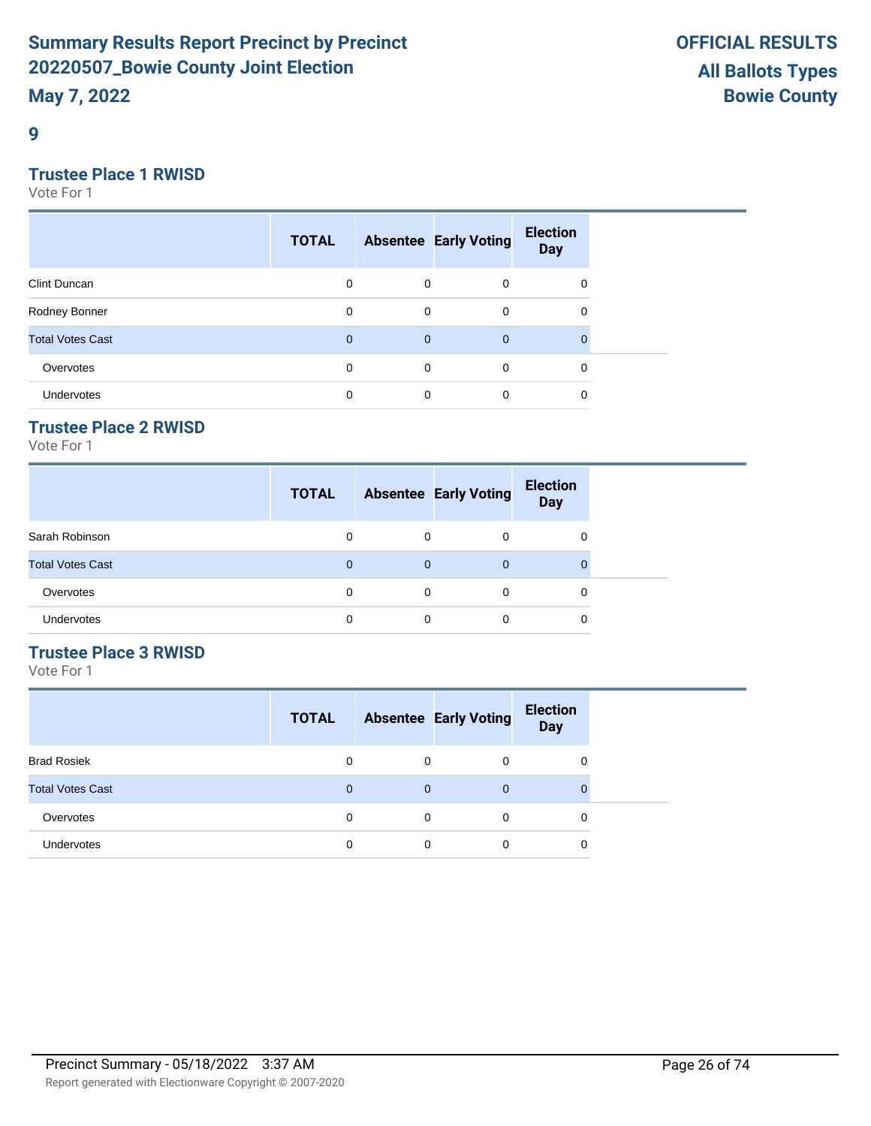**9**

# **Trustee Place 1 RWISD**

Vote For 1

|                         | <b>TOTAL</b> |              | <b>Absentee Early Voting</b> | <b>Election</b><br><b>Day</b> |  |
|-------------------------|--------------|--------------|------------------------------|-------------------------------|--|
| Clint Duncan            | 0            | 0            | $\mathbf 0$                  | 0                             |  |
| Rodney Bonner           | 0            | $\mathbf 0$  | $\mathbf 0$                  | 0                             |  |
| <b>Total Votes Cast</b> | $\mathbf{0}$ | $\mathbf{0}$ | $\mathbf{0}$                 | $\Omega$                      |  |
| Overvotes               | 0            | $\mathbf 0$  | $\mathbf 0$                  | 0                             |  |
| <b>Undervotes</b>       | 0            | 0            | 0                            | 0                             |  |

# **Trustee Place 2 RWISD**

Vote For 1

|                         | <b>TOTAL</b> |          | <b>Absentee Early Voting</b> | <b>Election</b><br><b>Day</b> |
|-------------------------|--------------|----------|------------------------------|-------------------------------|
| Sarah Robinson          | 0            | $\Omega$ | 0                            | 0                             |
| <b>Total Votes Cast</b> | $\Omega$     | $\Omega$ | $\Omega$                     |                               |
| Overvotes               | $\Omega$     | $\Omega$ | 0                            | 0                             |
| Undervotes              | 0            | 0        | 0                            | 0                             |

# **Trustee Place 3 RWISD**

|                         | <b>TOTAL</b> |          | <b>Absentee Early Voting</b> | <b>Election</b><br><b>Day</b> |
|-------------------------|--------------|----------|------------------------------|-------------------------------|
| <b>Brad Rosiek</b>      | 0            | 0        | 0                            | 0                             |
| <b>Total Votes Cast</b> | 0            | 0        | $\mathbf 0$                  | 0                             |
| Overvotes               | 0            | $\Omega$ | $\Omega$                     | 0                             |
| Undervotes              | 0            | $\Omega$ | 0                            | 0                             |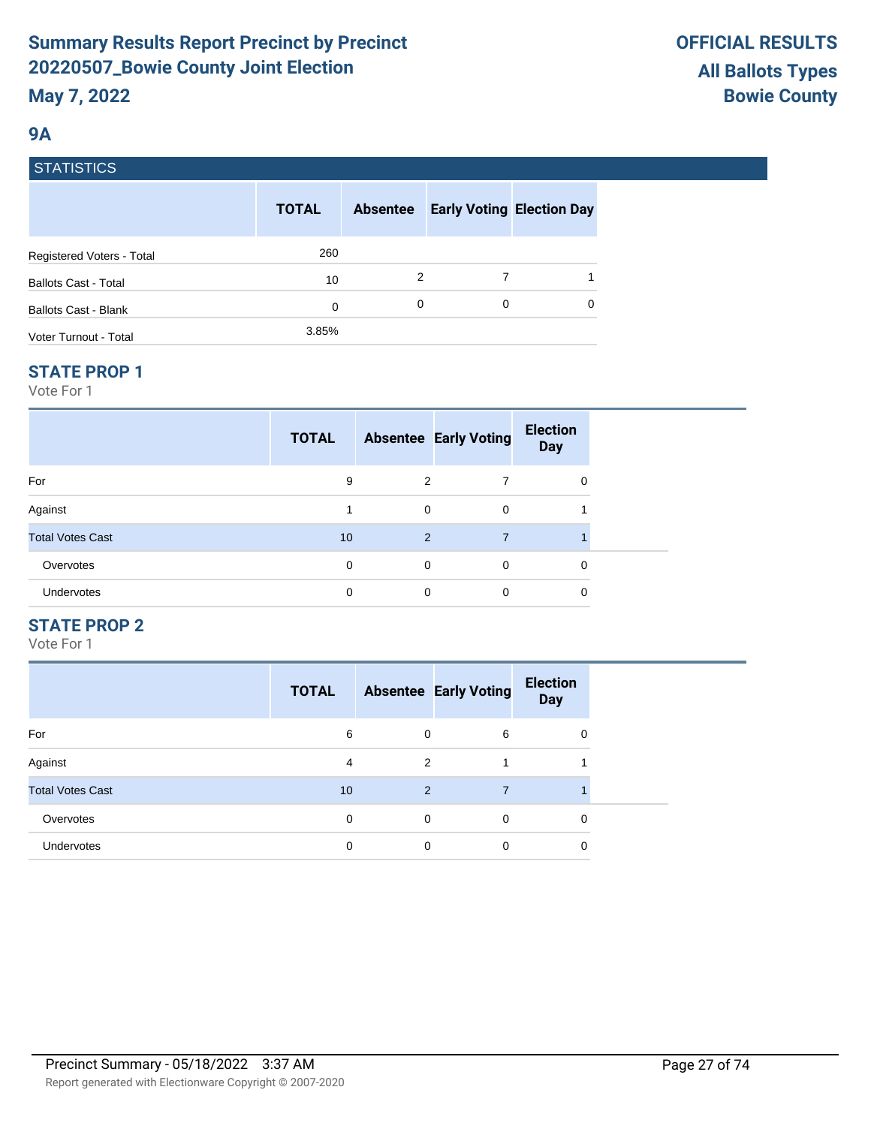# **9A**

# **STATISTICS**

|                             | <b>TOTAL</b> | <b>Absentee</b> | <b>Early Voting Election Day</b> |          |
|-----------------------------|--------------|-----------------|----------------------------------|----------|
| Registered Voters - Total   | 260          |                 |                                  |          |
| <b>Ballots Cast - Total</b> | 10           | 2               | 7                                |          |
| <b>Ballots Cast - Blank</b> | 0            | 0               | 0                                | $\Omega$ |
| Voter Turnout - Total       | 3.85%        |                 |                                  |          |

#### **STATE PROP 1**

Vote For 1

|                         | <b>TOTAL</b> |                | <b>Absentee Early Voting</b> | <b>Election</b><br><b>Day</b> |  |
|-------------------------|--------------|----------------|------------------------------|-------------------------------|--|
| For                     | 9            | 2              | 7                            | 0                             |  |
| Against                 | 1            | $\mathbf 0$    | $\mathbf 0$                  |                               |  |
| <b>Total Votes Cast</b> | 10           | $\overline{2}$ | 7                            |                               |  |
| Overvotes               | $\Omega$     | $\mathbf 0$    | $\mathbf 0$                  | 0                             |  |
| Undervotes              | $\Omega$     | 0              | 0                            | 0                             |  |

# **STATE PROP 2**

|                         | <b>TOTAL</b> |   | <b>Absentee Early Voting</b> | <b>Election</b><br><b>Day</b> |
|-------------------------|--------------|---|------------------------------|-------------------------------|
| For                     | 6            | 0 | 6                            | 0                             |
| Against                 | 4            | 2 |                              |                               |
| <b>Total Votes Cast</b> | 10           | 2 | 7                            |                               |
| Overvotes               | 0            | 0 | $\Omega$                     | $\Omega$                      |
| Undervotes              | 0            | 0 | $\Omega$                     | 0                             |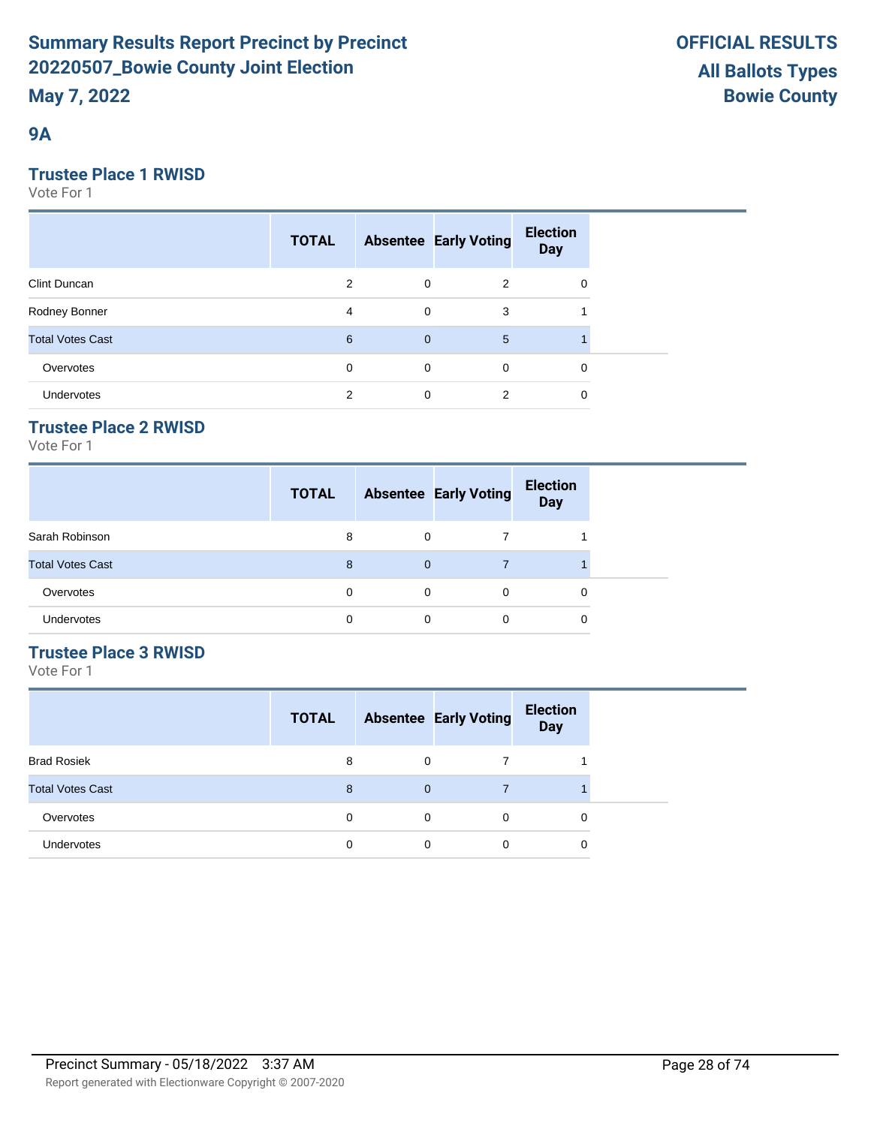# **9A**

# **Trustee Place 1 RWISD**

Vote For 1

|                         | <b>TOTAL</b> |             | <b>Absentee Early Voting</b> | <b>Election</b><br><b>Day</b> |  |
|-------------------------|--------------|-------------|------------------------------|-------------------------------|--|
| Clint Duncan            | 2            | 0           | 2                            | 0                             |  |
| Rodney Bonner           | 4            | 0           | 3                            |                               |  |
| <b>Total Votes Cast</b> | 6            | $\mathbf 0$ | 5                            |                               |  |
| Overvotes               | 0            | $\mathbf 0$ | $\mathbf 0$                  | 0                             |  |
| Undervotes              | 2            | 0           | 2                            | 0                             |  |

# **Trustee Place 2 RWISD**

Vote For 1

|                         | <b>TOTAL</b> |             | <b>Absentee Early Voting</b> | <b>Election</b><br><b>Day</b> |
|-------------------------|--------------|-------------|------------------------------|-------------------------------|
| Sarah Robinson          | 8            | 0           |                              |                               |
| <b>Total Votes Cast</b> | 8            | $\mathbf 0$ |                              |                               |
| Overvotes               | 0            | 0           | $\Omega$                     | 0                             |
| Undervotes              | 0            | 0           | 0                            | 0                             |

# **Trustee Place 3 RWISD**

|                         | <b>TOTAL</b> |          | <b>Absentee Early Voting</b> | <b>Election</b><br><b>Day</b> |
|-------------------------|--------------|----------|------------------------------|-------------------------------|
| <b>Brad Rosiek</b>      | 8            | 0        |                              |                               |
| <b>Total Votes Cast</b> | 8            | 0        |                              |                               |
| Overvotes               | 0            | $\Omega$ | $\Omega$                     | 0                             |
| Undervotes              | 0            | $\Omega$ | 0                            | 0                             |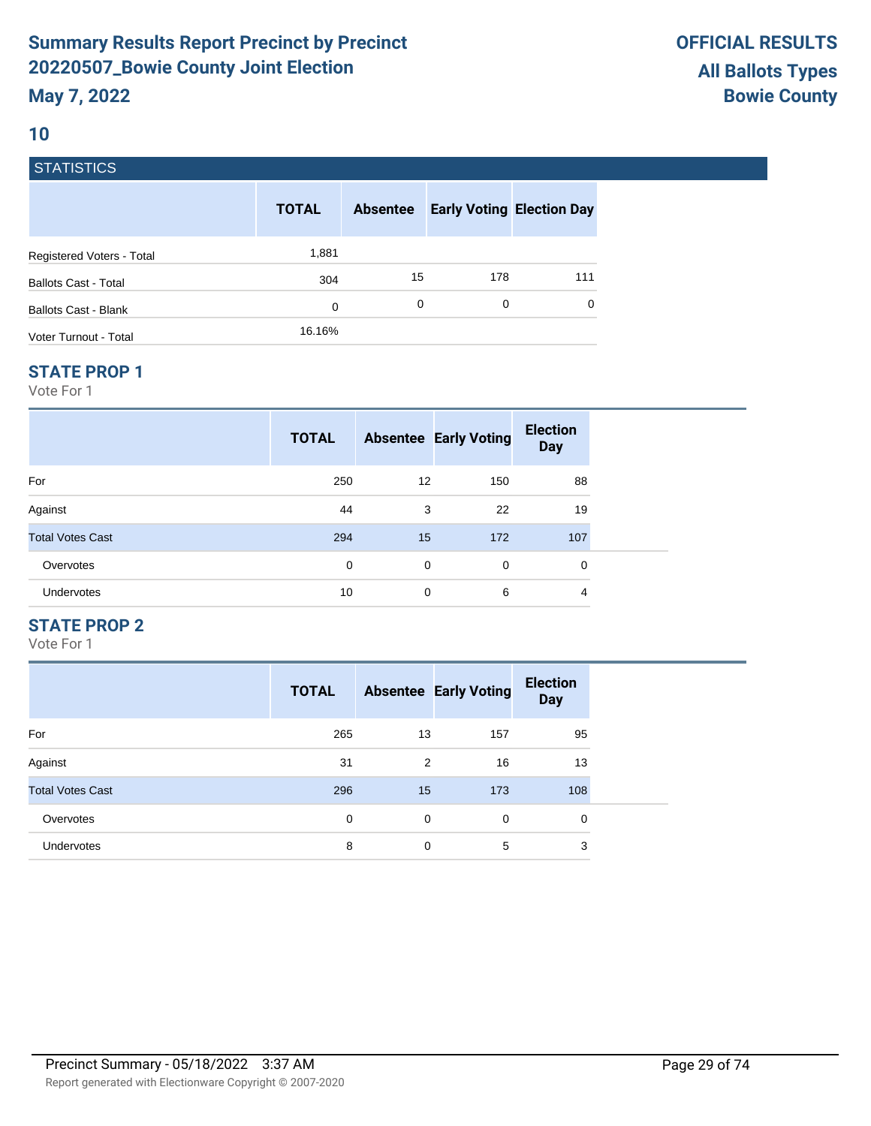# **10**

# **STATISTICS**

|                             | <b>TOTAL</b> | <b>Absentee</b> |     | <b>Early Voting Election Day</b> |
|-----------------------------|--------------|-----------------|-----|----------------------------------|
| Registered Voters - Total   | 1,881        |                 |     |                                  |
| <b>Ballots Cast - Total</b> | 304          | 15              | 178 | 111                              |
| Ballots Cast - Blank        | 0            | 0               | 0   | $\Omega$                         |
| Voter Turnout - Total       | 16.16%       |                 |     |                                  |

#### **STATE PROP 1**

Vote For 1

|                         | <b>TOTAL</b> |                 | <b>Absentee Early Voting</b> | <b>Election</b><br><b>Day</b> |  |
|-------------------------|--------------|-----------------|------------------------------|-------------------------------|--|
| For                     | 250          | 12 <sup>°</sup> | 150                          | 88                            |  |
| Against                 | 44           | 3               | 22                           | 19                            |  |
| <b>Total Votes Cast</b> | 294          | 15              | 172                          | 107                           |  |
| Overvotes               | 0            | $\mathbf 0$     | 0                            | 0                             |  |
| <b>Undervotes</b>       | 10           | 0               | 6                            | 4                             |  |

# **STATE PROP 2**

|                         | <b>TOTAL</b> |    | <b>Absentee Early Voting</b> | <b>Election</b><br><b>Day</b> |
|-------------------------|--------------|----|------------------------------|-------------------------------|
| For                     | 265          | 13 | 157                          | 95                            |
| Against                 | 31           | 2  | 16                           | 13                            |
| <b>Total Votes Cast</b> | 296          | 15 | 173                          | 108                           |
| Overvotes               | $\mathbf 0$  | 0  | 0                            | 0                             |
| <b>Undervotes</b>       | 8            | 0  | 5                            | 3                             |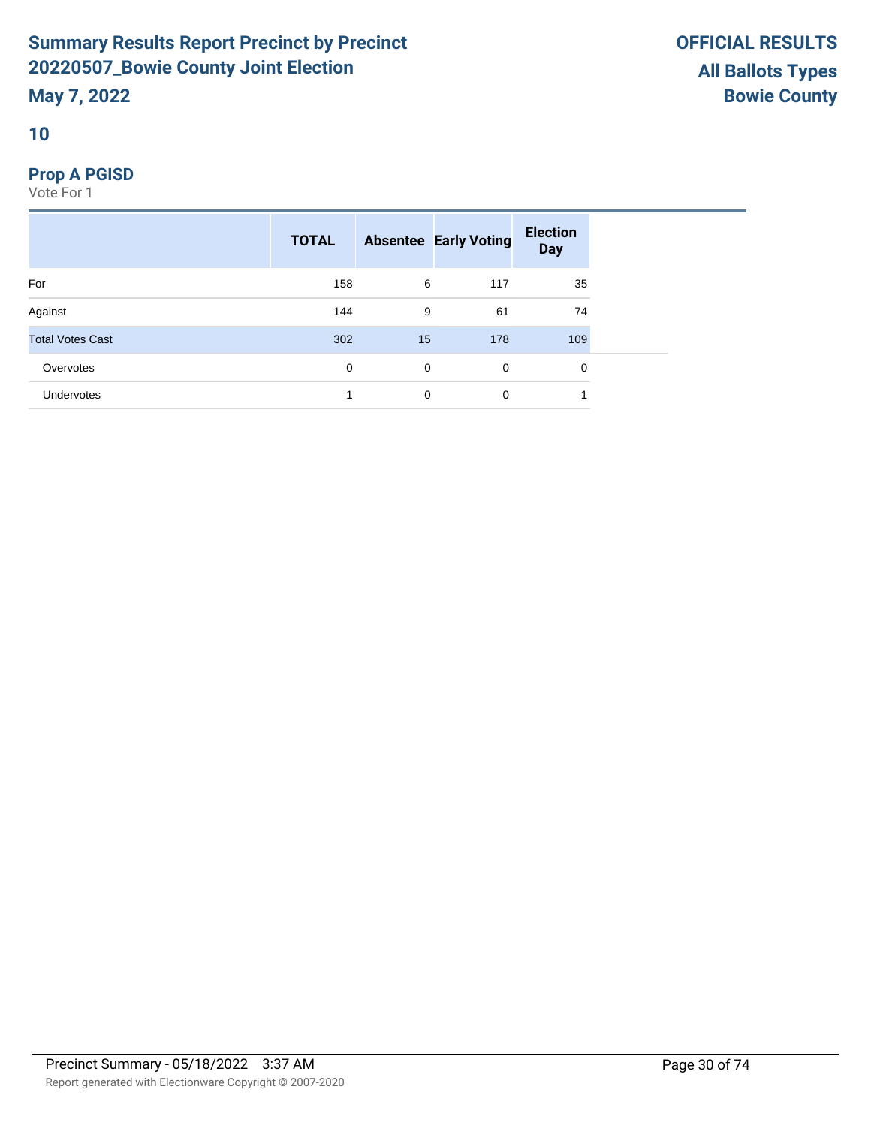# **10**

# **Prop A PGISD**

|                         | <b>TOTAL</b> |    | <b>Absentee Early Voting</b> | <b>Election</b><br><b>Day</b> |  |
|-------------------------|--------------|----|------------------------------|-------------------------------|--|
| For                     | 158          | 6  | 117                          | 35                            |  |
| Against                 | 144          | 9  | 61                           | 74                            |  |
| <b>Total Votes Cast</b> | 302          | 15 | 178                          | 109                           |  |
| Overvotes               | 0            | 0  | $\mathbf 0$                  | 0                             |  |
| Undervotes              |              | 0  | 0                            | 4                             |  |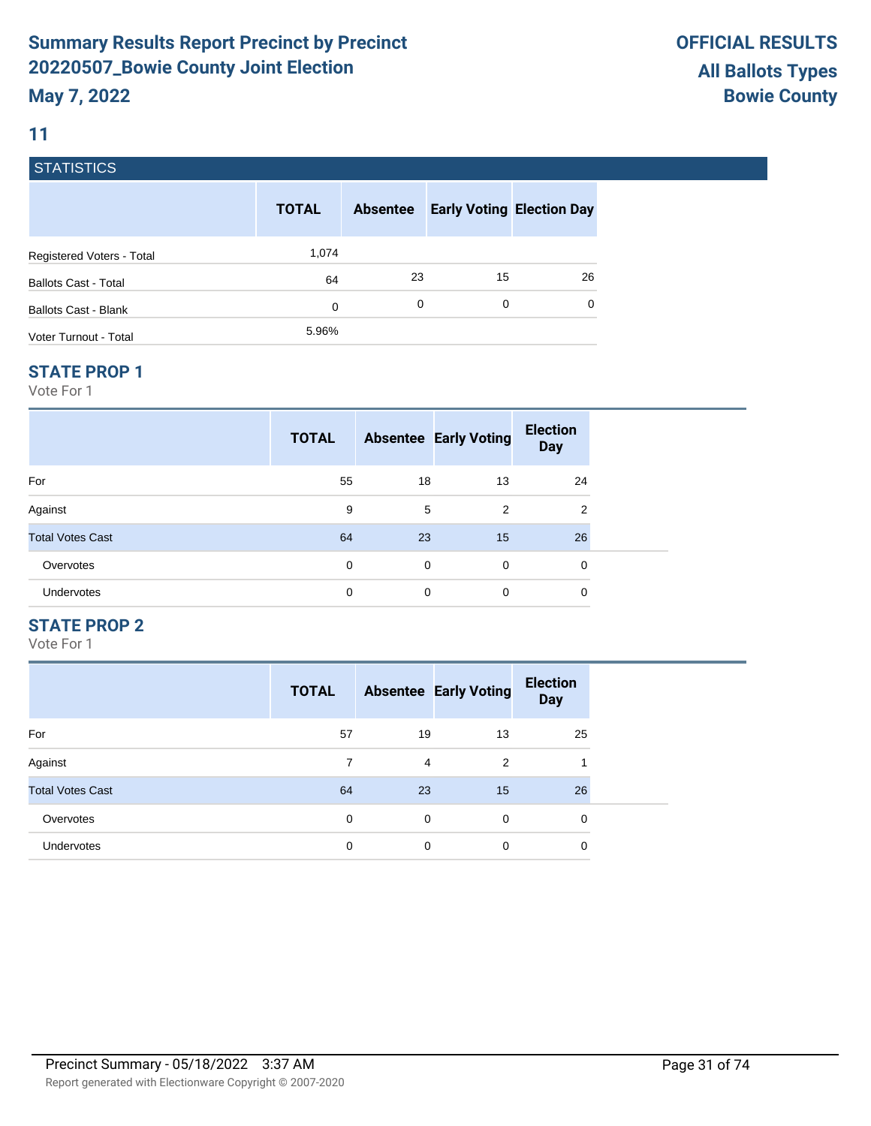# **11**

# **STATISTICS**

|                             | <b>TOTAL</b> | <b>Absentee</b> | <b>Early Voting Election Day</b> |    |
|-----------------------------|--------------|-----------------|----------------------------------|----|
| Registered Voters - Total   | 1,074        |                 |                                  |    |
| <b>Ballots Cast - Total</b> | 64           | 23              | 15                               | 26 |
| <b>Ballots Cast - Blank</b> | 0            | 0               | 0                                | 0  |
| Voter Turnout - Total       | 5.96%        |                 |                                  |    |

#### **STATE PROP 1**

Vote For 1

|                         | <b>TOTAL</b> |    | <b>Absentee Early Voting</b> | <b>Election</b><br><b>Day</b> |  |
|-------------------------|--------------|----|------------------------------|-------------------------------|--|
| For                     | 55           | 18 | 13                           | 24                            |  |
| Against                 | 9            | 5  | 2                            | 2                             |  |
| <b>Total Votes Cast</b> | 64           | 23 | 15                           | 26                            |  |
| Overvotes               | 0            | 0  | $\mathbf 0$                  | 0                             |  |
| Undervotes              | 0            | 0  | $\mathbf 0$                  | 0                             |  |

# **STATE PROP 2**

|                         | <b>TOTAL</b> |    | <b>Absentee Early Voting</b> | <b>Election</b><br><b>Day</b> |
|-------------------------|--------------|----|------------------------------|-------------------------------|
| For                     | 57           | 19 | 13                           | 25                            |
| Against                 | 7            | 4  | $\overline{2}$               | 1                             |
| <b>Total Votes Cast</b> | 64           | 23 | 15                           | 26                            |
| Overvotes               | 0            | 0  | $\Omega$                     | 0                             |
| <b>Undervotes</b>       | 0            | 0  | 0                            | 0                             |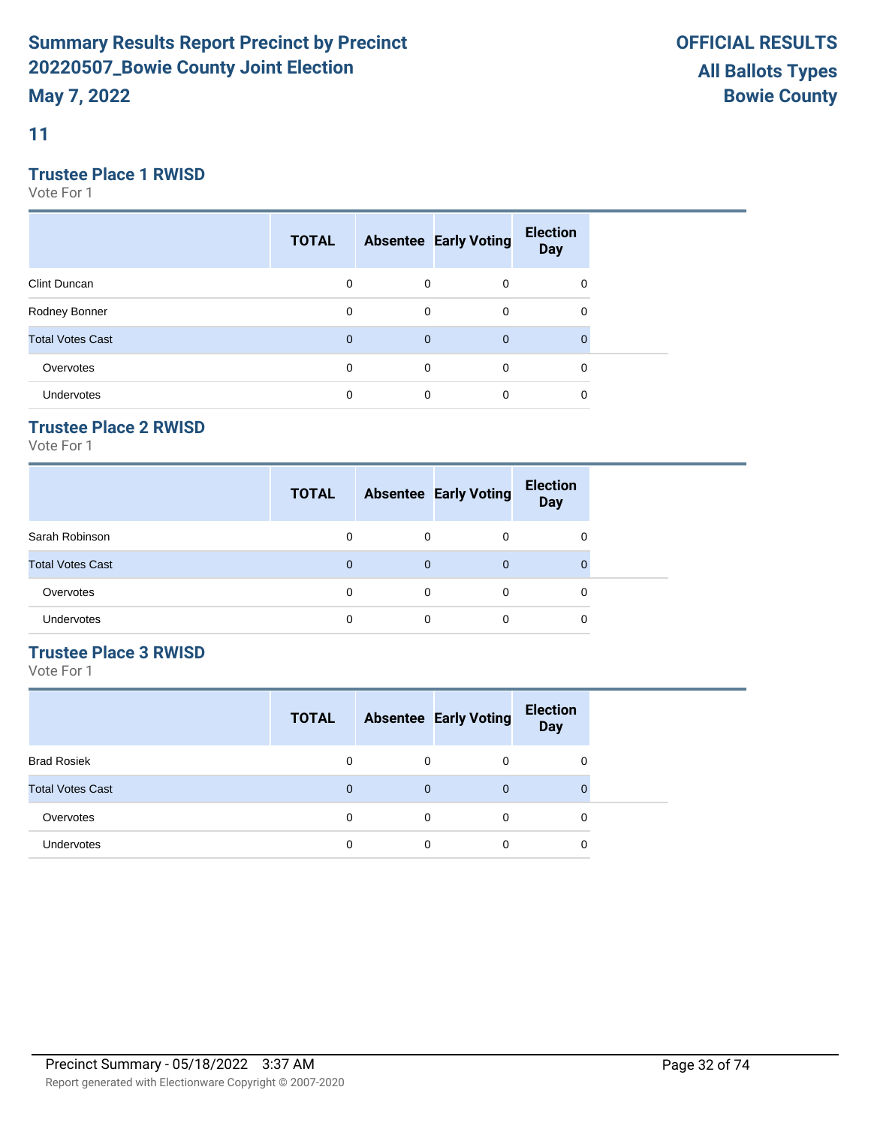**11**

# **Trustee Place 1 RWISD**

Vote For 1

|                         | <b>TOTAL</b> |             | <b>Absentee Early Voting</b> | <b>Election</b><br><b>Day</b> |  |
|-------------------------|--------------|-------------|------------------------------|-------------------------------|--|
| Clint Duncan            | 0            | $\mathbf 0$ | $\mathbf 0$                  | 0                             |  |
| Rodney Bonner           | 0            | $\mathbf 0$ | $\mathbf 0$                  | 0                             |  |
| <b>Total Votes Cast</b> | $\mathbf{0}$ | $\mathbf 0$ | $\overline{0}$               |                               |  |
| Overvotes               | 0            | 0           | $\mathbf 0$                  | 0                             |  |
| Undervotes              | 0            | 0           | 0                            | 0                             |  |

# **Trustee Place 2 RWISD**

Vote For 1

|                         | <b>TOTAL</b> |          | <b>Absentee Early Voting</b> | <b>Election</b><br><b>Day</b> |
|-------------------------|--------------|----------|------------------------------|-------------------------------|
| Sarah Robinson          | 0            | $\Omega$ | 0                            | 0                             |
| <b>Total Votes Cast</b> | $\Omega$     | $\Omega$ | $\Omega$                     |                               |
| Overvotes               | $\Omega$     | $\Omega$ | 0                            | 0                             |
| Undervotes              | 0            | 0        | 0                            | 0                             |

# **Trustee Place 3 RWISD**

| <b>TOTAL</b> |             | <b>Election</b><br><b>Day</b>                               |
|--------------|-------------|-------------------------------------------------------------|
| 0            | $\Omega$    | 0                                                           |
| 0            | $\mathbf 0$ | 0                                                           |
| 0            | $\Omega$    | 0                                                           |
| 0            | 0           | 0                                                           |
|              |             | <b>Absentee Early Voting</b><br>0<br>$\mathbf{0}$<br>0<br>0 |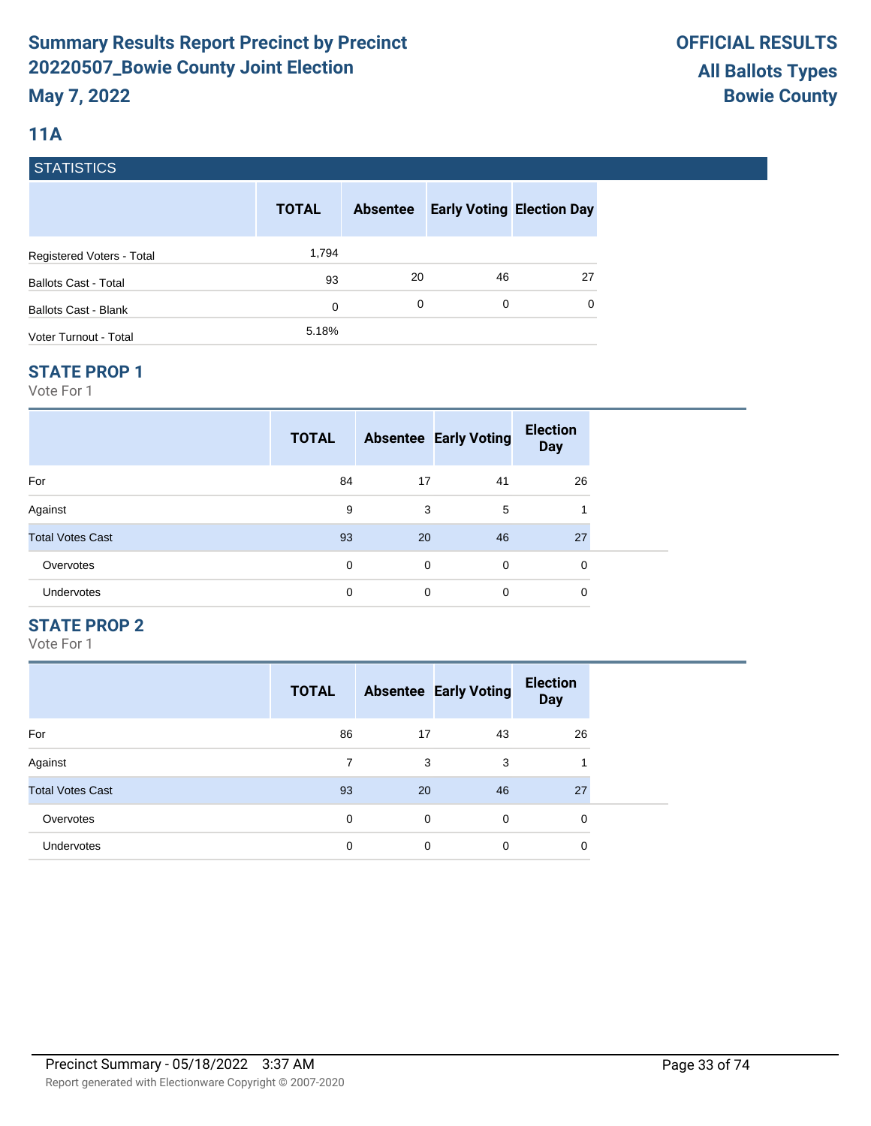# **11A**

# **STATISTICS**

|                             | <b>TOTAL</b> | <b>Absentee</b> | <b>Early Voting Election Day</b> |          |
|-----------------------------|--------------|-----------------|----------------------------------|----------|
| Registered Voters - Total   | 1,794        |                 |                                  |          |
| <b>Ballots Cast - Total</b> | 93           | 20              | 46                               | 27       |
| <b>Ballots Cast - Blank</b> | 0            | 0               | 0                                | $\Omega$ |
| Voter Turnout - Total       | 5.18%        |                 |                                  |          |

## **STATE PROP 1**

Vote For 1

|                         | <b>TOTAL</b> |             | <b>Absentee Early Voting</b> | <b>Election</b><br><b>Day</b> |  |
|-------------------------|--------------|-------------|------------------------------|-------------------------------|--|
| For                     | 84           | 17          | 41                           | 26                            |  |
| Against                 | 9            | 3           | 5                            | 1                             |  |
| <b>Total Votes Cast</b> | 93           | 20          | 46                           | 27                            |  |
| Overvotes               | 0            | $\mathbf 0$ | $\mathbf 0$                  | 0                             |  |
| Undervotes              | 0            | $\mathbf 0$ | $\mathbf 0$                  | 0                             |  |

# **STATE PROP 2**

|                         | <b>TOTAL</b> |    | <b>Absentee Early Voting</b> | <b>Election</b><br><b>Day</b> |
|-------------------------|--------------|----|------------------------------|-------------------------------|
| For                     | 86           | 17 | 43                           | 26                            |
| Against                 | 7            | 3  | 3                            |                               |
| <b>Total Votes Cast</b> | 93           | 20 | 46                           | 27                            |
| Overvotes               | 0            | 0  | $\Omega$                     | $\mathbf 0$                   |
| <b>Undervotes</b>       | 0            | 0  | 0                            | 0                             |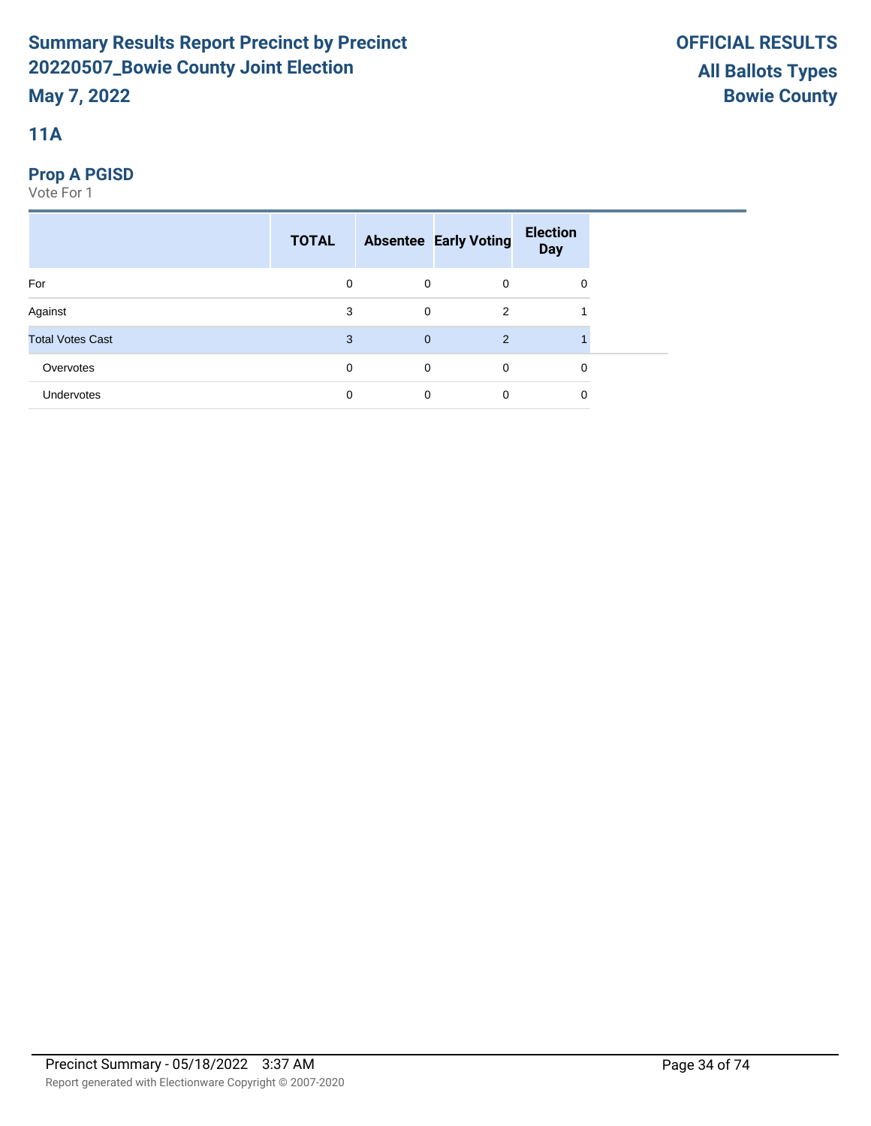# **11A**

# **Prop A PGISD**

|                         | <b>TOTAL</b> |              | <b>Absentee Early Voting</b> | <b>Election</b><br><b>Day</b> |  |
|-------------------------|--------------|--------------|------------------------------|-------------------------------|--|
| For                     | 0            | $\mathbf 0$  | $\mathbf 0$                  | 0                             |  |
| Against                 | 3            | $\mathbf 0$  | 2                            |                               |  |
| <b>Total Votes Cast</b> | 3            | $\mathbf{0}$ | 2                            |                               |  |
| Overvotes               | 0            | $\mathbf 0$  | $\mathbf 0$                  | 0                             |  |
| <b>Undervotes</b>       | $\mathbf 0$  | 0            | $\mathbf 0$                  | 0                             |  |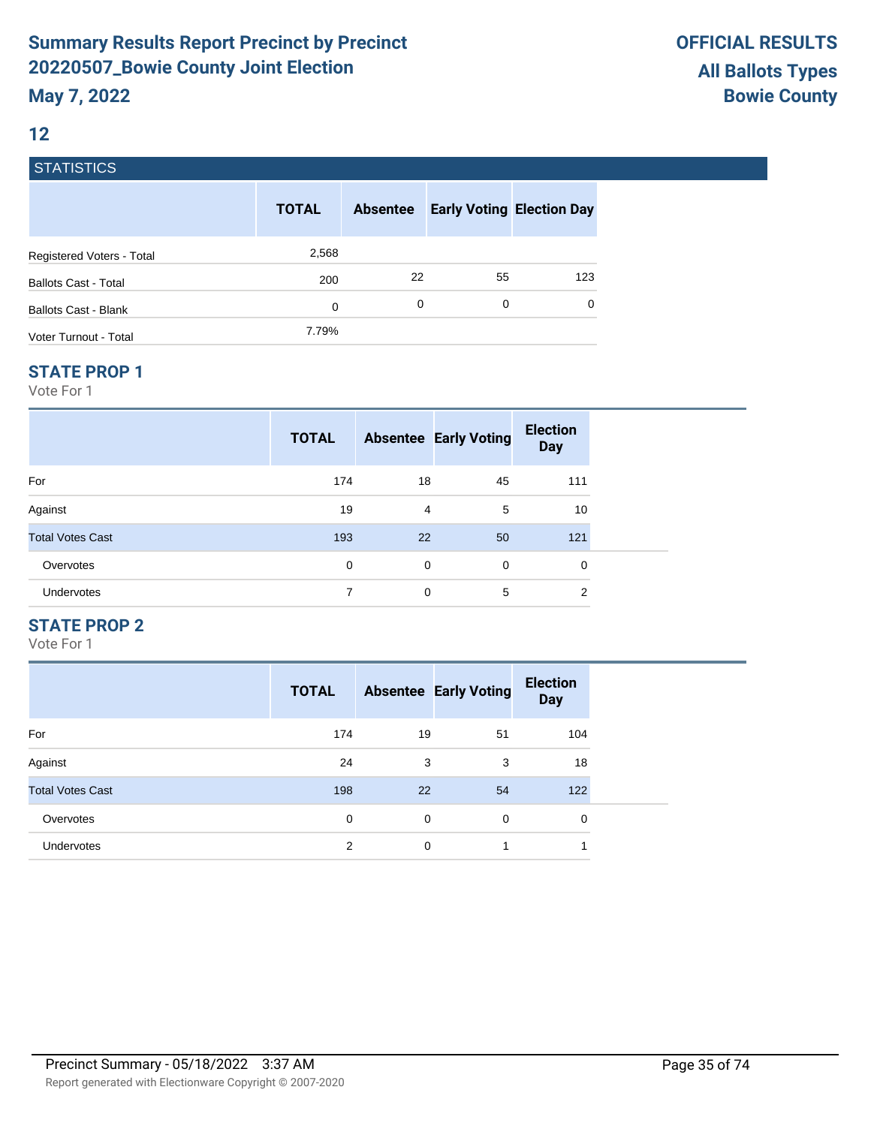# **12**

# **STATISTICS**

|                             | <b>TOTAL</b> | <b>Absentee</b> | <b>Early Voting Election Day</b> |     |
|-----------------------------|--------------|-----------------|----------------------------------|-----|
| Registered Voters - Total   | 2,568        |                 |                                  |     |
| <b>Ballots Cast - Total</b> | 200          | 22              | 55                               | 123 |
| Ballots Cast - Blank        | 0            | 0               | 0                                | 0   |
| Voter Turnout - Total       | 7.79%        |                 |                                  |     |

#### **STATE PROP 1**

Vote For 1

|                         | <b>TOTAL</b> |             | <b>Absentee Early Voting</b> | <b>Election</b><br><b>Day</b> |  |
|-------------------------|--------------|-------------|------------------------------|-------------------------------|--|
| For                     | 174          | 18          | 45                           | 111                           |  |
| Against                 | 19           | 4           | 5                            | 10                            |  |
| <b>Total Votes Cast</b> | 193          | 22          | 50                           | 121                           |  |
| Overvotes               | 0            | $\mathbf 0$ | 0                            | 0                             |  |
| <b>Undervotes</b>       | 7            | $\mathbf 0$ | 5                            | $\overline{2}$                |  |

# **STATE PROP 2**

|                         | <b>TOTAL</b> |    | <b>Absentee Early Voting</b> | <b>Election</b><br><b>Day</b> |
|-------------------------|--------------|----|------------------------------|-------------------------------|
| For                     | 174          | 19 | 51                           | 104                           |
| Against                 | 24           | 3  | 3                            | 18                            |
| <b>Total Votes Cast</b> | 198          | 22 | 54                           | 122                           |
| Overvotes               | 0            | 0  | 0                            | 0                             |
| Undervotes              | 2            | 0  | 1                            | 1                             |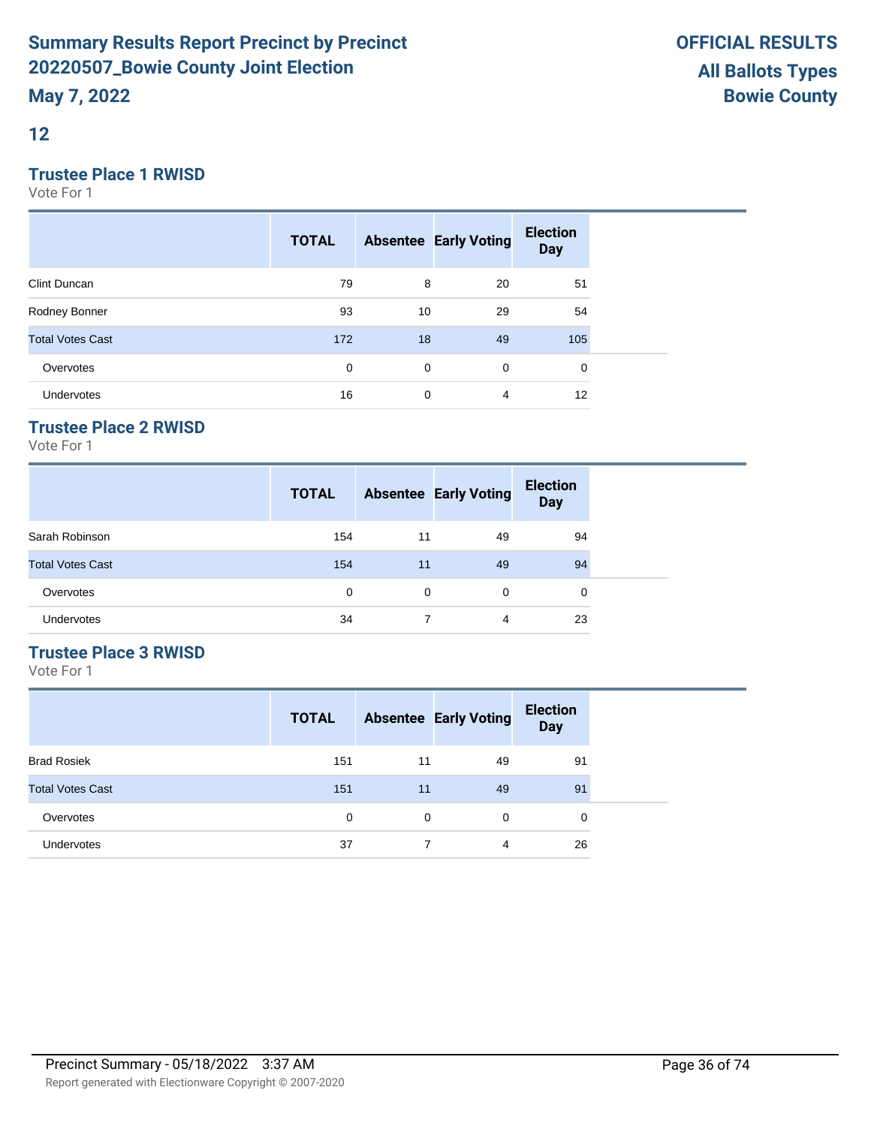**12**

# **Trustee Place 1 RWISD**

Vote For 1

|                         | <b>TOTAL</b> |    | <b>Absentee Early Voting</b> | <b>Election</b><br><b>Day</b> |  |
|-------------------------|--------------|----|------------------------------|-------------------------------|--|
| Clint Duncan            | 79           | 8  | 20                           | 51                            |  |
| Rodney Bonner           | 93           | 10 | 29                           | 54                            |  |
| <b>Total Votes Cast</b> | 172          | 18 | 49                           | 105                           |  |
| Overvotes               | 0            | 0  | $\mathbf 0$                  | $\mathbf 0$                   |  |
| Undervotes              | 16           | 0  | 4                            | 12                            |  |

# **Trustee Place 2 RWISD**

Vote For 1

|                         | <b>TOTAL</b> |          | <b>Absentee Early Voting</b> | <b>Election</b><br><b>Day</b> |
|-------------------------|--------------|----------|------------------------------|-------------------------------|
| Sarah Robinson          | 154          | 11       | 49                           | 94                            |
| <b>Total Votes Cast</b> | 154          | 11       | 49                           | 94                            |
| Overvotes               | $\Omega$     | $\Omega$ | 0                            | 0                             |
| Undervotes              | 34           |          | 4                            | 23                            |

# **Trustee Place 3 RWISD**

|                         | <b>TOTAL</b> |    | <b>Absentee Early Voting</b> | <b>Election</b><br><b>Day</b> |
|-------------------------|--------------|----|------------------------------|-------------------------------|
| <b>Brad Rosiek</b>      | 151          | 11 | 49                           | 91                            |
| <b>Total Votes Cast</b> | 151          | 11 | 49                           | 91                            |
| Overvotes               | 0            | 0  | $\Omega$                     | 0                             |
| <b>Undervotes</b>       | 37           | 7  | 4                            | 26                            |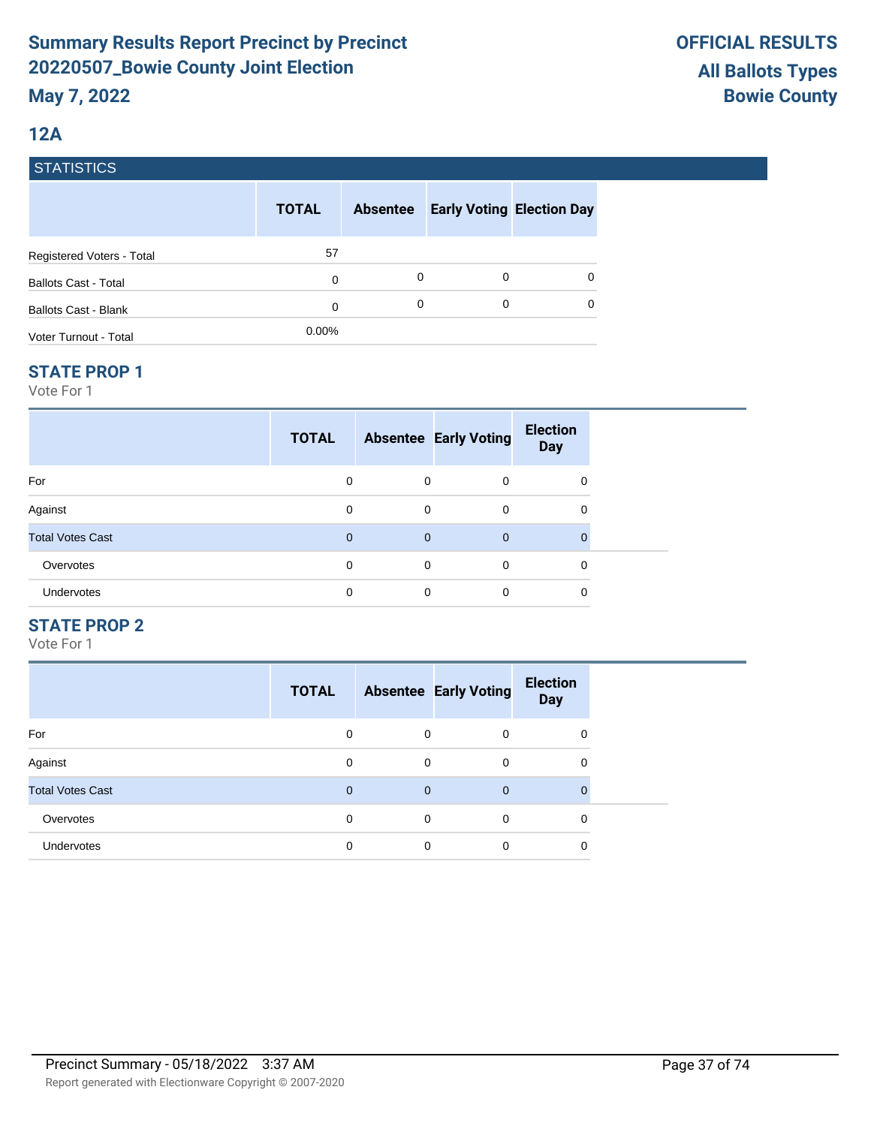### **12A**

#### **STATISTICS**

|                             | <b>TOTAL</b> | <b>Absentee</b> |   | <b>Early Voting Election Day</b> |
|-----------------------------|--------------|-----------------|---|----------------------------------|
| Registered Voters - Total   | 57           |                 |   |                                  |
| <b>Ballots Cast - Total</b> | 0            | 0               | 0 | 0                                |
| Ballots Cast - Blank        | 0            | 0               | 0 | 0                                |
| Voter Turnout - Total       | $0.00\%$     |                 |   |                                  |

#### **STATE PROP 1**

Vote For 1

|                         | <b>TOTAL</b> |                | <b>Absentee Early Voting</b> | <b>Election</b><br><b>Day</b> |  |
|-------------------------|--------------|----------------|------------------------------|-------------------------------|--|
| For                     | 0            | 0              | $\Omega$                     | 0                             |  |
| Against                 | $\Omega$     | $\mathbf 0$    | $\Omega$                     | 0                             |  |
| <b>Total Votes Cast</b> | $\Omega$     | $\overline{0}$ | $\overline{0}$               | $\mathbf 0$                   |  |
| Overvotes               | 0            | 0              | $\Omega$                     | 0                             |  |
| Undervotes              | 0            | 0              | $\Omega$                     | 0                             |  |

### **STATE PROP 2**

|                         | <b>TOTAL</b> |              | <b>Absentee Early Voting</b> | <b>Election</b><br><b>Day</b> |
|-------------------------|--------------|--------------|------------------------------|-------------------------------|
| For                     | $\Omega$     | 0            | $\Omega$                     | 0                             |
| Against                 | 0            | 0            | 0                            | 0                             |
| <b>Total Votes Cast</b> | $\mathbf 0$  | $\mathbf{0}$ | $\mathbf 0$                  | $\mathbf 0$                   |
| Overvotes               | $\Omega$     | 0            | $\Omega$                     | 0                             |
| <b>Undervotes</b>       | 0            | 0            | 0                            | 0                             |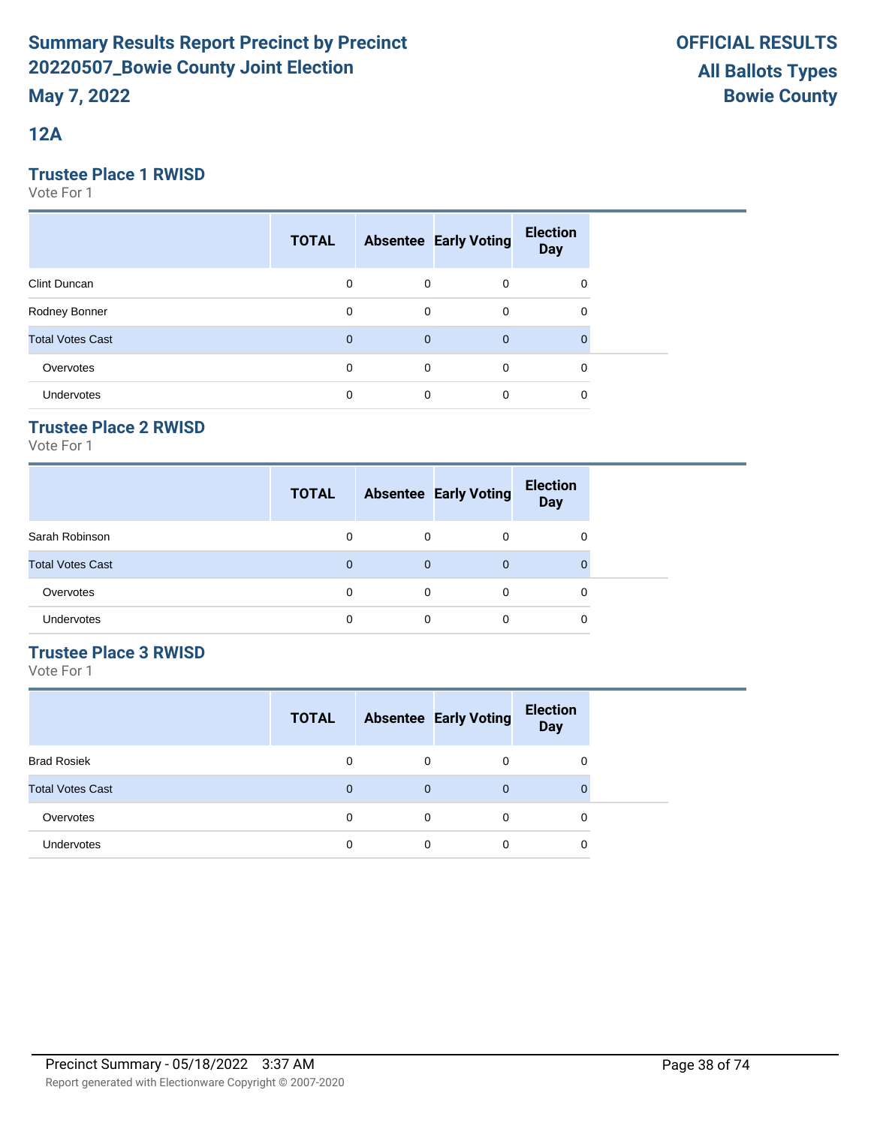**12A**

### **Trustee Place 1 RWISD**

Vote For 1

|                         | <b>TOTAL</b> |             | <b>Absentee Early Voting</b> | <b>Election</b><br><b>Day</b> |  |
|-------------------------|--------------|-------------|------------------------------|-------------------------------|--|
| Clint Duncan            | $\mathbf 0$  | 0           | $\mathbf 0$                  | 0                             |  |
| Rodney Bonner           | $\Omega$     | $\mathbf 0$ | $\mathbf 0$                  | 0                             |  |
| <b>Total Votes Cast</b> | $\mathbf 0$  | $\mathbf 0$ | $\overline{0}$               |                               |  |
| Overvotes               | $\Omega$     | 0           | $\mathbf 0$                  | 0                             |  |
| <b>Undervotes</b>       | 0            | 0           | 0                            | 0                             |  |

### **Trustee Place 2 RWISD**

Vote For 1

|                         | <b>TOTAL</b> |          | <b>Absentee Early Voting</b> | <b>Election</b><br><b>Day</b> |
|-------------------------|--------------|----------|------------------------------|-------------------------------|
| Sarah Robinson          | 0            | $\Omega$ | 0                            | 0                             |
| <b>Total Votes Cast</b> | $\Omega$     | $\Omega$ | $\Omega$                     | 0                             |
| Overvotes               | $\Omega$     | $\Omega$ | 0                            | 0                             |
| Undervotes              | 0            | 0        | 0                            | 0                             |

### **Trustee Place 3 RWISD**

|                         | <b>TOTAL</b> |          | <b>Absentee Early Voting</b> | <b>Election</b><br><b>Day</b> |
|-------------------------|--------------|----------|------------------------------|-------------------------------|
| <b>Brad Rosiek</b>      | 0            | 0        | 0                            | 0                             |
| <b>Total Votes Cast</b> | 0            | 0        | $\mathbf 0$                  | 0                             |
| Overvotes               | 0            | $\Omega$ | $\Omega$                     | 0                             |
| Undervotes              | 0            | $\Omega$ | 0                            | 0                             |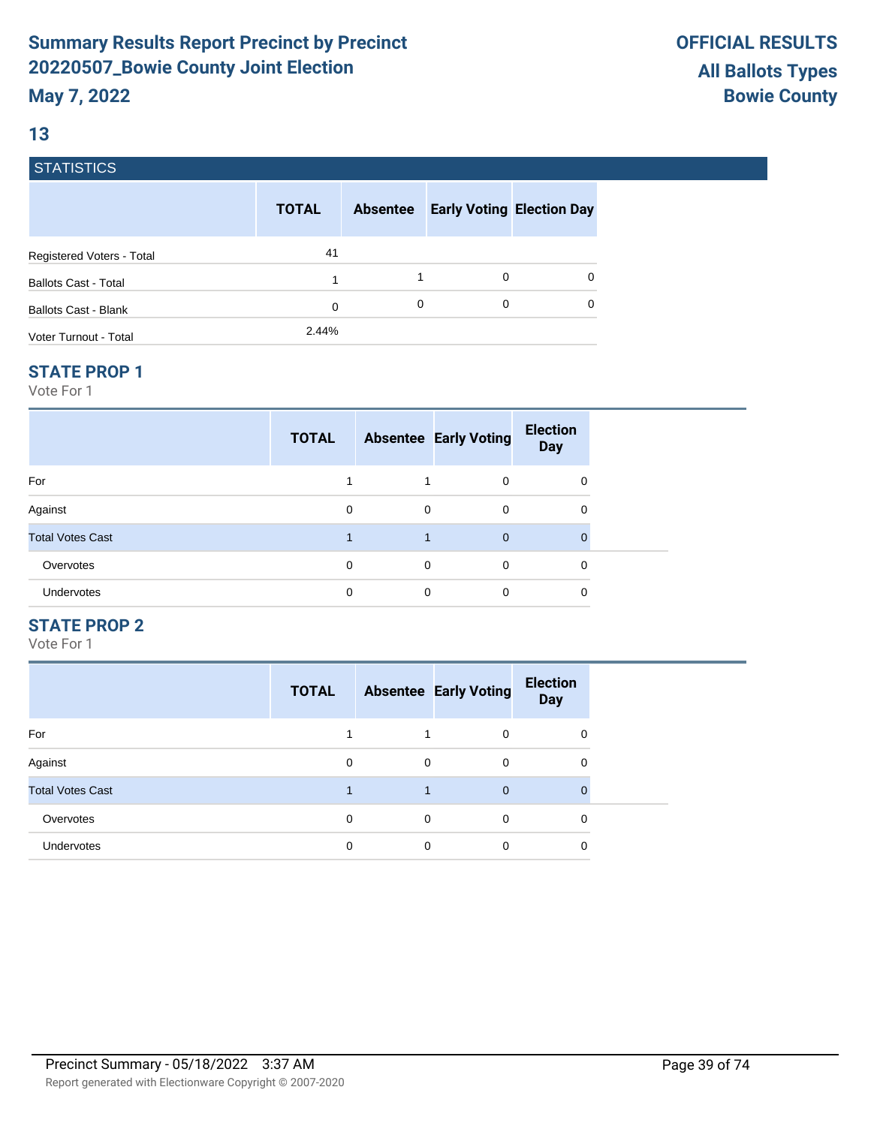### **13**

### **STATISTICS**

|                             | <b>TOTAL</b> | <b>Absentee</b> |   | <b>Early Voting Election Day</b> |
|-----------------------------|--------------|-----------------|---|----------------------------------|
| Registered Voters - Total   | 41           |                 |   |                                  |
| <b>Ballots Cast - Total</b> | 1            |                 | 0 | 0                                |
| <b>Ballots Cast - Blank</b> | 0            | 0               | 0 | $\Omega$                         |
| Voter Turnout - Total       | 2.44%        |                 |   |                                  |

#### **STATE PROP 1**

Vote For 1

|                         | <b>TOTAL</b> |             | <b>Absentee Early Voting</b> | <b>Election</b><br><b>Day</b> |  |
|-------------------------|--------------|-------------|------------------------------|-------------------------------|--|
| For                     |              |             | $\Omega$                     | 0                             |  |
| Against                 | 0            | $\mathbf 0$ | $\Omega$                     | 0                             |  |
| <b>Total Votes Cast</b> |              |             | $\Omega$                     | $\mathbf 0$                   |  |
| Overvotes               | 0            | $\mathbf 0$ | $\Omega$                     | 0                             |  |
| Undervotes              | 0            | 0           | $\Omega$                     | 0                             |  |

#### **STATE PROP 2**

|                         | <b>TOTAL</b> |   | <b>Absentee Early Voting</b> | <b>Election</b><br><b>Day</b> |
|-------------------------|--------------|---|------------------------------|-------------------------------|
| For                     |              |   | $\Omega$                     | 0                             |
| Against                 | 0            | 0 | 0                            | 0                             |
| <b>Total Votes Cast</b> |              |   | $\mathbf 0$                  | $\Omega$                      |
| Overvotes               | $\Omega$     | 0 | $\Omega$                     | 0                             |
| <b>Undervotes</b>       | 0            | 0 | 0                            | 0                             |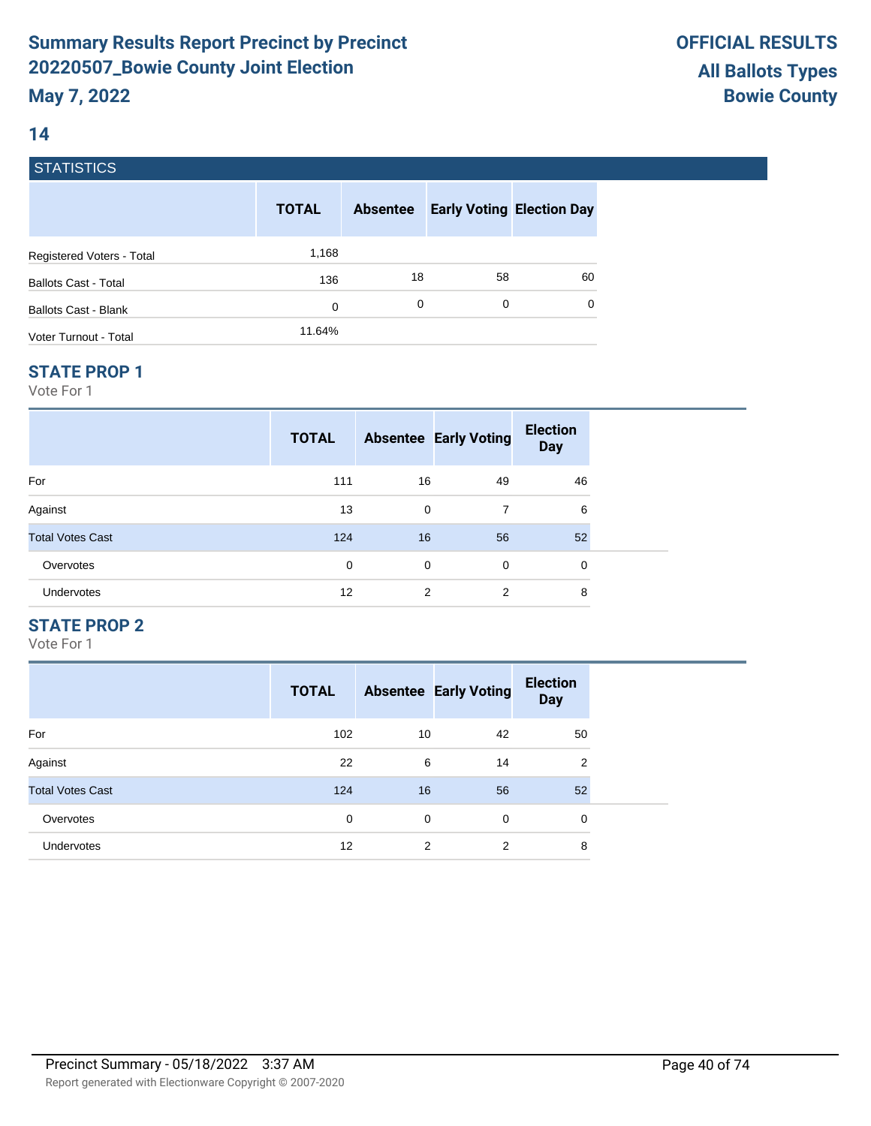### **14**

### **STATISTICS**

|                             | <b>TOTAL</b> | <b>Absentee</b> | <b>Early Voting Election Day</b> |          |
|-----------------------------|--------------|-----------------|----------------------------------|----------|
| Registered Voters - Total   | 1,168        |                 |                                  |          |
| <b>Ballots Cast - Total</b> | 136          | 18              | 58                               | 60       |
| Ballots Cast - Blank        | 0            | 0               | 0                                | $\Omega$ |
| Voter Turnout - Total       | 11.64%       |                 |                                  |          |

#### **STATE PROP 1**

Vote For 1

|                         | <b>TOTAL</b> |             | <b>Absentee Early Voting</b> | <b>Election</b><br><b>Day</b> |  |
|-------------------------|--------------|-------------|------------------------------|-------------------------------|--|
| For                     | 111          | 16          | 49                           | 46                            |  |
| Against                 | 13           | $\mathbf 0$ | 7                            | 6                             |  |
| <b>Total Votes Cast</b> | 124          | 16          | 56                           | 52                            |  |
| Overvotes               | 0            | $\mathbf 0$ | 0                            | 0                             |  |
| <b>Undervotes</b>       | 12           | 2           | 2                            | 8                             |  |

### **STATE PROP 2**

|                         | <b>TOTAL</b> |    | <b>Absentee Early Voting</b> | <b>Election</b><br><b>Day</b> |
|-------------------------|--------------|----|------------------------------|-------------------------------|
| For                     | 102          | 10 | 42                           | 50                            |
| Against                 | 22           | 6  | 14                           | $\overline{2}$                |
| <b>Total Votes Cast</b> | 124          | 16 | 56                           | 52                            |
| Overvotes               | 0            | 0  | $\Omega$                     | 0                             |
| Undervotes              | 12           | 2  | $\overline{2}$               | 8                             |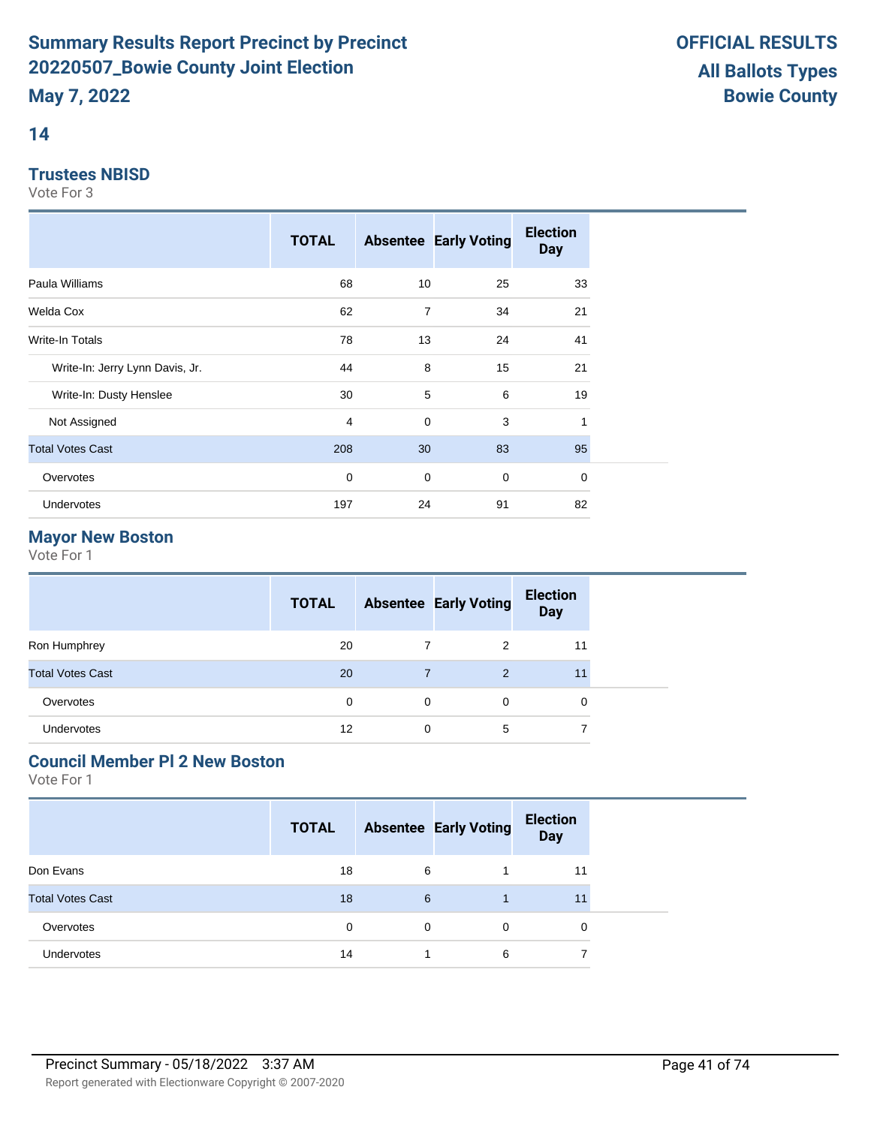### **14**

### **Trustees NBISD**

Vote For 3

|                                 | <b>TOTAL</b> |                | <b>Absentee Early Voting</b> | <b>Election</b><br><b>Day</b> |
|---------------------------------|--------------|----------------|------------------------------|-------------------------------|
| Paula Williams                  | 68           | 10             | 25                           | 33                            |
| Welda Cox                       | 62           | $\overline{7}$ | 34                           | 21                            |
| Write-In Totals                 | 78           | 13             | 24                           | 41                            |
| Write-In: Jerry Lynn Davis, Jr. | 44           | 8              | 15                           | 21                            |
| Write-In: Dusty Henslee         | 30           | 5              | 6                            | 19                            |
| Not Assigned                    | 4            | $\mathbf 0$    | 3                            |                               |
| <b>Total Votes Cast</b>         | 208          | 30             | 83                           | 95                            |
| Overvotes                       | 0            | $\mathbf 0$    | $\mathbf 0$                  | $\mathbf 0$                   |
| Undervotes                      | 197          | 24             | 91                           | 82                            |

## **Mayor New Boston**

Vote For 1

| 7                                                          |              | <b>TOTAL</b> | <b>Absentee Early Voting</b> | <b>Election</b><br><b>Day</b> |  |
|------------------------------------------------------------|--------------|--------------|------------------------------|-------------------------------|--|
|                                                            | Ron Humphrey | 20           | 2                            | 11                            |  |
| <b>Total Votes Cast</b><br>20<br>11<br>2<br>$\overline{7}$ |              |              |                              |                               |  |
| Overvotes<br>$\Omega$<br>$\Omega$<br>0<br>0                |              |              |                              |                               |  |
| <b>Undervotes</b><br>12<br>5<br>⇁<br>0                     |              |              |                              |                               |  |

# **Council Member Pl 2 New Boston**

|                         | <b>TOTAL</b> |   | <b>Absentee Early Voting</b> | <b>Election</b><br><b>Day</b> |  |
|-------------------------|--------------|---|------------------------------|-------------------------------|--|
| Don Evans               | 18           | 6 |                              | 11                            |  |
| <b>Total Votes Cast</b> | 18           | 6 |                              | 11                            |  |
| Overvotes               | 0            | 0 | 0                            | 0                             |  |
| <b>Undervotes</b>       | 14           |   | 6                            | 7                             |  |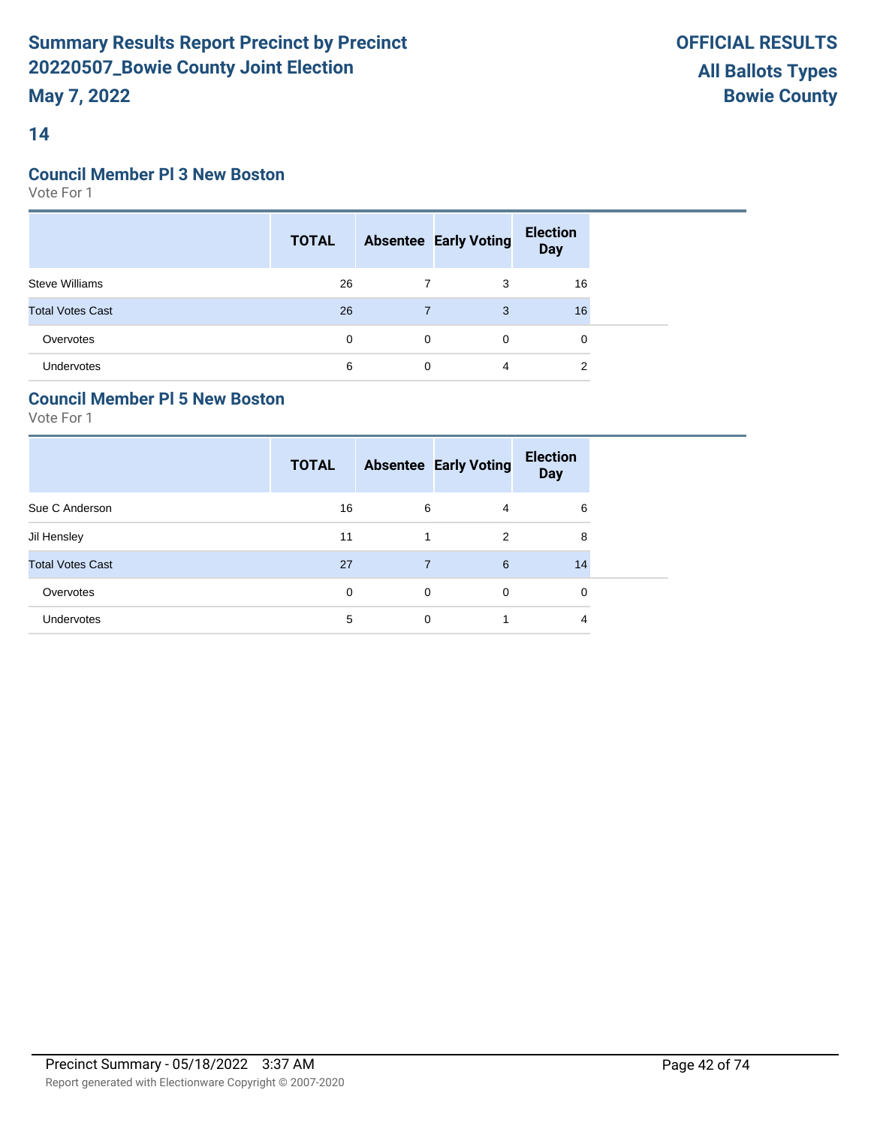### **14**

#### **Council Member Pl 3 New Boston**

Vote For 1

|                         | <b>TOTAL</b> |          | <b>Absentee Early Voting</b> | <b>Election</b><br>Day |  |
|-------------------------|--------------|----------|------------------------------|------------------------|--|
| <b>Steve Williams</b>   | 26           |          | 3                            | 16                     |  |
| <b>Total Votes Cast</b> | 26           |          | 3                            | 16                     |  |
| Overvotes               | $\Omega$     | $\Omega$ | $\Omega$                     | $\Omega$               |  |
| <b>Undervotes</b>       | 6            | $\Omega$ | 4                            | 2                      |  |

### **Council Member Pl 5 New Boston**

|                         | <b>TOTAL</b> |             | <b>Absentee Early Voting</b> | <b>Election</b><br><b>Day</b> |
|-------------------------|--------------|-------------|------------------------------|-------------------------------|
| Sue C Anderson          | 16           | 6           | 4                            | 6                             |
| Jil Hensley             | 11           |             | 2                            | 8                             |
| <b>Total Votes Cast</b> | 27           | 7           | 6                            | 14                            |
| Overvotes               | 0            | $\mathbf 0$ | 0                            | 0                             |
| Undervotes              | 5            | 0           |                              | 4                             |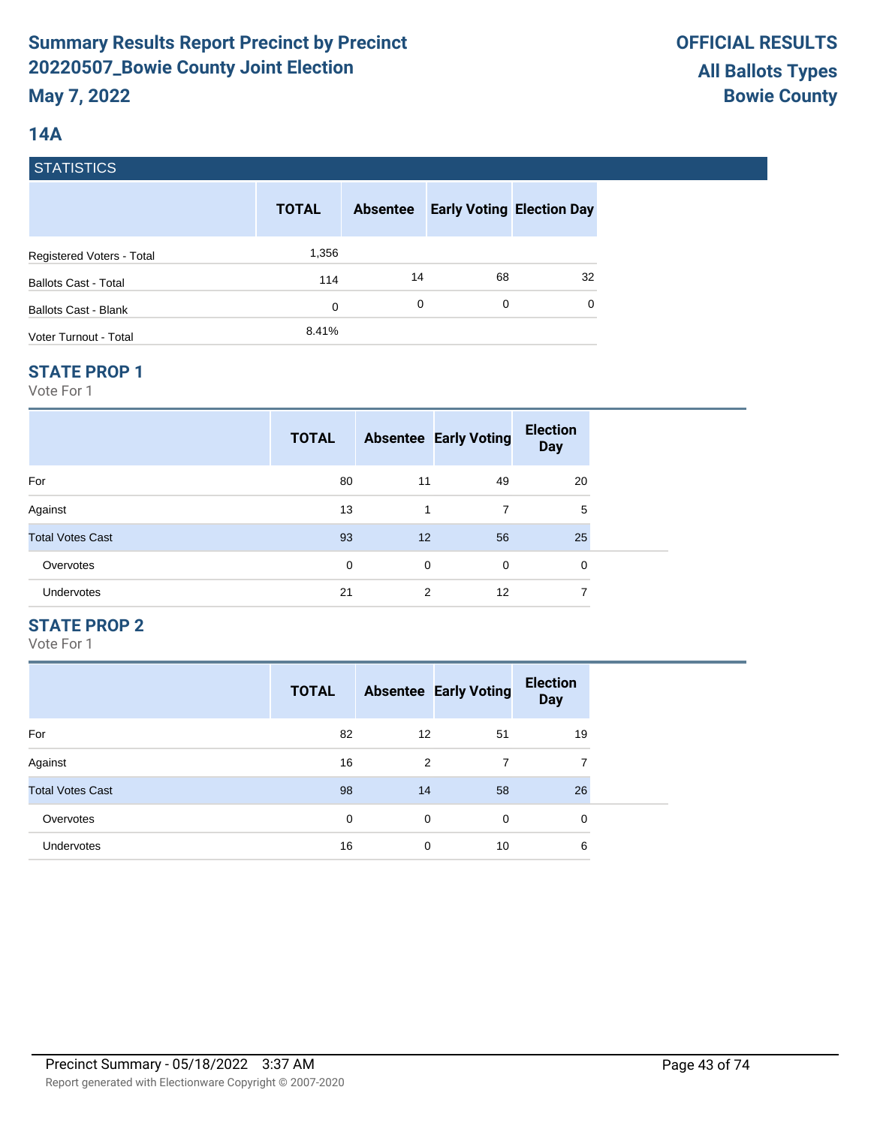### **14A**

### **STATISTICS**

|                             | <b>TOTAL</b> | <b>Absentee</b> | <b>Early Voting Election Day</b> |    |
|-----------------------------|--------------|-----------------|----------------------------------|----|
| Registered Voters - Total   | 1,356        |                 |                                  |    |
| <b>Ballots Cast - Total</b> | 114          | 14              | 68                               | 32 |
| Ballots Cast - Blank        | 0            | 0               | 0                                | 0  |
| Voter Turnout - Total       | 8.41%        |                 |                                  |    |

#### **STATE PROP 1**

Vote For 1

|                         | <b>TOTAL</b> |    | <b>Absentee Early Voting</b> | <b>Election</b><br><b>Day</b> |  |
|-------------------------|--------------|----|------------------------------|-------------------------------|--|
| For                     | 80           | 11 | 49                           | 20                            |  |
| Against                 | 13           | 1  | 7                            | 5                             |  |
| <b>Total Votes Cast</b> | 93           | 12 | 56                           | 25                            |  |
| Overvotes               | 0            | 0  | $\Omega$                     | 0                             |  |
| Undervotes              | 21           | 2  | 12                           | 7                             |  |

### **STATE PROP 2**

|                         | <b>TOTAL</b> |                | <b>Absentee Early Voting</b> | <b>Election</b><br><b>Day</b> |
|-------------------------|--------------|----------------|------------------------------|-------------------------------|
| For                     | 82           | 12             | 51                           | 19                            |
| Against                 | 16           | $\overline{2}$ | 7                            | 7                             |
| <b>Total Votes Cast</b> | 98           | 14             | 58                           | 26                            |
| Overvotes               | $\mathbf 0$  | $\mathbf 0$    | $\Omega$                     | 0                             |
| <b>Undervotes</b>       | 16           | $\mathbf 0$    | 10                           | 6                             |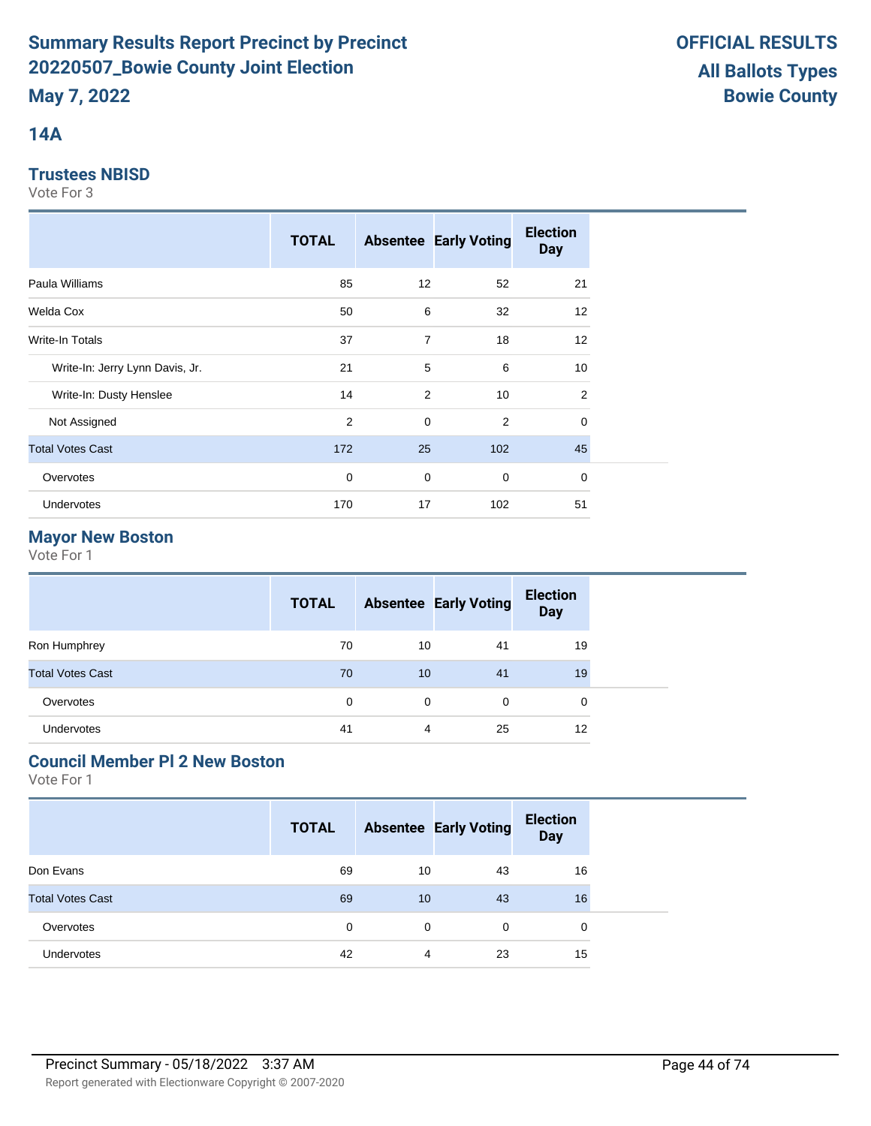### **14A**

### **Trustees NBISD**

Vote For 3

|                                 | <b>TOTAL</b> |                | <b>Absentee Early Voting</b> | <b>Election</b><br><b>Day</b> |
|---------------------------------|--------------|----------------|------------------------------|-------------------------------|
| Paula Williams                  | 85           | 12             | 52                           | 21                            |
| Welda Cox                       | 50           | 6              | 32                           | 12                            |
| <b>Write-In Totals</b>          | 37           | $\overline{7}$ | 18                           | 12                            |
| Write-In: Jerry Lynn Davis, Jr. | 21           | 5              | 6                            | 10                            |
| Write-In: Dusty Henslee         | 14           | 2              | 10                           | 2                             |
| Not Assigned                    | 2            | $\mathbf 0$    | 2                            | $\mathbf 0$                   |
| <b>Total Votes Cast</b>         | 172          | 25             | 102                          | 45                            |
| Overvotes                       | 0            | $\mathbf 0$    | $\mathbf 0$                  | $\mathbf 0$                   |
| Undervotes                      | 170          | 17             | 102                          | 51                            |

## **Mayor New Boston**

Vote For 1

|                         | <b>TOTAL</b> |    | <b>Absentee Early Voting</b> | <b>Election</b><br><b>Day</b> |  |
|-------------------------|--------------|----|------------------------------|-------------------------------|--|
| Ron Humphrey            | 70           | 10 | -41                          | 19                            |  |
| <b>Total Votes Cast</b> | 70           | 10 | 41                           | 19                            |  |
| Overvotes               | 0            | 0  | 0                            | 0                             |  |
| Undervotes              | 41           | 4  | 25                           | 12                            |  |

# **Council Member Pl 2 New Boston**

|                         | <b>TOTAL</b> |    | <b>Absentee Early Voting</b> | <b>Election</b><br><b>Day</b> |  |
|-------------------------|--------------|----|------------------------------|-------------------------------|--|
| Don Evans               | 69           | 10 | 43                           | 16                            |  |
| <b>Total Votes Cast</b> | 69           | 10 | 43                           | 16                            |  |
| Overvotes               | 0            | 0  | 0                            | $\Omega$                      |  |
| <b>Undervotes</b>       | 42           | 4  | 23                           | 15                            |  |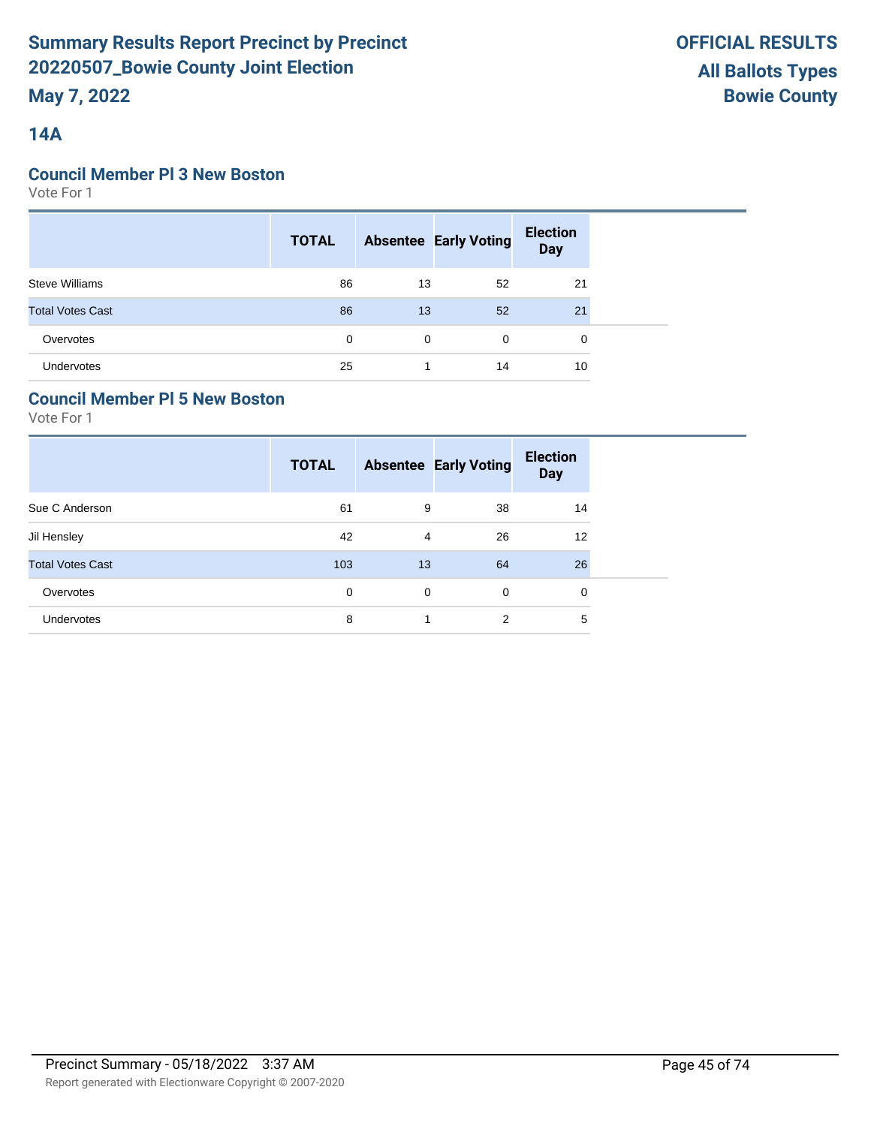### **14A**

### **Council Member Pl 3 New Boston**

Vote For 1

|                         | <b>TOTAL</b> |    | <b>Absentee Early Voting</b> | <b>Election</b><br>Day |  |
|-------------------------|--------------|----|------------------------------|------------------------|--|
| <b>Steve Williams</b>   | 86           | 13 | 52                           | 21                     |  |
| <b>Total Votes Cast</b> | 86           | 13 | 52                           | 21                     |  |
| Overvotes               | 0            | 0  | $\Omega$                     | $\Omega$               |  |
| Undervotes              | 25           |    | 14                           | 10                     |  |

### **Council Member Pl 5 New Boston**

|                         | <b>TOTAL</b> |    | <b>Absentee Early Voting</b> | <b>Election</b><br><b>Day</b> |
|-------------------------|--------------|----|------------------------------|-------------------------------|
| Sue C Anderson          | 61           | 9  | 38                           | 14                            |
| Jil Hensley             | 42           | 4  | 26                           | 12                            |
| <b>Total Votes Cast</b> | 103          | 13 | 64                           | 26                            |
| Overvotes               | 0            | 0  | 0                            | 0                             |
| Undervotes              | 8            |    | 2                            | 5                             |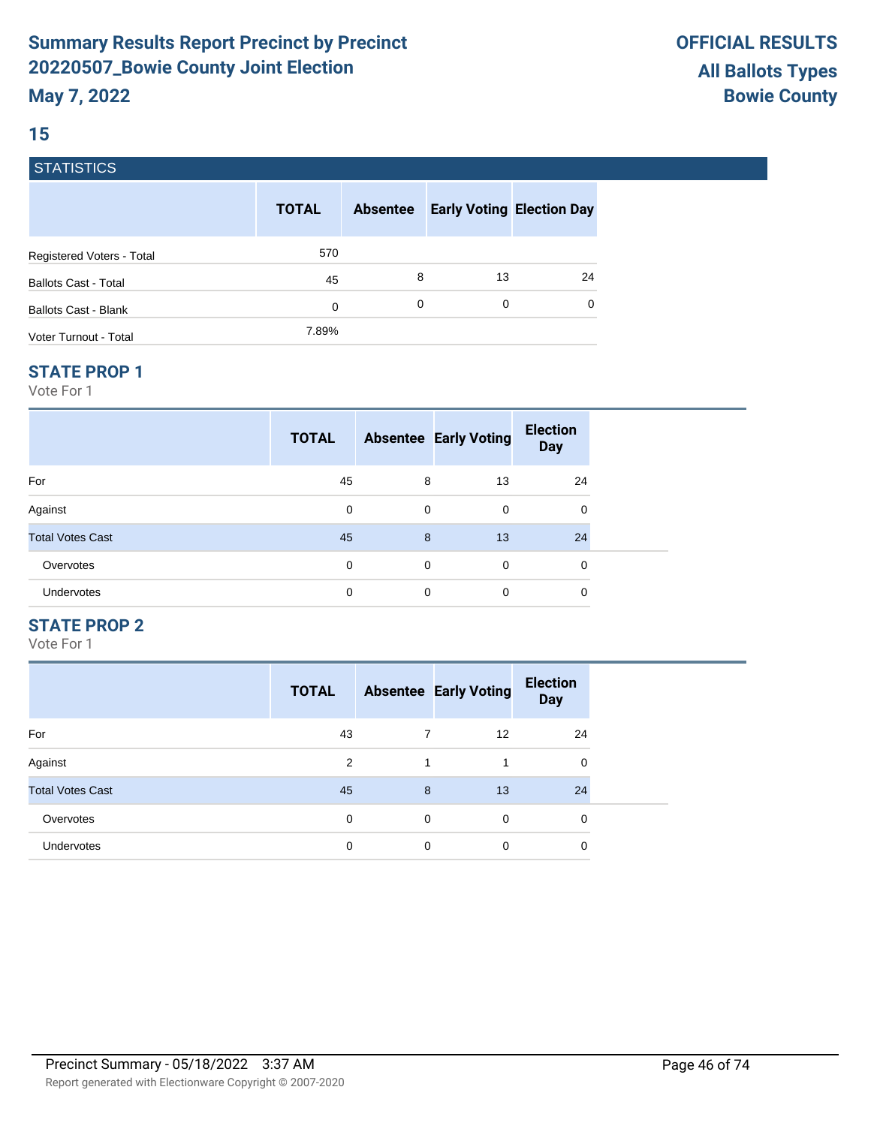# **15**

### **STATISTICS**

|                             | <b>TOTAL</b> | <b>Absentee</b> | <b>Early Voting Election Day</b> |    |
|-----------------------------|--------------|-----------------|----------------------------------|----|
| Registered Voters - Total   | 570          |                 |                                  |    |
| <b>Ballots Cast - Total</b> | 45           | 8               | 13                               | 24 |
| <b>Ballots Cast - Blank</b> | 0            | 0               | 0                                | 0  |
| Voter Turnout - Total       | 7.89%        |                 |                                  |    |

#### **STATE PROP 1**

Vote For 1

|                         | <b>TOTAL</b> |             | <b>Absentee Early Voting</b> | <b>Election</b><br><b>Day</b> |  |
|-------------------------|--------------|-------------|------------------------------|-------------------------------|--|
| For                     | 45           | 8           | 13                           | 24                            |  |
| Against                 | 0            | $\mathbf 0$ | $\mathbf 0$                  | 0                             |  |
| <b>Total Votes Cast</b> | 45           | 8           | 13                           | 24                            |  |
| Overvotes               | 0            | $\mathbf 0$ | $\Omega$                     | 0                             |  |
| Undervotes              | 0            | 0           | $\mathbf 0$                  | 0                             |  |

### **STATE PROP 2**

|                         | <b>TOTAL</b> |   | <b>Absentee Early Voting</b> | <b>Election</b><br><b>Day</b> |
|-------------------------|--------------|---|------------------------------|-------------------------------|
| For                     | 43           |   | $12 \overline{ }$            | 24                            |
| Against                 | 2            |   |                              | 0                             |
| <b>Total Votes Cast</b> | 45           | 8 | 13                           | 24                            |
| Overvotes               | $\mathbf 0$  | 0 | $\mathbf 0$                  | 0                             |
| Undervotes              | 0            | 0 | 0                            | 0                             |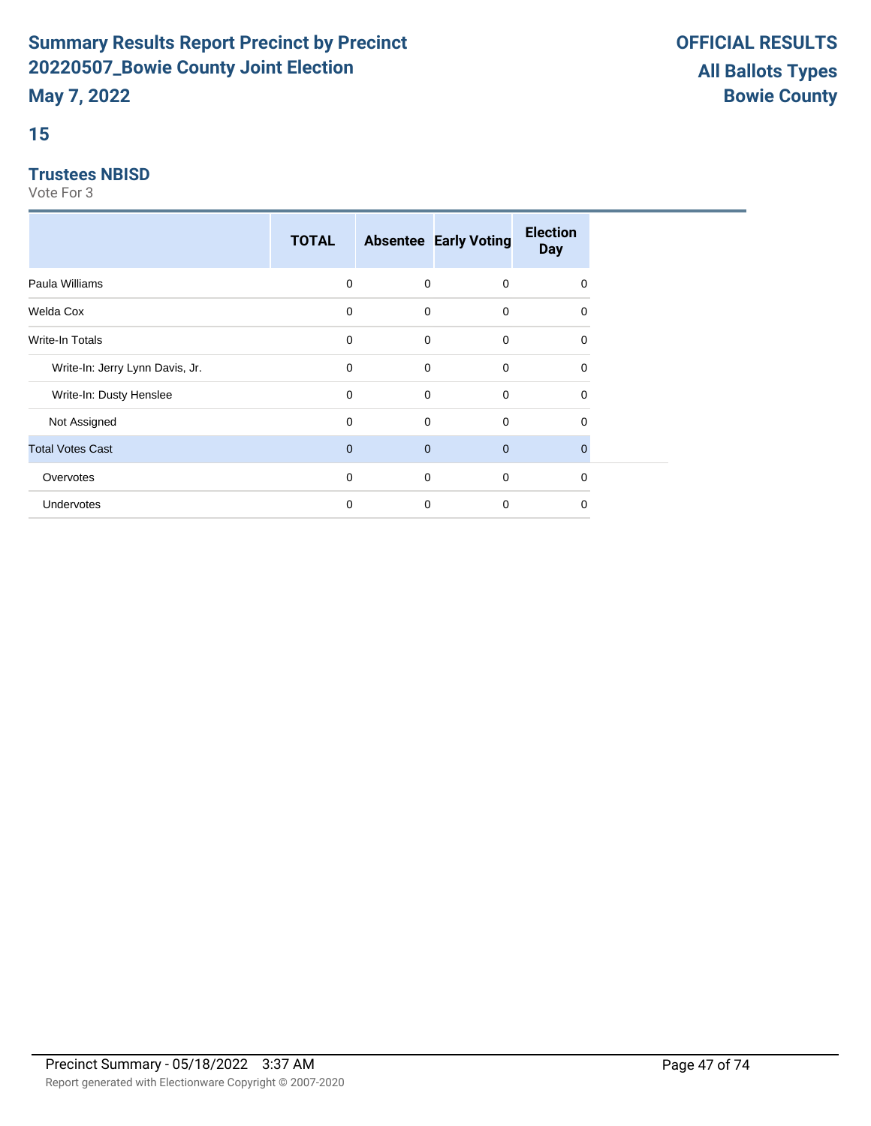## **15**

#### **Trustees NBISD**

|                                 | <b>TOTAL</b> |             | <b>Absentee Early Voting</b> | <b>Election</b><br><b>Day</b> |  |
|---------------------------------|--------------|-------------|------------------------------|-------------------------------|--|
| Paula Williams                  | 0            | 0           | 0                            | 0                             |  |
| Welda Cox                       | 0            | $\mathbf 0$ | $\mathbf 0$                  | $\Omega$                      |  |
| Write-In Totals                 | 0            | 0           | $\mathbf 0$                  | $\mathbf 0$                   |  |
| Write-In: Jerry Lynn Davis, Jr. | 0            | 0           | 0                            | $\Omega$                      |  |
| Write-In: Dusty Henslee         | $\mathbf 0$  | 0           | $\mathbf 0$                  | $\Omega$                      |  |
| Not Assigned                    | $\mathbf 0$  | 0           | $\mathbf 0$                  | 0                             |  |
| <b>Total Votes Cast</b>         | $\mathbf{0}$ | $\mathbf 0$ | $\mathbf 0$                  | $\Omega$                      |  |
| Overvotes                       | 0            | 0           | $\mathbf 0$                  | $\mathbf 0$                   |  |
| <b>Undervotes</b>               | $\mathbf 0$  | $\mathbf 0$ | $\mathbf 0$                  | 0                             |  |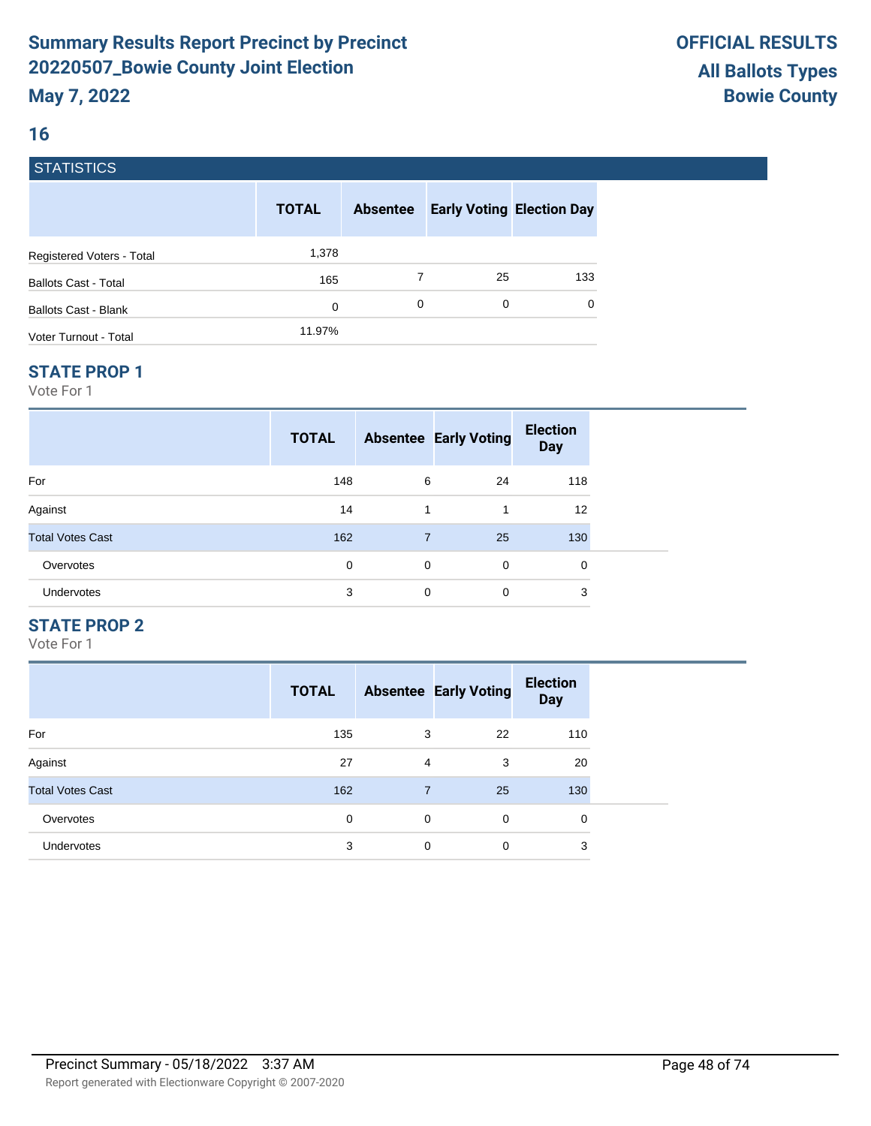### **16**

### **STATISTICS**

|                             | <b>TOTAL</b> | <b>Absentee</b> |    | <b>Early Voting Election Day</b> |
|-----------------------------|--------------|-----------------|----|----------------------------------|
| Registered Voters - Total   | 1,378        |                 |    |                                  |
| <b>Ballots Cast - Total</b> | 165          |                 | 25 | 133                              |
| Ballots Cast - Blank        | 0            | 0               | 0  | $\Omega$                         |
| Voter Turnout - Total       | 11.97%       |                 |    |                                  |

#### **STATE PROP 1**

Vote For 1

|                         | <b>TOTAL</b> |                | <b>Absentee Early Voting</b> | <b>Election</b><br><b>Day</b> |  |
|-------------------------|--------------|----------------|------------------------------|-------------------------------|--|
| For                     | 148          | 6              | 24                           | 118                           |  |
| Against                 | 14           | 1              | -1                           | 12                            |  |
| <b>Total Votes Cast</b> | 162          | $\overline{7}$ | 25                           | 130                           |  |
| Overvotes               | 0            | $\mathbf 0$    | 0                            | 0                             |  |
| <b>Undervotes</b>       | 3            | $\mathbf 0$    | 0                            | 3                             |  |

### **STATE PROP 2**

|                         | <b>TOTAL</b> |                | <b>Absentee Early Voting</b> | <b>Election</b><br><b>Day</b> |
|-------------------------|--------------|----------------|------------------------------|-------------------------------|
| For                     | 135          | 3              | 22                           | 110                           |
| Against                 | 27           | 4              | 3                            | 20                            |
| <b>Total Votes Cast</b> | 162          | $\overline{7}$ | 25                           | 130                           |
| Overvotes               | 0            | 0              | $\mathbf 0$                  | 0                             |
| Undervotes              | 3            | 0              | 0                            | 3                             |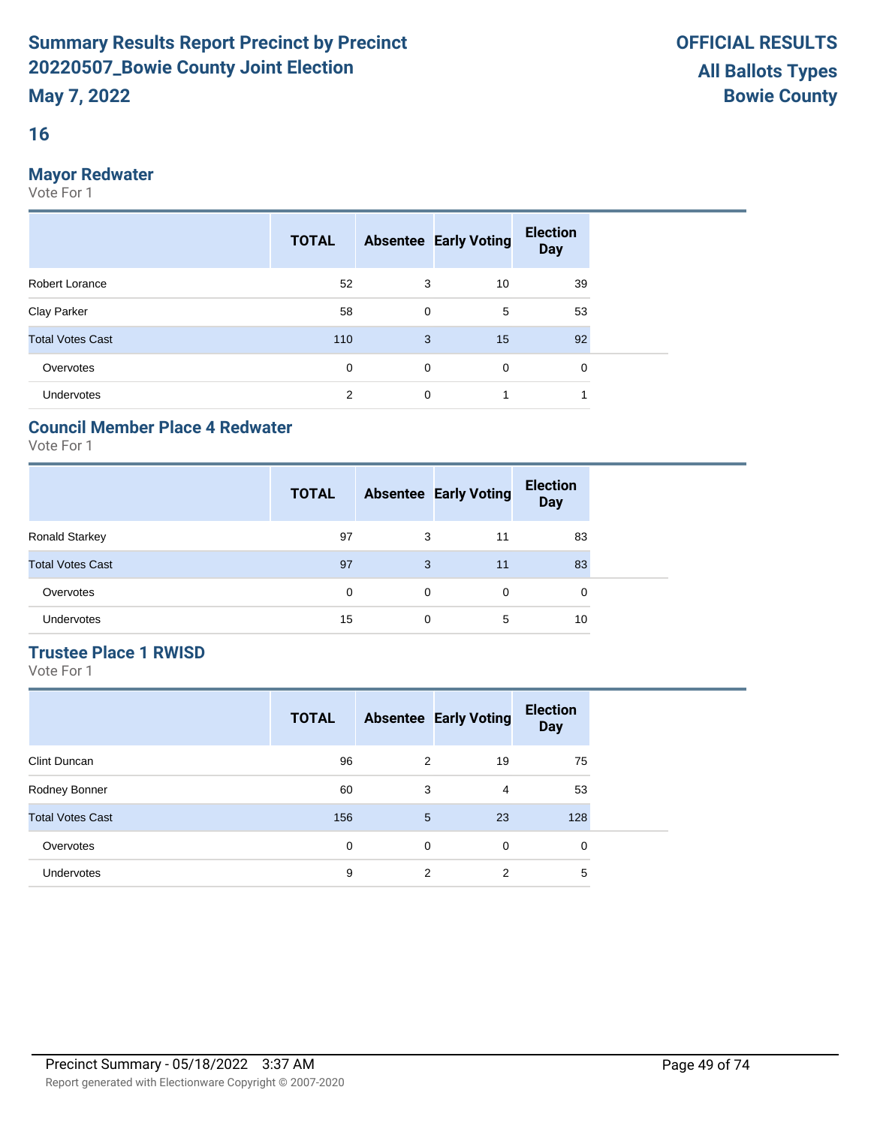### **16**

### **Mayor Redwater**

Vote For 1

|                         | <b>TOTAL</b>   |             | <b>Absentee Early Voting</b> | <b>Election</b><br><b>Day</b> |  |
|-------------------------|----------------|-------------|------------------------------|-------------------------------|--|
| Robert Lorance          | 52             | 3           | 10                           | 39                            |  |
| Clay Parker             | 58             | $\mathbf 0$ | 5                            | 53                            |  |
| <b>Total Votes Cast</b> | 110            | 3           | 15                           | 92                            |  |
| Overvotes               | $\mathbf 0$    | 0           | $\mathbf 0$                  | 0                             |  |
| <b>Undervotes</b>       | $\overline{2}$ | 0           | 1                            |                               |  |

### **Council Member Place 4 Redwater**

Vote For 1

|                         | <b>TOTAL</b> |          | <b>Absentee Early Voting</b> | <b>Election</b><br><b>Day</b> |
|-------------------------|--------------|----------|------------------------------|-------------------------------|
| <b>Ronald Starkey</b>   | 97           | 3        | 11                           | 83                            |
| <b>Total Votes Cast</b> | 97           | 3        | 11                           | 83                            |
| Overvotes               | 0            | $\Omega$ | 0                            | 0                             |
| Undervotes              | 15           | 0        | 5                            | 10                            |

### **Trustee Place 1 RWISD**

|                         | <b>TOTAL</b> |   | <b>Absentee Early Voting</b> | <b>Election</b><br><b>Day</b> |
|-------------------------|--------------|---|------------------------------|-------------------------------|
| Clint Duncan            | 96           | 2 | 19                           | 75                            |
| Rodney Bonner           | 60           | 3 | $\overline{4}$               | 53                            |
| <b>Total Votes Cast</b> | 156          | 5 | 23                           | 128                           |
| Overvotes               | 0            | 0 | $\Omega$                     | 0                             |
| <b>Undervotes</b>       | 9            | 2 | 2                            | 5                             |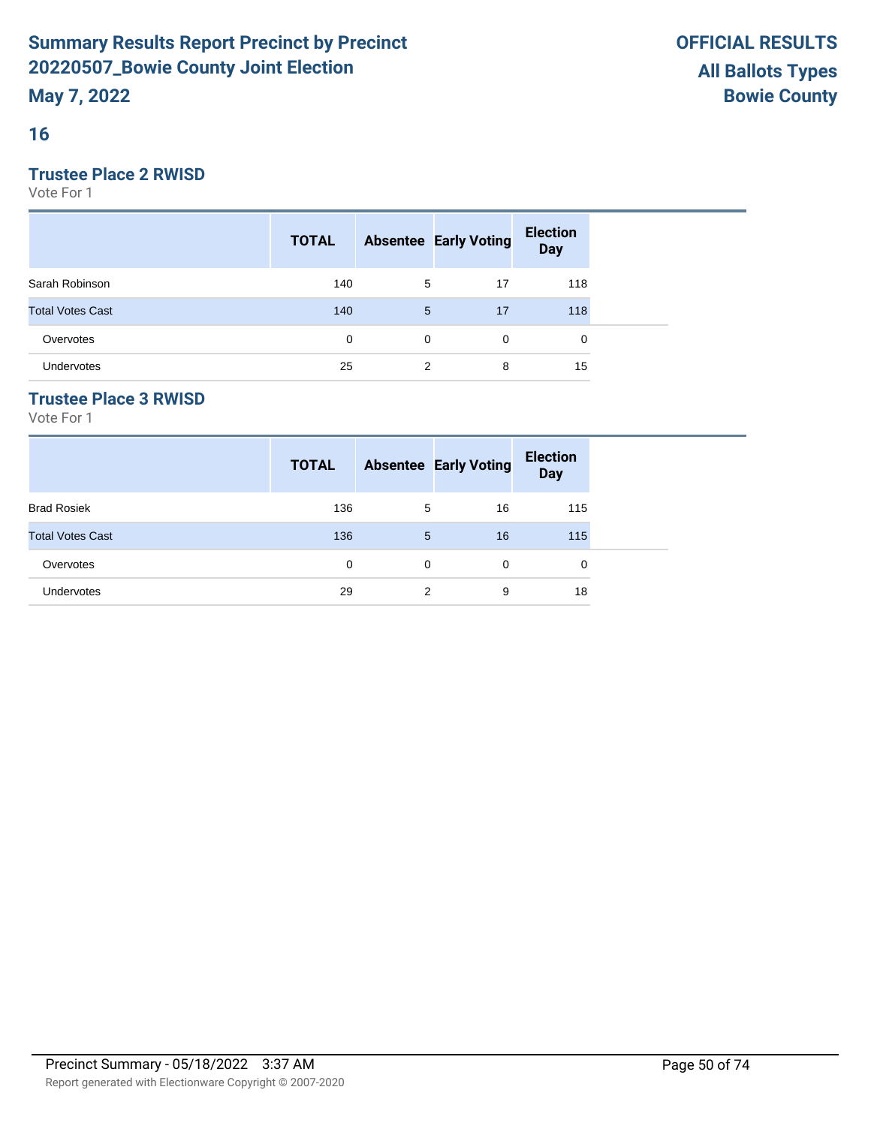### **16**

### **Trustee Place 2 RWISD**

Vote For 1

|                         | <b>TOTAL</b> |   | <b>Absentee Early Voting</b> | <b>Election</b><br><b>Day</b> |  |
|-------------------------|--------------|---|------------------------------|-------------------------------|--|
| Sarah Robinson          | 140          | 5 | 17                           | 118                           |  |
| <b>Total Votes Cast</b> | 140          | 5 | 17                           | 118                           |  |
| Overvotes               | 0            | 0 | 0                            | 0                             |  |
| Undervotes              | 25           | 2 | 8                            | 15                            |  |

### **Trustee Place 3 RWISD**

|                         | <b>TOTAL</b> |             | <b>Absentee Early Voting</b> | <b>Election</b><br><b>Day</b> |  |
|-------------------------|--------------|-------------|------------------------------|-------------------------------|--|
| <b>Brad Rosiek</b>      | 136          | 5           | 16                           | 115                           |  |
| <b>Total Votes Cast</b> | 136          | 5           | 16                           | 115                           |  |
| Overvotes               | 0            | $\mathbf 0$ | $\Omega$                     | 0                             |  |
| <b>Undervotes</b>       | 29           | 2           | 9                            | 18                            |  |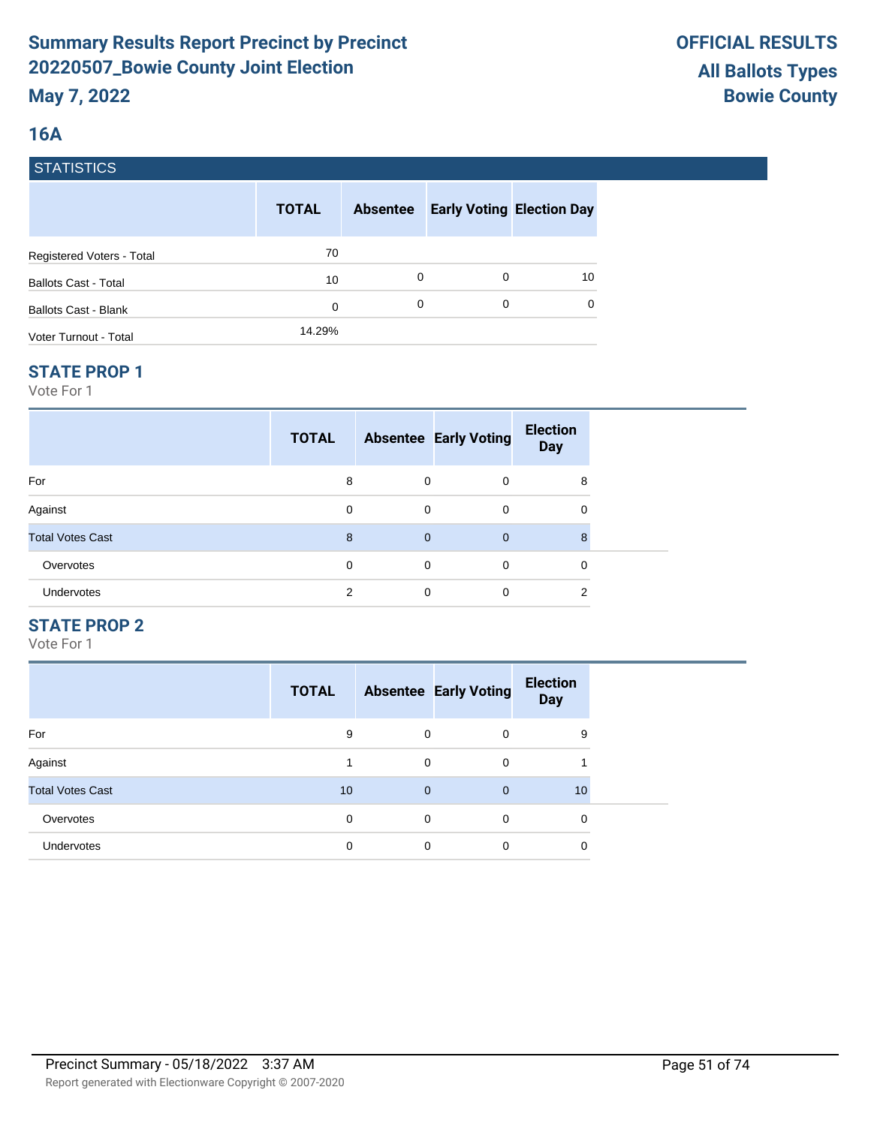### **16A**

### **STATISTICS**

|                             | <b>TOTAL</b> | <b>Absentee</b> |   | <b>Early Voting Election Day</b> |
|-----------------------------|--------------|-----------------|---|----------------------------------|
| Registered Voters - Total   | 70           |                 |   |                                  |
| <b>Ballots Cast - Total</b> | 10           | 0               | 0 | 10                               |
| Ballots Cast - Blank        | 0            | 0               | 0 | $\Omega$                         |
| Voter Turnout - Total       | 14.29%       |                 |   |                                  |

#### **STATE PROP 1**

Vote For 1

|                         | <b>TOTAL</b> |                | <b>Absentee Early Voting</b> | <b>Election</b><br><b>Day</b> |  |
|-------------------------|--------------|----------------|------------------------------|-------------------------------|--|
| For                     | 8            | 0              | 0                            | 8                             |  |
| Against                 | 0            | $\mathbf 0$    | $\mathbf 0$                  | 0                             |  |
| <b>Total Votes Cast</b> | 8            | $\overline{0}$ | $\overline{0}$               | 8                             |  |
| Overvotes               | 0            | 0              | $\mathbf 0$                  | 0                             |  |
| Undervotes              | 2            | 0              | 0                            | 2                             |  |

#### **STATE PROP 2**

|                         | <b>TOTAL</b> |              | <b>Absentee Early Voting</b> | <b>Election</b><br><b>Day</b> |
|-------------------------|--------------|--------------|------------------------------|-------------------------------|
| For                     | 9            | 0            | $\Omega$                     | 9                             |
| Against                 |              | 0            | 0                            |                               |
| <b>Total Votes Cast</b> | 10           | $\mathbf{0}$ | $\overline{0}$               | 10                            |
| Overvotes               | 0            | 0            | $\Omega$                     | 0                             |
| <b>Undervotes</b>       | 0            | 0            | 0                            | 0                             |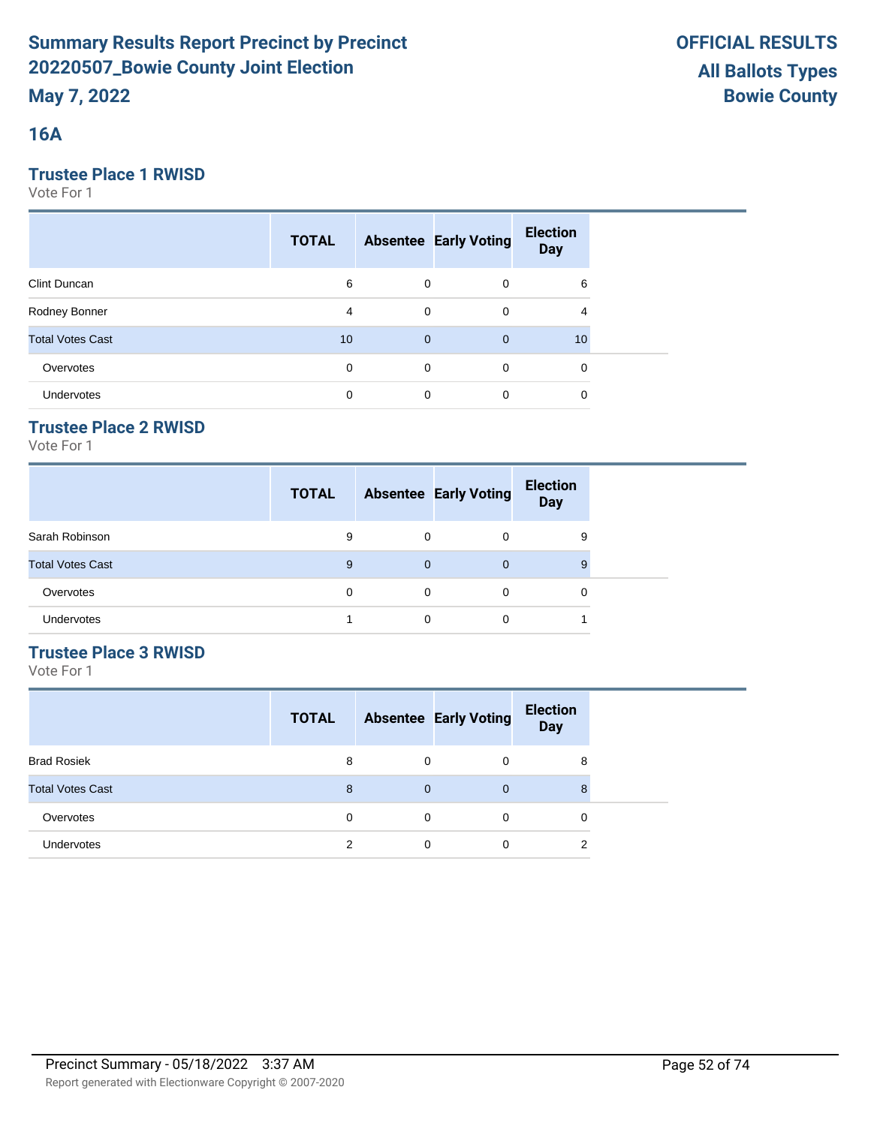### **16A**

### **Trustee Place 1 RWISD**

Vote For 1

|                         | <b>TOTAL</b> |              | <b>Absentee Early Voting</b> | <b>Election</b><br><b>Day</b> |  |
|-------------------------|--------------|--------------|------------------------------|-------------------------------|--|
| <b>Clint Duncan</b>     | 6            | 0            | $\mathbf 0$                  | 6                             |  |
| Rodney Bonner           | 4            | $\mathbf 0$  | $\mathbf 0$                  | 4                             |  |
| <b>Total Votes Cast</b> | 10           | $\mathbf{0}$ | $\overline{0}$               | 10                            |  |
| Overvotes               | 0            | $\mathbf 0$  | 0                            | 0                             |  |
| <b>Undervotes</b>       | 0            | 0            | 0                            | 0                             |  |

## **Trustee Place 2 RWISD**

Vote For 1

|                         | <b>TOTAL</b> |          | <b>Absentee Early Voting</b> | <b>Election</b><br><b>Day</b> |
|-------------------------|--------------|----------|------------------------------|-------------------------------|
| Sarah Robinson          | 9            | $\Omega$ | 0                            | 9                             |
| <b>Total Votes Cast</b> | 9            | $\Omega$ | 0                            | 9                             |
| Overvotes               | 0            | $\Omega$ | 0                            | 0                             |
| Undervotes              |              | 0        |                              |                               |

## **Trustee Place 3 RWISD**

|                         | <b>TOTAL</b> |             | <b>Absentee Early Voting</b> | <b>Election</b><br><b>Day</b> |
|-------------------------|--------------|-------------|------------------------------|-------------------------------|
| <b>Brad Rosiek</b>      | 8            | 0           | 0                            | 8                             |
| <b>Total Votes Cast</b> | 8            | $\mathbf 0$ | $\mathbf{0}$                 | 8                             |
| Overvotes               | 0            | 0           | $\Omega$                     | 0                             |
| Undervotes              | 2            | 0           | 0                            | 2                             |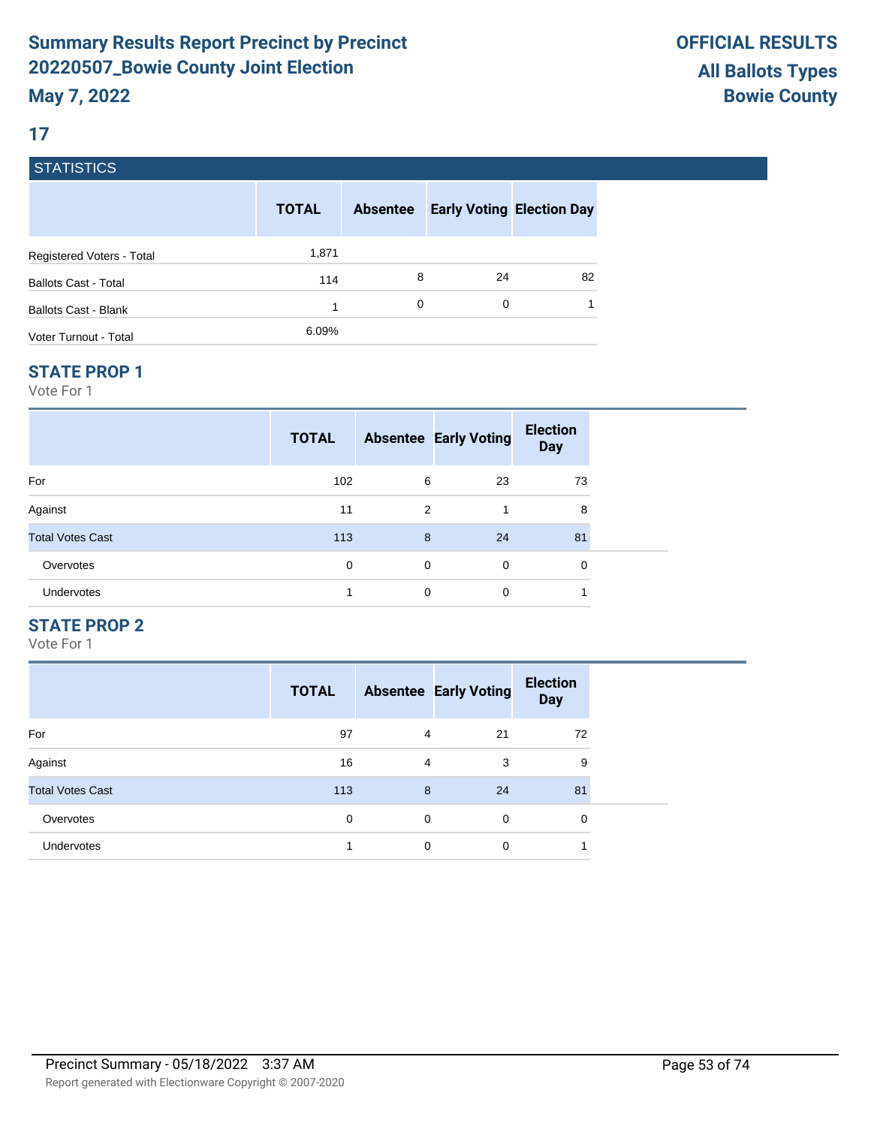### **17**

### **STATISTICS**

|                             | <b>TOTAL</b> | <b>Absentee</b> | <b>Early Voting Election Day</b> |    |
|-----------------------------|--------------|-----------------|----------------------------------|----|
| Registered Voters - Total   | 1,871        |                 |                                  |    |
| <b>Ballots Cast - Total</b> | 114          | 8               | 24                               | 82 |
| Ballots Cast - Blank        | 1            | 0               | 0                                |    |
| Voter Turnout - Total       | 6.09%        |                 |                                  |    |

#### **STATE PROP 1**

Vote For 1

|                         | <b>TOTAL</b> |             | <b>Absentee Early Voting</b> | <b>Election</b><br><b>Day</b> |  |
|-------------------------|--------------|-------------|------------------------------|-------------------------------|--|
| For                     | 102          | 6           | 23                           | 73                            |  |
| Against                 | 11           | 2           | 1                            | 8                             |  |
| <b>Total Votes Cast</b> | 113          | 8           | 24                           | 81                            |  |
| Overvotes               | 0            | $\mathbf 0$ | $\mathbf 0$                  | 0                             |  |
| <b>Undervotes</b>       | 4            | $\mathbf 0$ | $\mathbf 0$                  | 4                             |  |

### **STATE PROP 2**

|                         | <b>TOTAL</b> |   | <b>Absentee Early Voting</b> | <b>Election</b><br><b>Day</b> |
|-------------------------|--------------|---|------------------------------|-------------------------------|
| For                     | 97           | 4 | 21                           | 72                            |
| Against                 | 16           | 4 | 3                            | 9                             |
| <b>Total Votes Cast</b> | 113          | 8 | 24                           | 81                            |
| Overvotes               | 0            | 0 | $\Omega$                     | 0                             |
| <b>Undervotes</b>       |              | 0 | 0                            |                               |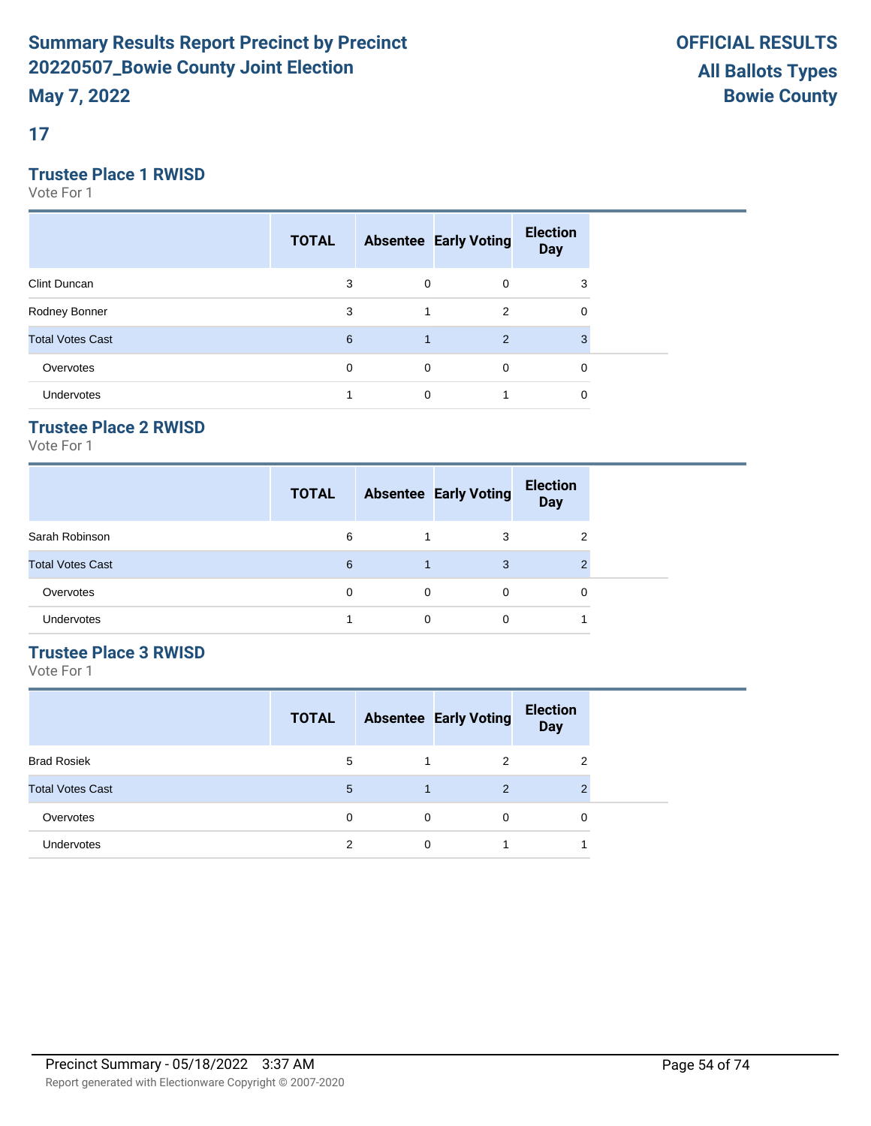**17**

### **Trustee Place 1 RWISD**

Vote For 1

|                         | <b>TOTAL</b> |             | <b>Absentee Early Voting</b> | <b>Election</b><br><b>Day</b> |  |
|-------------------------|--------------|-------------|------------------------------|-------------------------------|--|
| Clint Duncan            | 3            | 0           | 0                            | 3                             |  |
| Rodney Bonner           | 3            | 1           | 2                            | 0                             |  |
| <b>Total Votes Cast</b> | 6            | 1           | 2                            | 3                             |  |
| Overvotes               | 0            | $\mathbf 0$ | $\mathbf 0$                  | 0                             |  |
| Undervotes              |              | 0           |                              | 0                             |  |

## **Trustee Place 2 RWISD**

Vote For 1

|                         | <b>TOTAL</b> |   | <b>Absentee Early Voting</b> | <b>Election</b><br><b>Day</b> |
|-------------------------|--------------|---|------------------------------|-------------------------------|
| Sarah Robinson          | 6            |   | 3                            | 2                             |
| <b>Total Votes Cast</b> | 6            |   | 3                            | າ                             |
| Overvotes               | $\Omega$     | 0 | $\Omega$                     | 0                             |
| Undervotes              |              | 0 | 0                            |                               |

### **Trustee Place 3 RWISD**

|                         | <b>TOTAL</b> |   | <b>Absentee Early Voting</b> | <b>Election</b><br><b>Day</b> |
|-------------------------|--------------|---|------------------------------|-------------------------------|
| <b>Brad Rosiek</b>      | 5            |   | 2                            | 2                             |
| <b>Total Votes Cast</b> | 5            |   | $\overline{2}$               | $\overline{2}$                |
| Overvotes               | 0            | 0 | $\Omega$                     | 0                             |
| <b>Undervotes</b>       | 2            | 0 |                              |                               |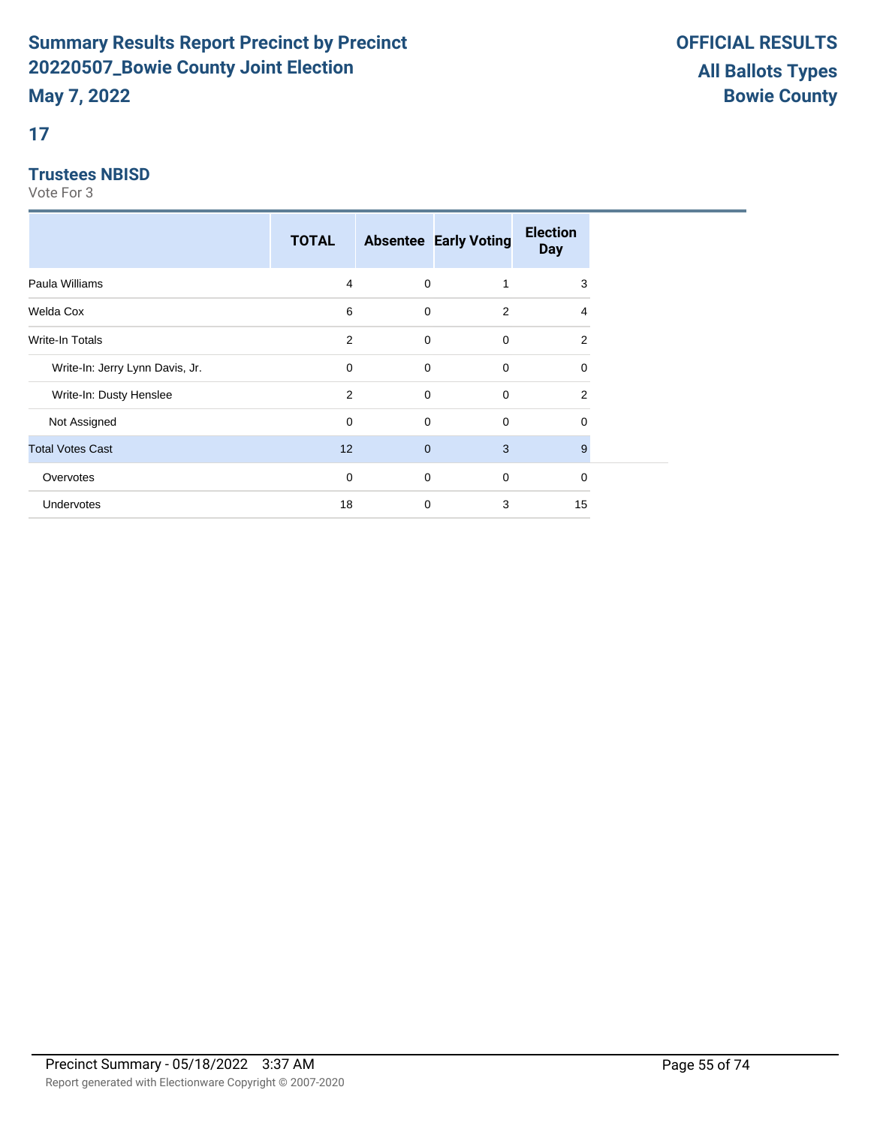### **17**

### **Trustees NBISD**

|                                 | <b>TOTAL</b> |              | <b>Absentee Early Voting</b> | <b>Election</b><br><b>Day</b> |
|---------------------------------|--------------|--------------|------------------------------|-------------------------------|
| Paula Williams                  | 4            | 0            | 1                            | 3                             |
| Welda Cox                       | 6            | 0            | 2                            | 4                             |
| Write-In Totals                 | 2            | 0            | 0                            | 2                             |
| Write-In: Jerry Lynn Davis, Jr. | 0            | $\mathbf 0$  | 0                            | $\Omega$                      |
| Write-In: Dusty Henslee         | 2            | 0            | $\mathbf 0$                  | 2                             |
| Not Assigned                    | 0            | 0            | $\mathbf 0$                  | 0                             |
| <b>Total Votes Cast</b>         | 12           | $\mathbf{0}$ | 3                            | 9                             |
| Overvotes                       | 0            | 0            | $\mathbf 0$                  | 0                             |
| <b>Undervotes</b>               | 18           | $\mathbf 0$  | 3                            | 15                            |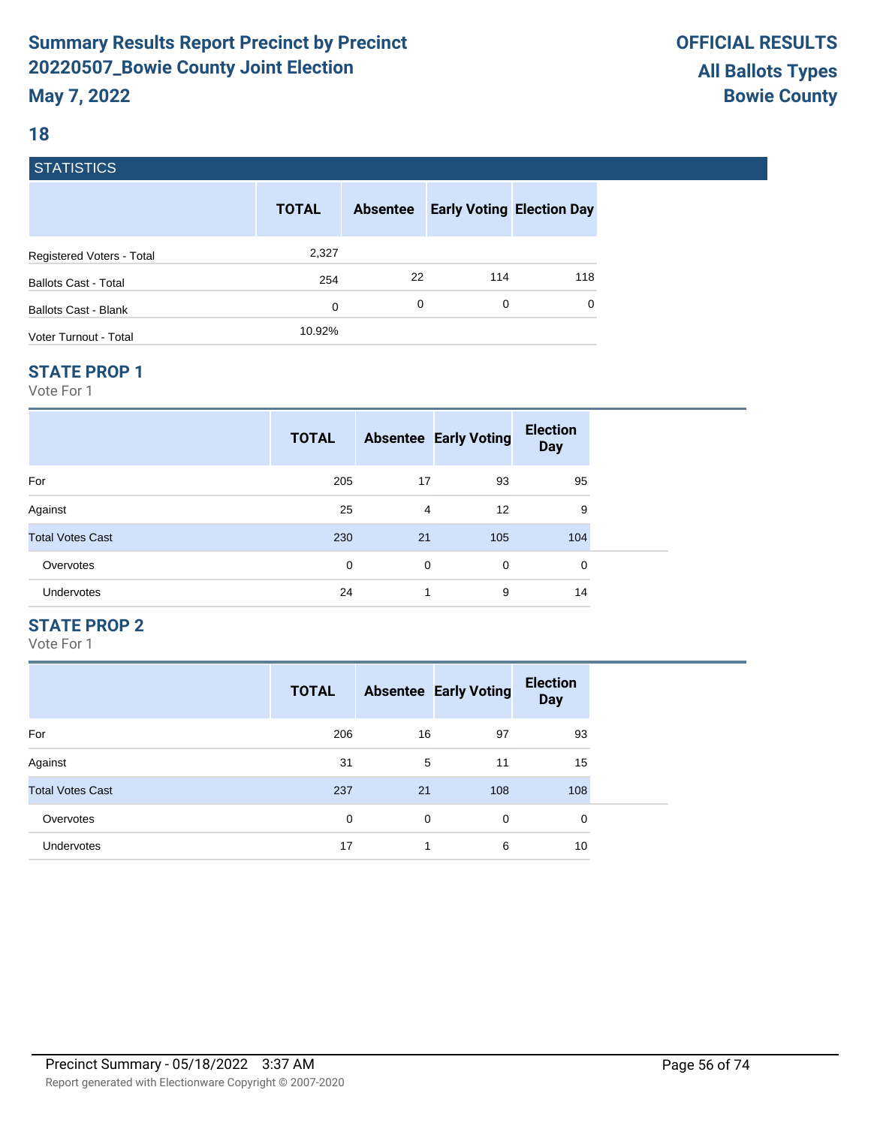### **18**

### **STATISTICS**

|                             | <b>TOTAL</b> | <b>Absentee</b> | <b>Early Voting Election Day</b> |     |
|-----------------------------|--------------|-----------------|----------------------------------|-----|
| Registered Voters - Total   | 2,327        |                 |                                  |     |
| <b>Ballots Cast - Total</b> | 254          | 22              | 114                              | 118 |
| Ballots Cast - Blank        | 0            | 0               | 0                                | 0   |
| Voter Turnout - Total       | 10.92%       |                 |                                  |     |

#### **STATE PROP 1**

Vote For 1

|                         | <b>TOTAL</b> |                | <b>Absentee Early Voting</b> | <b>Election</b><br><b>Day</b> |  |
|-------------------------|--------------|----------------|------------------------------|-------------------------------|--|
| For                     | 205          | 17             | 93                           | 95                            |  |
| Against                 | 25           | $\overline{4}$ | 12                           | 9                             |  |
| <b>Total Votes Cast</b> | 230          | 21             | 105                          | 104                           |  |
| Overvotes               | 0            | 0              | $\mathbf 0$                  | $\Omega$                      |  |
| Undervotes              | 24           | 1              | 9                            | 14                            |  |

### **STATE PROP 2**

|                         | <b>TOTAL</b> |    | <b>Absentee Early Voting</b> | <b>Election</b><br><b>Day</b> |
|-------------------------|--------------|----|------------------------------|-------------------------------|
| For                     | 206          | 16 | 97                           | 93                            |
| Against                 | 31           | 5  | 11                           | 15                            |
| <b>Total Votes Cast</b> | 237          | 21 | 108                          | 108                           |
| Overvotes               | 0            | 0  | $\Omega$                     | 0                             |
| <b>Undervotes</b>       | 17           | 1  | 6                            | 10                            |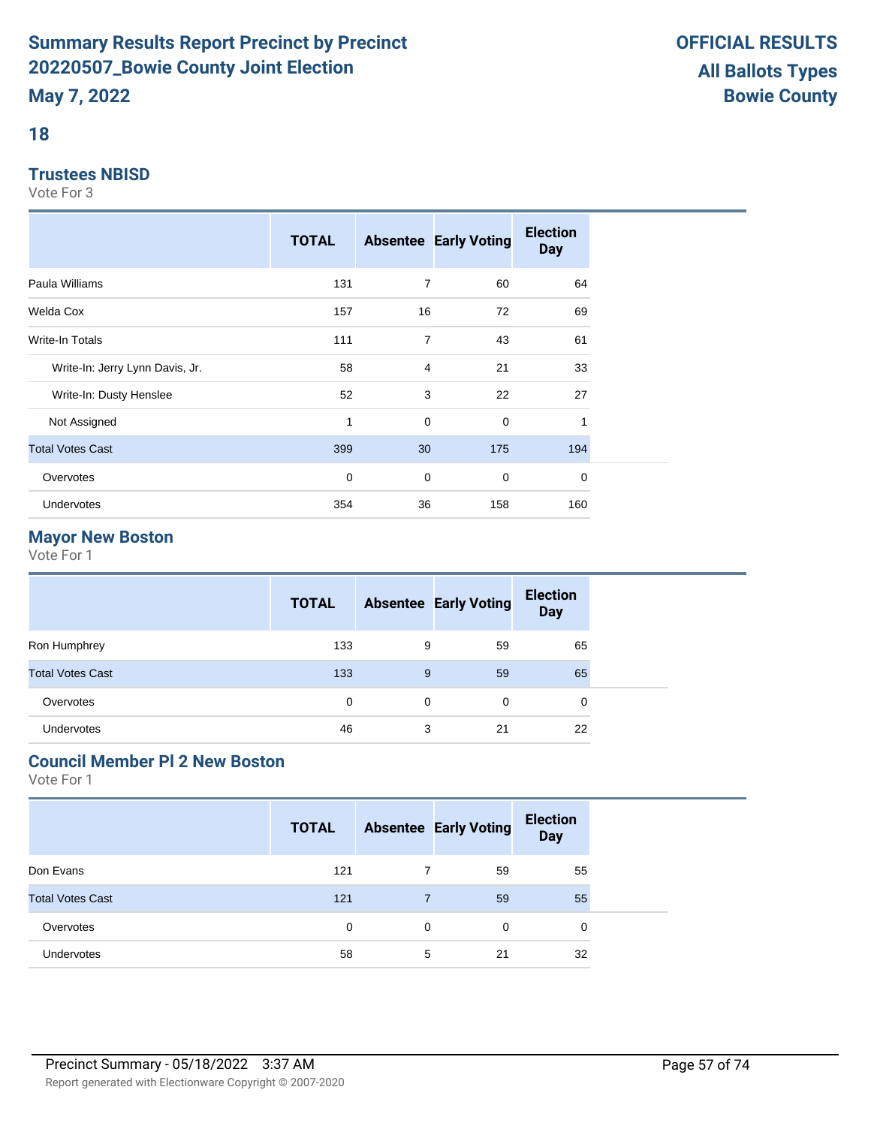## **18**

#### **Trustees NBISD**

Vote For 3

|                                 | <b>TOTAL</b> |    | <b>Absentee Early Voting</b> | <b>Election</b><br><b>Day</b> |  |
|---------------------------------|--------------|----|------------------------------|-------------------------------|--|
| Paula Williams                  | 131          | 7  | 60                           | 64                            |  |
| Welda Cox                       | 157          | 16 | 72                           | 69                            |  |
| Write-In Totals                 | 111          | 7  | 43                           | 61                            |  |
| Write-In: Jerry Lynn Davis, Jr. | 58           | 4  | 21                           | 33                            |  |
| Write-In: Dusty Henslee         | 52           | 3  | 22                           | 27                            |  |
| Not Assigned                    | $\mathbf{1}$ | 0  | $\mathbf 0$                  | 1                             |  |
| <b>Total Votes Cast</b>         | 399          | 30 | 175                          | 194                           |  |
| Overvotes                       | $\mathbf 0$  | 0  | $\mathbf 0$                  | 0                             |  |
| Undervotes                      | 354          | 36 | 158                          | 160                           |  |

# **Mayor New Boston**

Vote For 1

|                         | <b>TOTAL</b> |   | <b>Absentee Early Voting</b> | <b>Election</b><br><b>Day</b> |  |
|-------------------------|--------------|---|------------------------------|-------------------------------|--|
| Ron Humphrey            | 133          | 9 | 59                           | 65                            |  |
| <b>Total Votes Cast</b> | 133          | 9 | 59                           | 65                            |  |
| Overvotes               | $\Omega$     | 0 | 0                            | 0                             |  |
| <b>Undervotes</b>       | 46           | 3 | 21                           | 22                            |  |

# **Council Member Pl 2 New Boston**

|                         | <b>TOTAL</b> |             | <b>Absentee Early Voting</b> | <b>Election</b><br><b>Day</b> |  |
|-------------------------|--------------|-------------|------------------------------|-------------------------------|--|
| Don Evans               | 121          |             | 59                           | 55                            |  |
| <b>Total Votes Cast</b> | 121          |             | 59                           | 55                            |  |
| Overvotes               | 0            | $\mathbf 0$ | 0                            | 0                             |  |
| Undervotes              | 58           | 5           | 21                           | 32                            |  |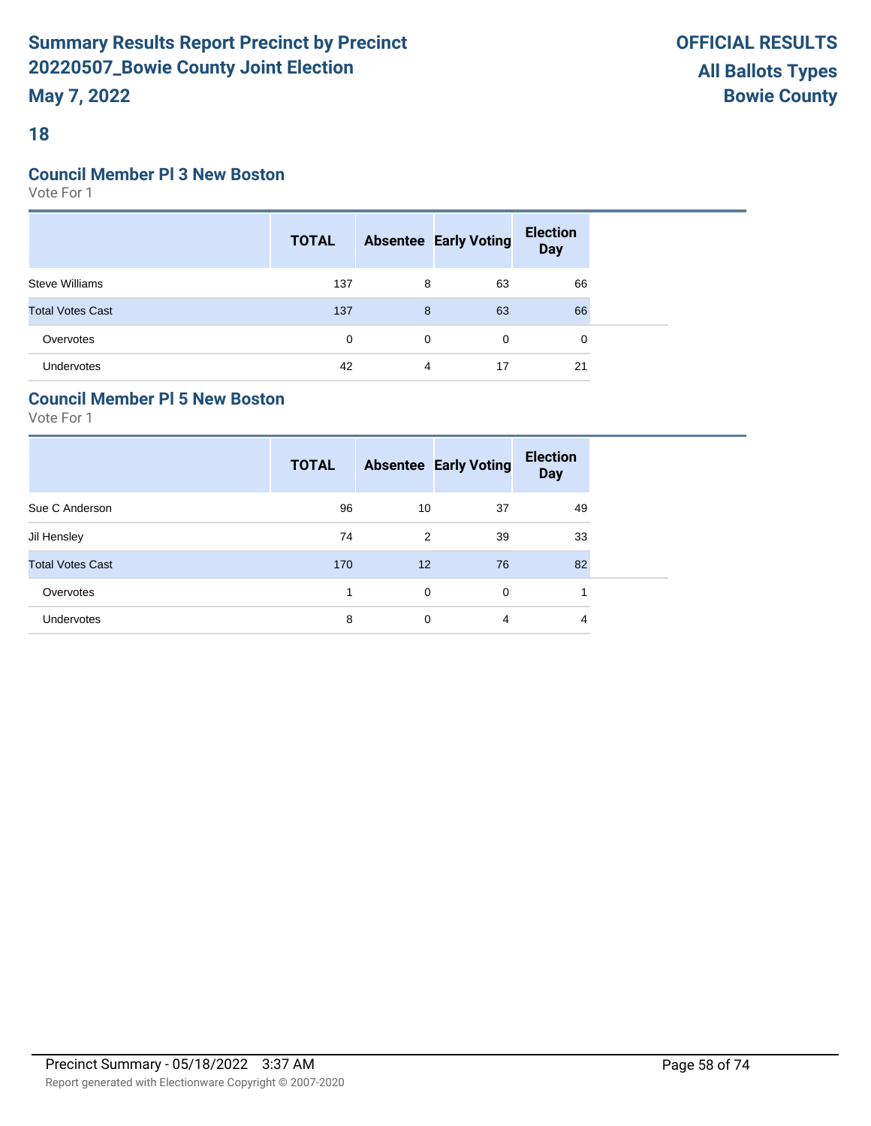### **18**

#### **Council Member Pl 3 New Boston**

Vote For 1

|                         | <b>TOTAL</b> |   | <b>Absentee Early Voting</b> | <b>Election</b><br>Day |  |
|-------------------------|--------------|---|------------------------------|------------------------|--|
| <b>Steve Williams</b>   | 137          | 8 | 63                           | 66                     |  |
| <b>Total Votes Cast</b> | 137          | 8 | 63                           | 66                     |  |
| Overvotes               | $\Omega$     | 0 | 0                            | 0                      |  |
| Undervotes              | 42           | 4 | 17                           | 21                     |  |

### **Council Member Pl 5 New Boston**

|                         | <b>TOTAL</b> |    | <b>Absentee Early Voting</b> | <b>Election</b><br><b>Day</b> |
|-------------------------|--------------|----|------------------------------|-------------------------------|
| Sue C Anderson          | 96           | 10 | 37                           | 49                            |
| Jil Hensley             | 74           | 2  | 39                           | 33                            |
| <b>Total Votes Cast</b> | 170          | 12 | 76                           | 82                            |
| Overvotes               | 1            | 0  | $\mathbf 0$                  |                               |
| Undervotes              | 8            | 0  | 4                            | 4                             |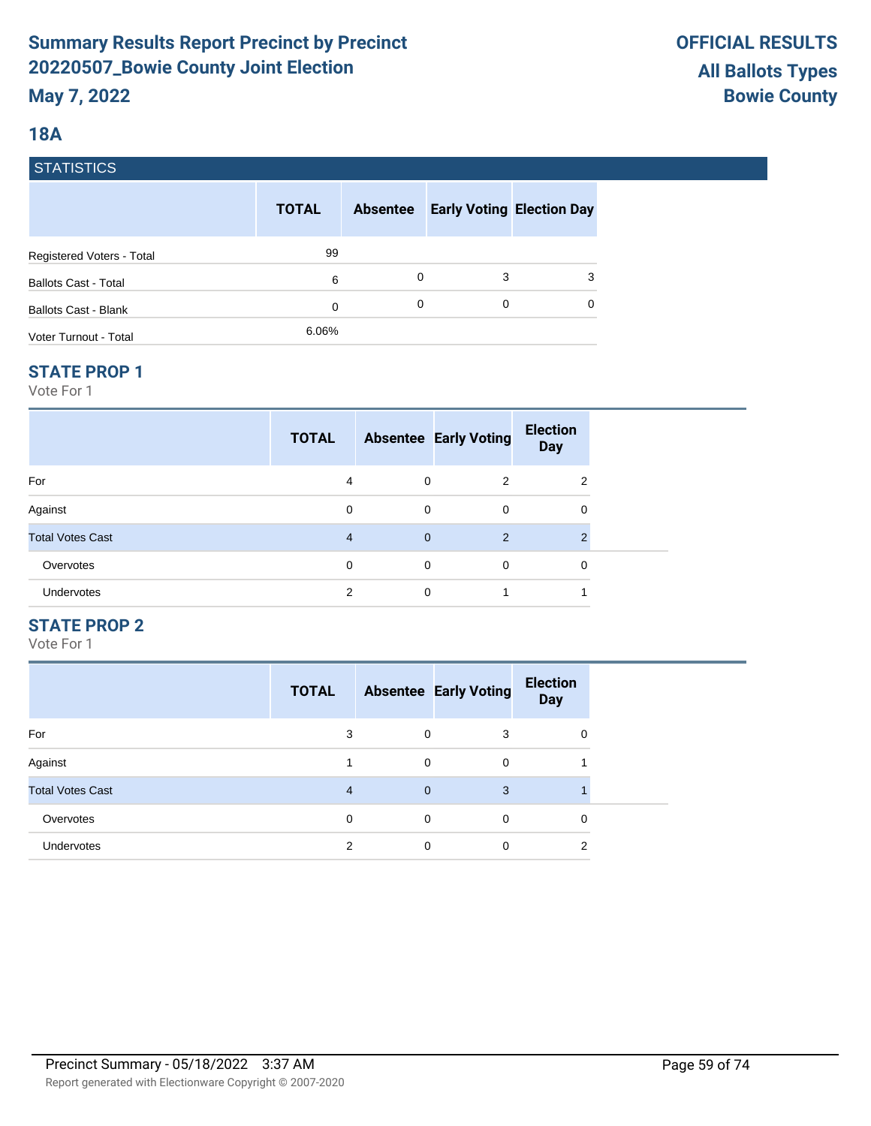### **18A**

### **STATISTICS**

|                             | <b>TOTAL</b> | <b>Absentee</b> |   | <b>Early Voting Election Day</b> |
|-----------------------------|--------------|-----------------|---|----------------------------------|
| Registered Voters - Total   | 99           |                 |   |                                  |
| <b>Ballots Cast - Total</b> | 6            | 0               | 3 | 3                                |
| <b>Ballots Cast - Blank</b> | 0            | 0               | 0 | $\Omega$                         |
| Voter Turnout - Total       | 6.06%        |                 |   |                                  |

#### **STATE PROP 1**

Vote For 1

|                         | <b>TOTAL</b>   |                | <b>Absentee Early Voting</b> | <b>Election</b><br><b>Day</b> |  |
|-------------------------|----------------|----------------|------------------------------|-------------------------------|--|
| For                     | 4              | 0              | 2                            | 2                             |  |
| Against                 | $\Omega$       | $\mathbf 0$    | $\mathbf 0$                  | 0                             |  |
| <b>Total Votes Cast</b> | $\overline{4}$ | $\overline{0}$ | 2                            | $\mathcal{P}$                 |  |
| Overvotes               | $\Omega$       | $\mathbf 0$    | $\mathbf 0$                  | 0                             |  |
| Undervotes              | 2              | 0              | 1                            |                               |  |

### **STATE PROP 2**

|                         | <b>TOTAL</b> |              | <b>Absentee Early Voting</b> | <b>Election</b><br><b>Day</b> |
|-------------------------|--------------|--------------|------------------------------|-------------------------------|
| For                     | 3            | $\Omega$     | 3                            | $\Omega$                      |
| Against                 |              | 0            | $\Omega$                     |                               |
| <b>Total Votes Cast</b> | 4            | $\mathbf{0}$ | 3                            |                               |
| Overvotes               | 0            | 0            | $\Omega$                     | 0                             |
| Undervotes              | 2            | 0            | $\Omega$                     | າ                             |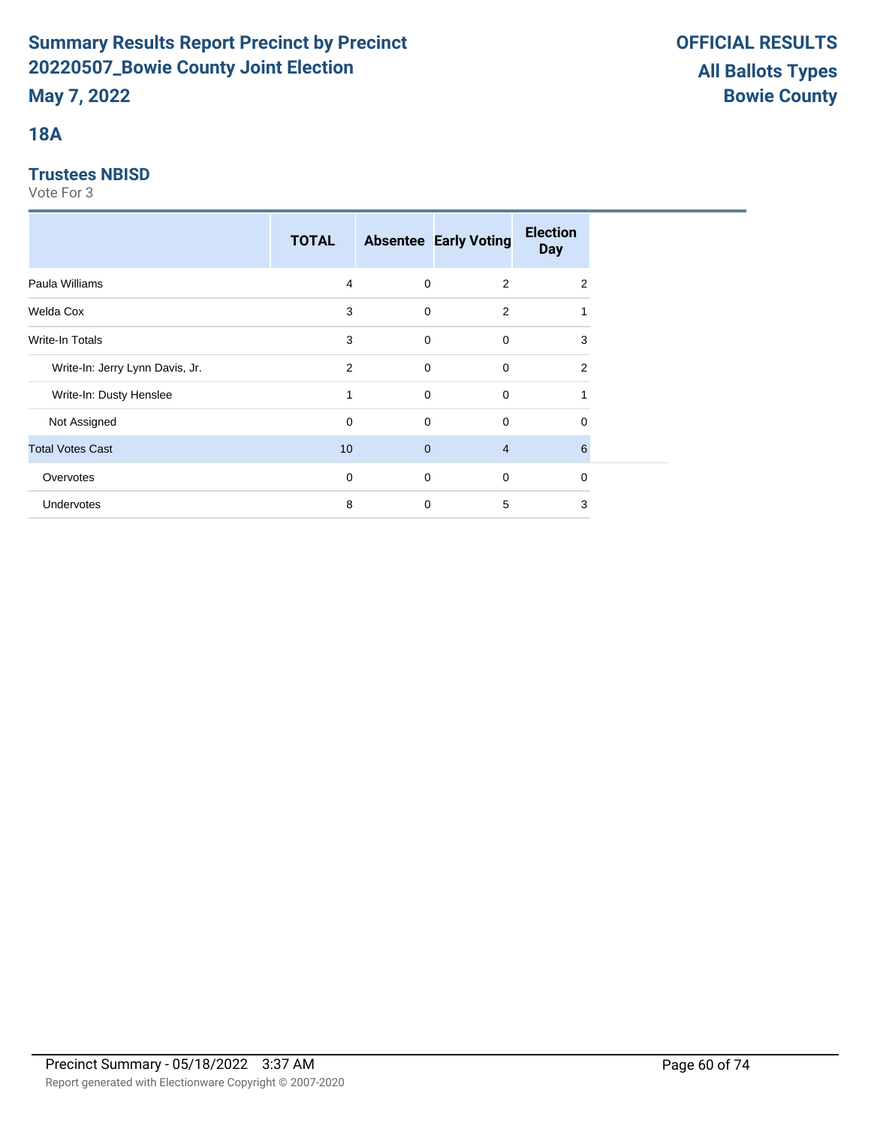# **18A**

### **Trustees NBISD**

|                                 | <b>TOTAL</b>   |              | <b>Absentee Early Voting</b> | <b>Election</b><br><b>Day</b> |
|---------------------------------|----------------|--------------|------------------------------|-------------------------------|
| Paula Williams                  | $\overline{4}$ | $\mathbf 0$  | $\overline{2}$               | 2                             |
| Welda Cox                       | 3              | $\mathbf 0$  | 2                            |                               |
| Write-In Totals                 | 3              | $\mathbf 0$  | 0                            | 3                             |
| Write-In: Jerry Lynn Davis, Jr. | 2              | $\mathbf 0$  | $\mathbf 0$                  | 2                             |
| Write-In: Dusty Henslee         | 1              | $\mathbf 0$  | $\mathbf 0$                  |                               |
| Not Assigned                    | $\mathbf 0$    | $\mathbf 0$  | $\mathbf 0$                  | $\Omega$                      |
| <b>Total Votes Cast</b>         | 10             | $\mathbf{0}$ | $\overline{4}$               | 6                             |
| Overvotes                       | 0              | $\mathbf 0$  | $\mathbf 0$                  | 0                             |
| Undervotes                      | 8              | 0            | 5                            | 3                             |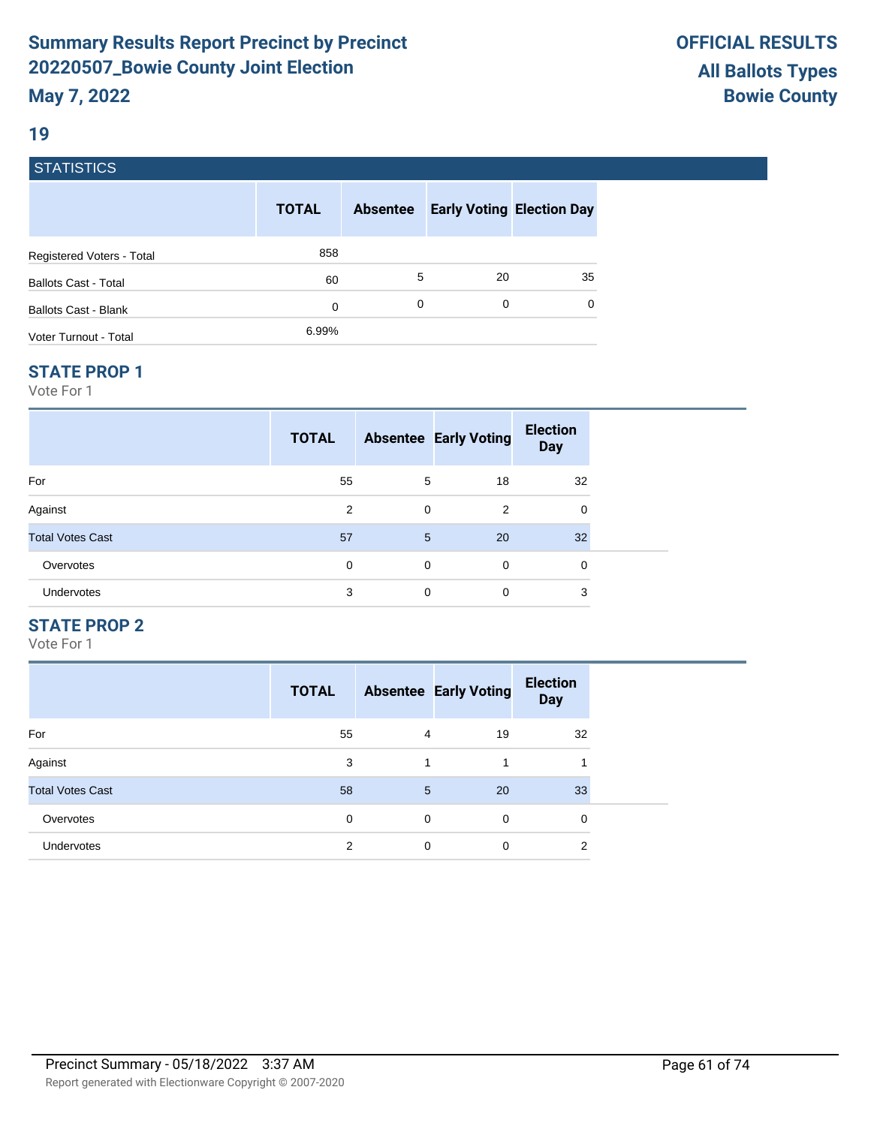#### **19**

### **STATISTICS**

|                             | <b>TOTAL</b> | <b>Absentee</b> | <b>Early Voting Election Day</b> |          |
|-----------------------------|--------------|-----------------|----------------------------------|----------|
| Registered Voters - Total   | 858          |                 |                                  |          |
| <b>Ballots Cast - Total</b> | 60           | 5               | 20                               | 35       |
| Ballots Cast - Blank        | 0            | 0               | 0                                | $\Omega$ |
| Voter Turnout - Total       | 6.99%        |                 |                                  |          |

#### **STATE PROP 1**

Vote For 1

|                         | <b>TOTAL</b> |   | <b>Absentee Early Voting</b> | <b>Election</b><br>Day |  |
|-------------------------|--------------|---|------------------------------|------------------------|--|
| For                     | 55           | 5 | 18                           | 32                     |  |
| Against                 | 2            | 0 | 2                            | 0                      |  |
| <b>Total Votes Cast</b> | 57           | 5 | 20                           | 32 <sup>2</sup>        |  |
| Overvotes               | 0            | 0 | $\mathbf 0$                  | 0                      |  |
| <b>Undervotes</b>       | 3            | 0 | $\mathbf 0$                  | 3                      |  |

#### **STATE PROP 2**

|                         | <b>TOTAL</b> |   | <b>Absentee Early Voting</b> | <b>Election</b><br><b>Day</b> |
|-------------------------|--------------|---|------------------------------|-------------------------------|
| For                     | 55           | 4 | 19                           | 32                            |
| Against                 | 3            | 1 | 1                            | 1                             |
| <b>Total Votes Cast</b> | 58           | 5 | 20                           | 33                            |
| Overvotes               | 0            | 0 | $\mathbf 0$                  | 0                             |
| Undervotes              | 2            | 0 | 0                            | 2                             |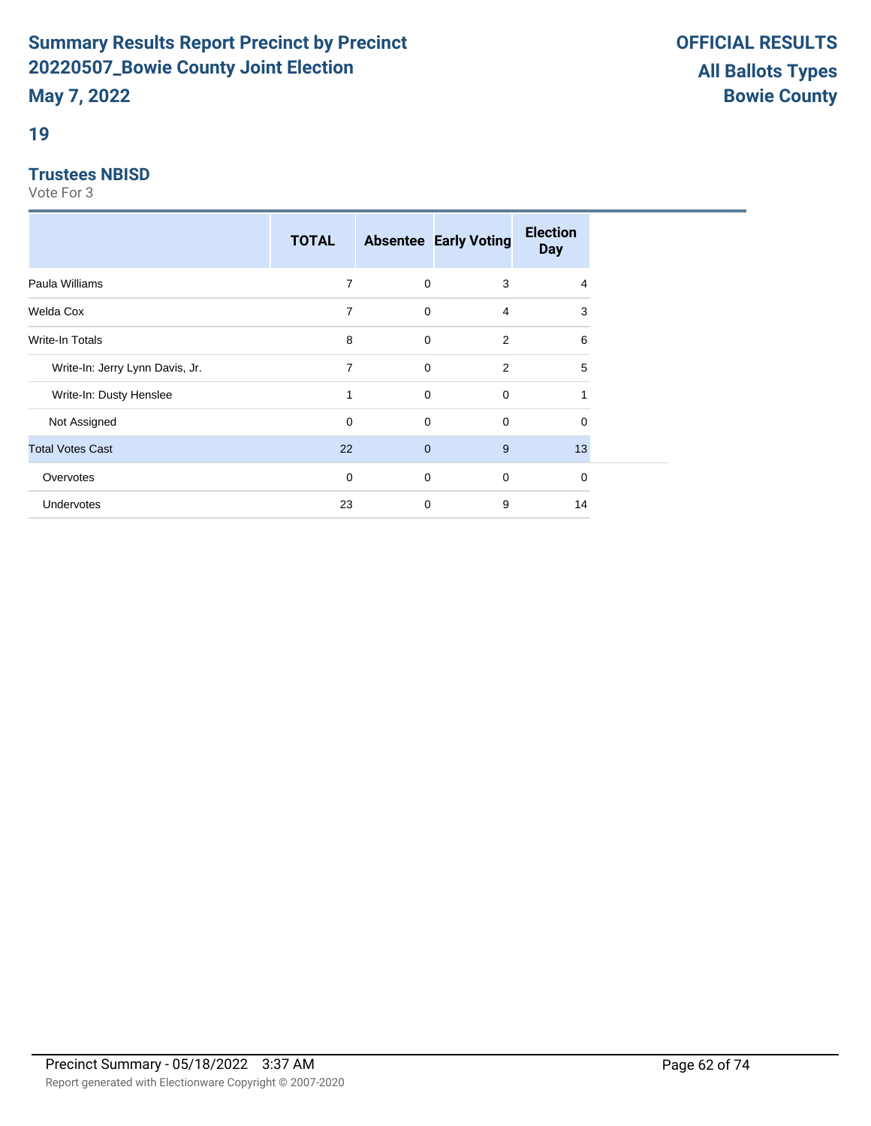### **19**

#### **Trustees NBISD**

|                                 | <b>TOTAL</b> |                | <b>Absentee Early Voting</b> | <b>Election</b><br><b>Day</b> |
|---------------------------------|--------------|----------------|------------------------------|-------------------------------|
| Paula Williams                  | 7            | $\mathbf 0$    | 3                            | $\overline{4}$                |
| Welda Cox                       | 7            | $\mathbf 0$    | $\overline{4}$               | 3                             |
| Write-In Totals                 | 8            | $\mathbf 0$    | $\overline{2}$               | 6                             |
| Write-In: Jerry Lynn Davis, Jr. | 7            | $\mathbf 0$    | 2                            | 5                             |
| Write-In: Dusty Henslee         | 1            | $\mathbf 0$    | $\mathbf 0$                  |                               |
| Not Assigned                    | $\mathbf 0$  | $\mathbf 0$    | $\mathbf 0$                  | 0                             |
| <b>Total Votes Cast</b>         | 22           | $\overline{0}$ | 9                            | 13                            |
| Overvotes                       | 0            | $\mathbf 0$    | $\mathbf 0$                  | 0                             |
| Undervotes                      | 23           | 0              | 9                            | 14                            |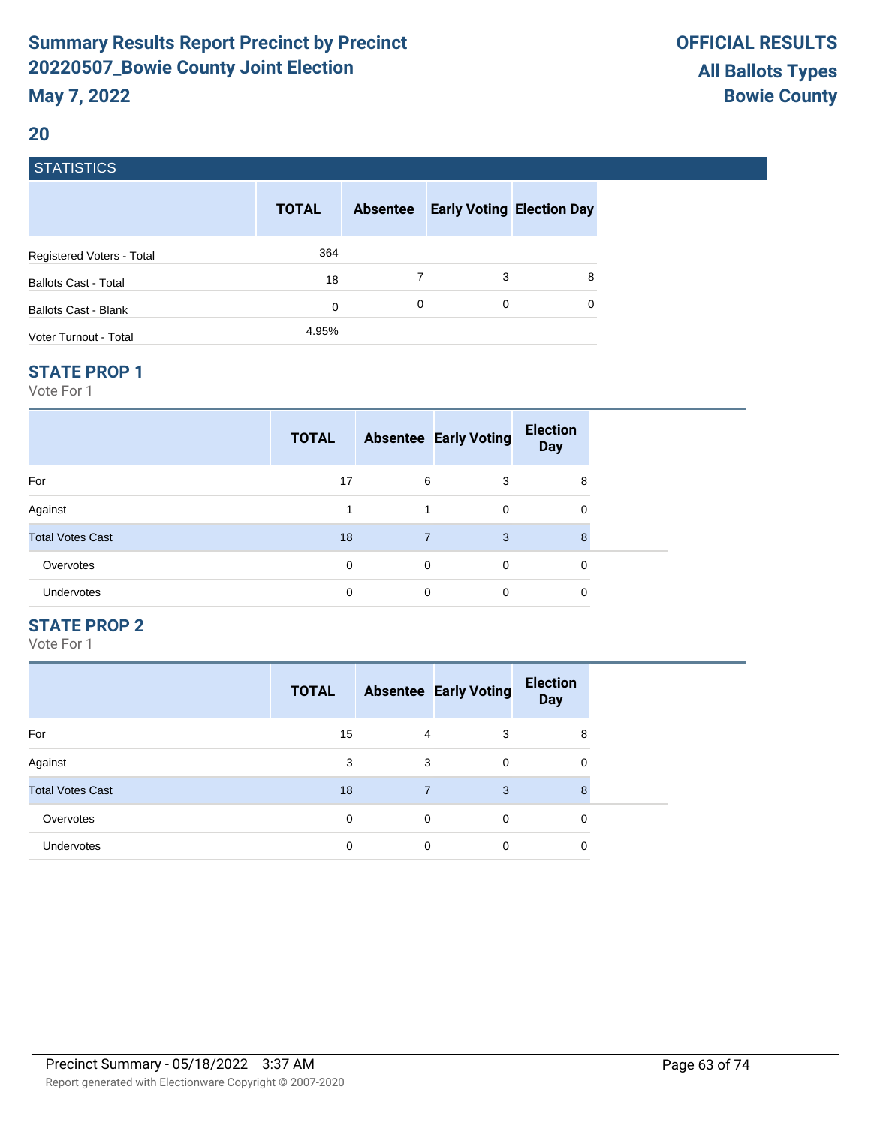### **20**

### **STATISTICS**

|                             | <b>TOTAL</b> | <b>Absentee</b> | <b>Early Voting Election Day</b> |          |
|-----------------------------|--------------|-----------------|----------------------------------|----------|
| Registered Voters - Total   | 364          |                 |                                  |          |
| <b>Ballots Cast - Total</b> | 18           |                 | 3                                | 8        |
| Ballots Cast - Blank        | 0            | 0               | 0                                | $\Omega$ |
| Voter Turnout - Total       | 4.95%        |                 |                                  |          |

#### **STATE PROP 1**

Vote For 1

|                         | <b>TOTAL</b> |                | <b>Absentee Early Voting</b> | <b>Election</b><br><b>Day</b> |  |
|-------------------------|--------------|----------------|------------------------------|-------------------------------|--|
| For                     | 17           | 6              | 3                            | 8                             |  |
| Against                 |              | 1              | $\Omega$                     | 0                             |  |
| <b>Total Votes Cast</b> | 18           | $\overline{7}$ | 3                            | 8                             |  |
| Overvotes               | 0            | $\mathbf 0$    | $\Omega$                     | 0                             |  |
| Undervotes              | 0            | 0              | $\Omega$                     | 0                             |  |

#### **STATE PROP 2**

|                         | <b>TOTAL</b> |             | <b>Absentee Early Voting</b> | <b>Election</b><br><b>Day</b> |
|-------------------------|--------------|-------------|------------------------------|-------------------------------|
| For                     | 15           | 4           | 3                            | 8                             |
| Against                 | 3            | 3           | $\Omega$                     | 0                             |
| <b>Total Votes Cast</b> | 18           | 7           | 3                            | 8                             |
| Overvotes               | $\Omega$     | $\mathbf 0$ | $\Omega$                     | 0                             |
| Undervotes              | 0            | 0           | 0                            | 0                             |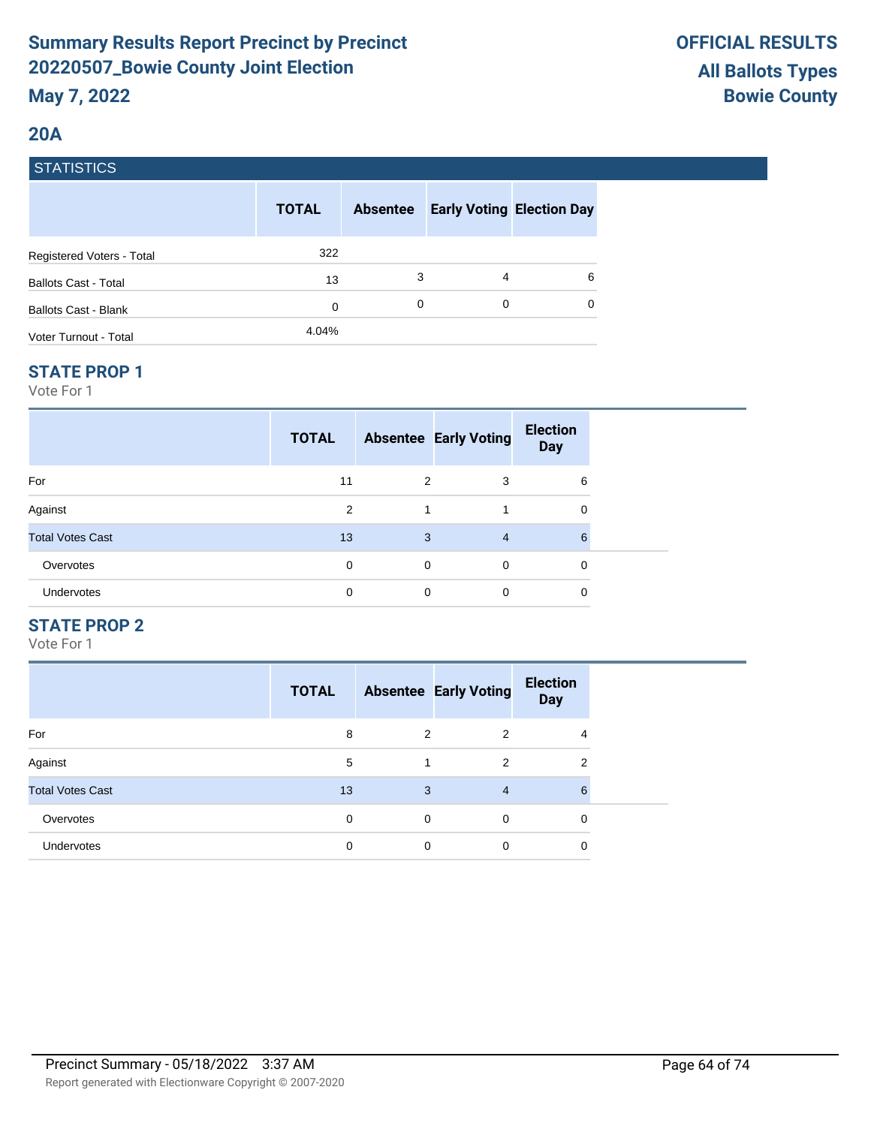### **20A**

### **STATISTICS**

|                             | <b>TOTAL</b> | <b>Absentee</b> | <b>Early Voting Election Day</b> |   |
|-----------------------------|--------------|-----------------|----------------------------------|---|
| Registered Voters - Total   | 322          |                 |                                  |   |
| <b>Ballots Cast - Total</b> | 13           | 3               | 4                                | 6 |
| Ballots Cast - Blank        | 0            | 0               | 0                                | 0 |
| Voter Turnout - Total       | 4.04%        |                 |                                  |   |

#### **STATE PROP 1**

Vote For 1

|                         | <b>TOTAL</b> |   | <b>Absentee Early Voting</b> | <b>Election</b><br><b>Day</b> |  |
|-------------------------|--------------|---|------------------------------|-------------------------------|--|
| For                     | 11           | 2 | 3                            | 6                             |  |
| Against                 | 2            | 1 |                              | 0                             |  |
| <b>Total Votes Cast</b> | 13           | 3 | $\overline{4}$               | 6                             |  |
| Overvotes               | 0            | 0 | 0                            | 0                             |  |
| Undervotes              | 0            | 0 | 0                            | 0                             |  |

### **STATE PROP 2**

|                         | <b>TOTAL</b> |   | <b>Absentee Early Voting</b> | <b>Election</b><br><b>Day</b> |
|-------------------------|--------------|---|------------------------------|-------------------------------|
| For                     | 8            | 2 | 2                            | 4                             |
| Against                 | 5            |   | $\overline{2}$               | 2                             |
| <b>Total Votes Cast</b> | 13           | 3 | $\overline{4}$               | 6                             |
| Overvotes               | 0            | 0 | $\Omega$                     | 0                             |
| Undervotes              | 0            | 0 | 0                            | 0                             |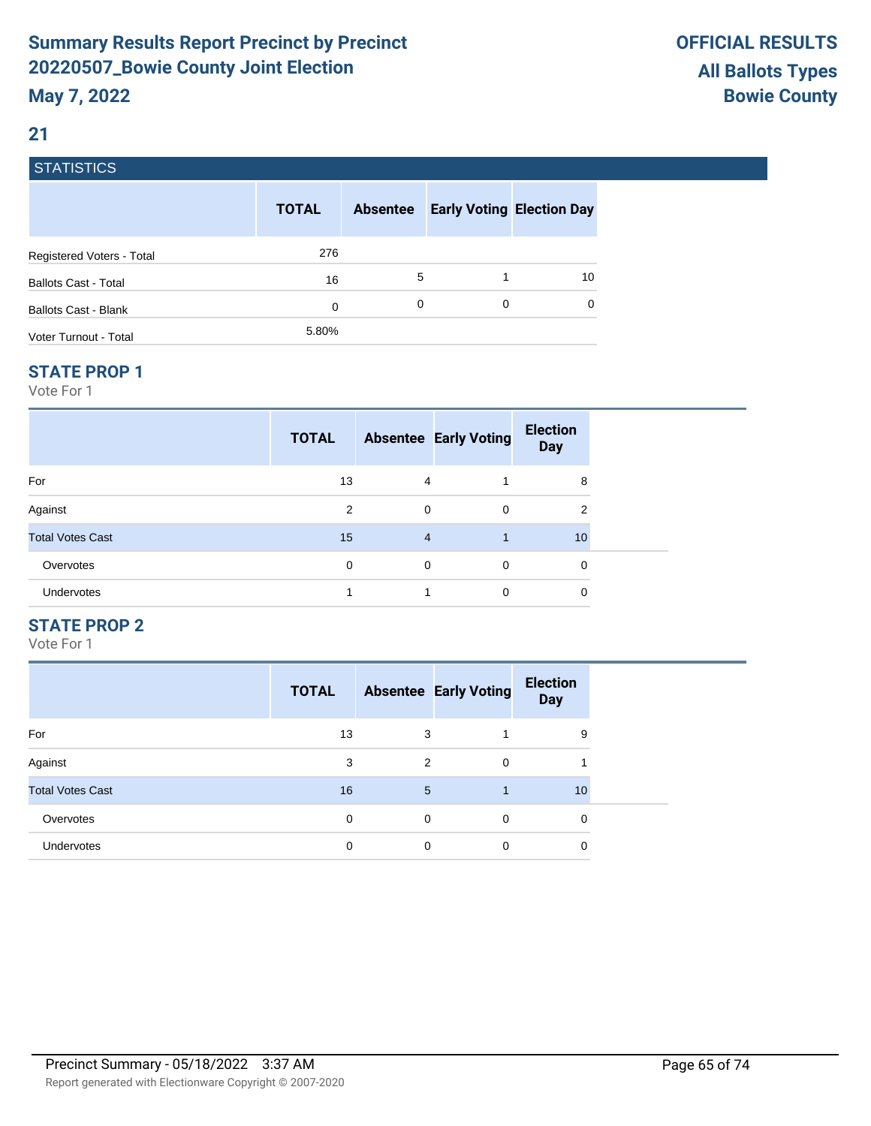### **21**

# **STATISTICS**

|                             | <b>TOTAL</b> | <b>Absentee</b> |   | <b>Early Voting Election Day</b> |
|-----------------------------|--------------|-----------------|---|----------------------------------|
| Registered Voters - Total   | 276          |                 |   |                                  |
| <b>Ballots Cast - Total</b> | 16           | 5               |   | 10                               |
| Ballots Cast - Blank        | 0            | 0               | 0 | $\Omega$                         |
| Voter Turnout - Total       | 5.80%        |                 |   |                                  |

#### **STATE PROP 1**

Vote For 1

|                         | <b>TOTAL</b> |                | <b>Absentee Early Voting</b> | <b>Election</b><br><b>Day</b> |  |
|-------------------------|--------------|----------------|------------------------------|-------------------------------|--|
| For                     | 13           | 4              |                              | 8                             |  |
| Against                 | 2            | $\mathbf 0$    | $\mathbf 0$                  | $\overline{2}$                |  |
| <b>Total Votes Cast</b> | 15           | $\overline{4}$ |                              | 10                            |  |
| Overvotes               | 0            | $\mathbf 0$    | 0                            | 0                             |  |
| Undervotes              |              |                | $\mathbf 0$                  | 0                             |  |

### **STATE PROP 2**

|                         | <b>TOTAL</b> |   | <b>Absentee Early Voting</b> | <b>Election</b><br><b>Day</b> |
|-------------------------|--------------|---|------------------------------|-------------------------------|
| For                     | 13           | 3 |                              | 9                             |
| Against                 | 3            | 2 | 0                            |                               |
| <b>Total Votes Cast</b> | 16           | 5 |                              | 10                            |
| Overvotes               | $\Omega$     | 0 | $\Omega$                     | 0                             |
| <b>Undervotes</b>       | 0            | 0 | 0                            | 0                             |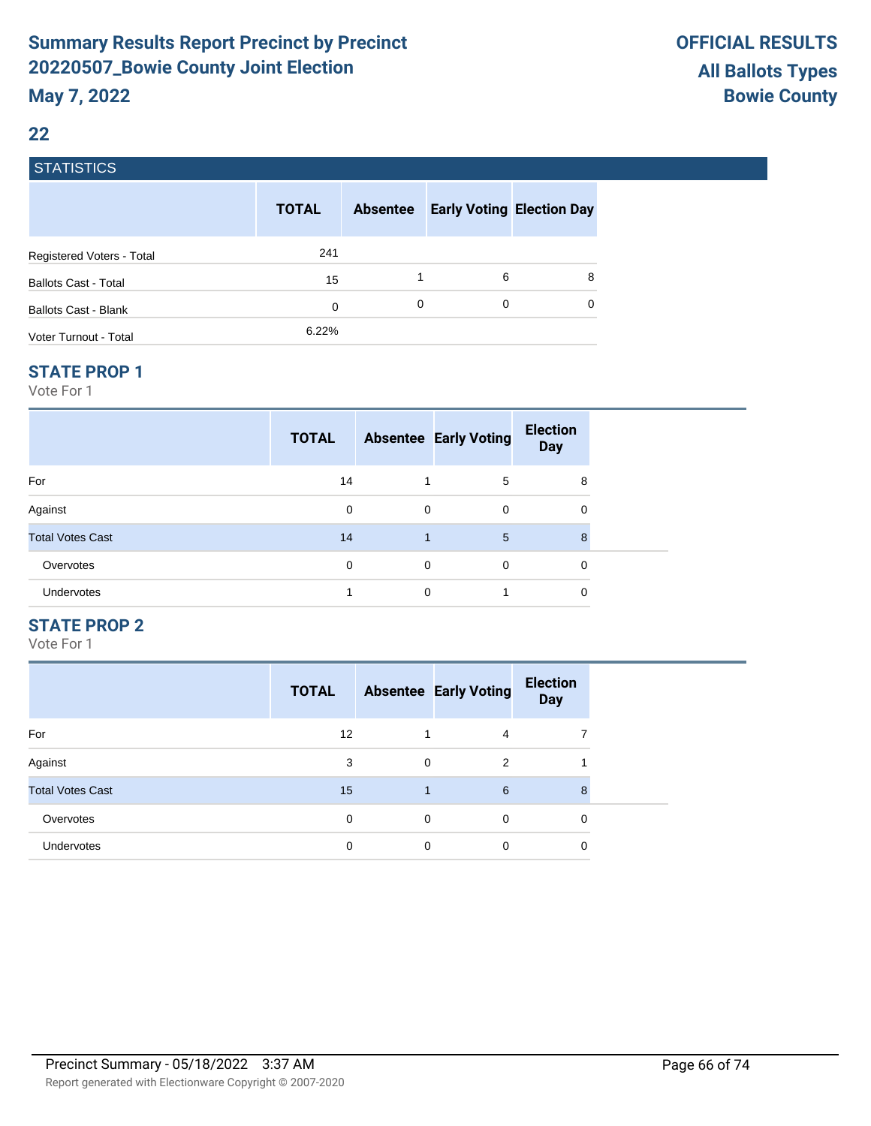#### **22**

### **STATISTICS**

|                             | <b>TOTAL</b> | <b>Absentee</b> |   | <b>Early Voting Election Day</b> |
|-----------------------------|--------------|-----------------|---|----------------------------------|
| Registered Voters - Total   | 241          |                 |   |                                  |
| <b>Ballots Cast - Total</b> | 15           |                 | 6 | 8                                |
| Ballots Cast - Blank        | 0            | 0               | 0 | $\Omega$                         |
| Voter Turnout - Total       | 6.22%        |                 |   |                                  |

#### **STATE PROP 1**

Vote For 1

| <b>TOTAL</b> |             | <b>Election</b><br><b>Day</b>                                   |  |
|--------------|-------------|-----------------------------------------------------------------|--|
| 14           | 5           | 8                                                               |  |
| 0            | $\mathbf 0$ | 0                                                               |  |
| 14           | 5           | 8                                                               |  |
| $\Omega$     | $\mathbf 0$ | 0                                                               |  |
|              |             | 0                                                               |  |
|              |             | <b>Absentee Early Voting</b><br>$\mathbf 0$<br>$\mathbf 0$<br>0 |  |

### **STATE PROP 2**

|                         | <b>TOTAL</b> |   | <b>Absentee Early Voting</b> | <b>Election</b><br><b>Day</b> |
|-------------------------|--------------|---|------------------------------|-------------------------------|
| For                     | 12           |   | 4                            |                               |
| Against                 | 3            | 0 | 2                            |                               |
| <b>Total Votes Cast</b> | 15           | 1 | 6                            | 8                             |
| Overvotes               | 0            | 0 | $\Omega$                     | 0                             |
| Undervotes              | 0            | 0 | 0                            | 0                             |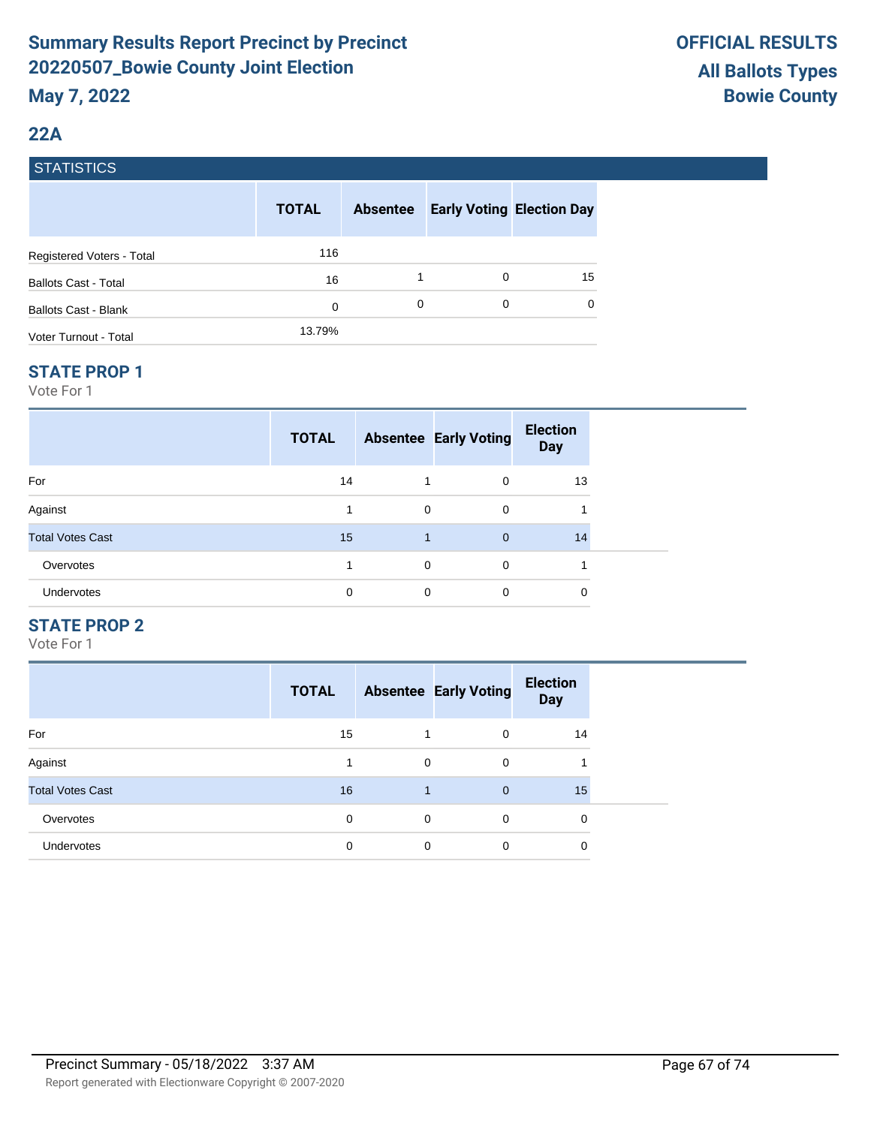### **22A**

### **STATISTICS**

|                             | <b>TOTAL</b> | <b>Absentee</b> | <b>Early Voting Election Day</b> |          |
|-----------------------------|--------------|-----------------|----------------------------------|----------|
| Registered Voters - Total   | 116          |                 |                                  |          |
| <b>Ballots Cast - Total</b> | 16           |                 | 0                                | 15       |
| <b>Ballots Cast - Blank</b> | 0            | 0               | 0                                | $\Omega$ |
| Voter Turnout - Total       | 13.79%       |                 |                                  |          |

#### **STATE PROP 1**

Vote For 1

|                         | <b>TOTAL</b> |              | <b>Absentee Early Voting</b> | <b>Election</b><br><b>Day</b> |  |
|-------------------------|--------------|--------------|------------------------------|-------------------------------|--|
| For                     | 14           |              | $\Omega$                     | 13                            |  |
| Against                 |              | $\mathbf 0$  | $\mathbf 0$                  |                               |  |
| <b>Total Votes Cast</b> | 15           | $\mathbf{1}$ | $\overline{0}$               | 14                            |  |
| Overvotes               |              | $\Omega$     | $\Omega$                     |                               |  |
| Undervotes              | 0            | 0            | $\Omega$                     | 0                             |  |

### **STATE PROP 2**

|                         | <b>TOTAL</b> |   | <b>Absentee Early Voting</b> | <b>Election</b><br><b>Day</b> |
|-------------------------|--------------|---|------------------------------|-------------------------------|
| For                     | 15           |   | $\Omega$                     | 14                            |
| Against                 |              | 0 | 0                            | л                             |
| <b>Total Votes Cast</b> | 16           | 1 | $\overline{0}$               | 15                            |
| Overvotes               | 0            | 0 | $\Omega$                     | 0                             |
| <b>Undervotes</b>       | 0            | 0 | 0                            | 0                             |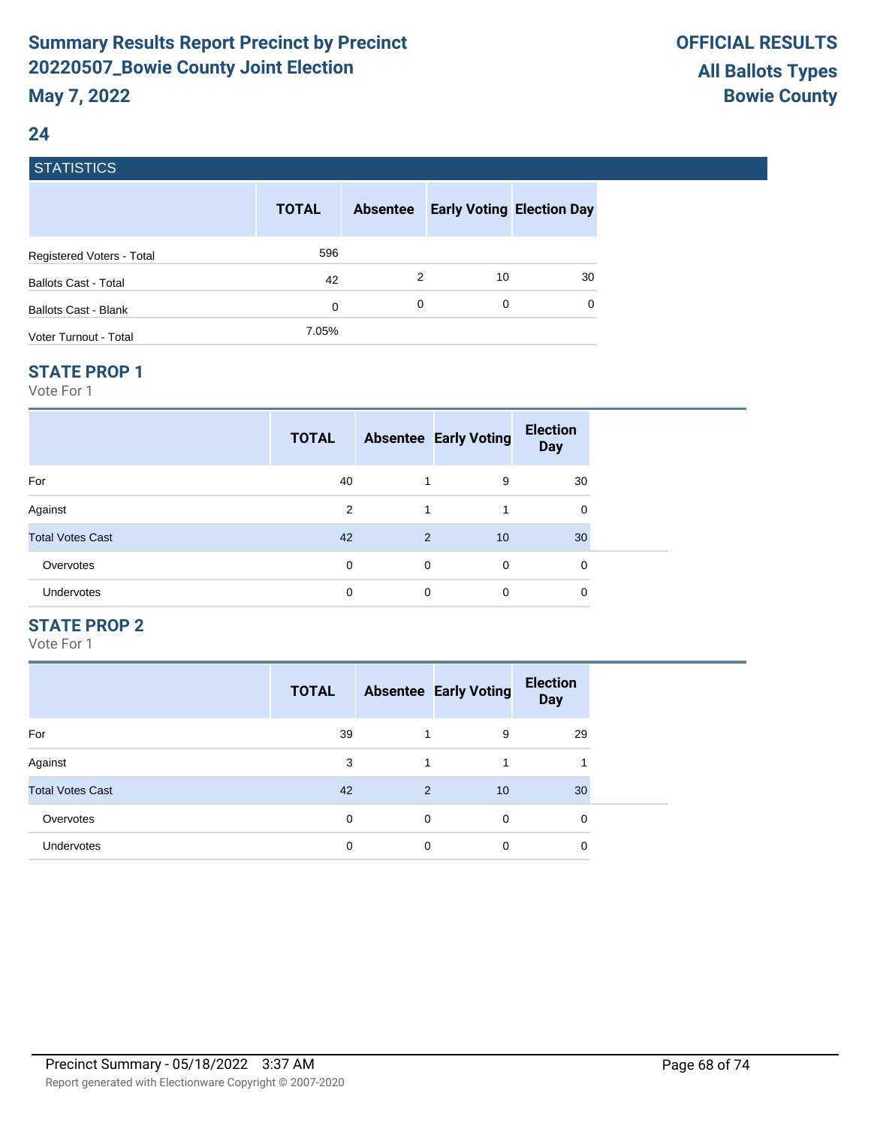### **24**

### **STATISTICS**

|                             | <b>TOTAL</b> | <b>Absentee</b> |    | <b>Early Voting Election Day</b> |
|-----------------------------|--------------|-----------------|----|----------------------------------|
| Registered Voters - Total   | 596          |                 |    |                                  |
| <b>Ballots Cast - Total</b> | 42           | 2               | 10 | 30                               |
| Ballots Cast - Blank        | 0            | 0               | 0  | $\Omega$                         |
| Voter Turnout - Total       | 7.05%        |                 |    |                                  |

#### **STATE PROP 1**

Vote For 1

|                         | <b>TOTAL</b> |   | <b>Absentee Early Voting</b> | <b>Election</b><br><b>Day</b> |  |
|-------------------------|--------------|---|------------------------------|-------------------------------|--|
| For                     | 40           |   | 9                            | 30                            |  |
| Against                 | 2            | 1 |                              | 0                             |  |
| <b>Total Votes Cast</b> | 42           | 2 | 10                           | 30                            |  |
| Overvotes               | 0            | 0 | 0                            | 0                             |  |
| <b>Undervotes</b>       | 0            | 0 | 0                            | 0                             |  |

### **STATE PROP 2**

|                         | <b>TOTAL</b> |   | <b>Absentee Early Voting</b> | <b>Election</b><br><b>Day</b> |
|-------------------------|--------------|---|------------------------------|-------------------------------|
| For                     | 39           |   | 9                            | 29                            |
| Against                 | 3            |   |                              |                               |
| <b>Total Votes Cast</b> | 42           | 2 | 10                           | 30                            |
| Overvotes               | $\Omega$     | 0 | $\Omega$                     | 0                             |
| <b>Undervotes</b>       | 0            | 0 | 0                            | 0                             |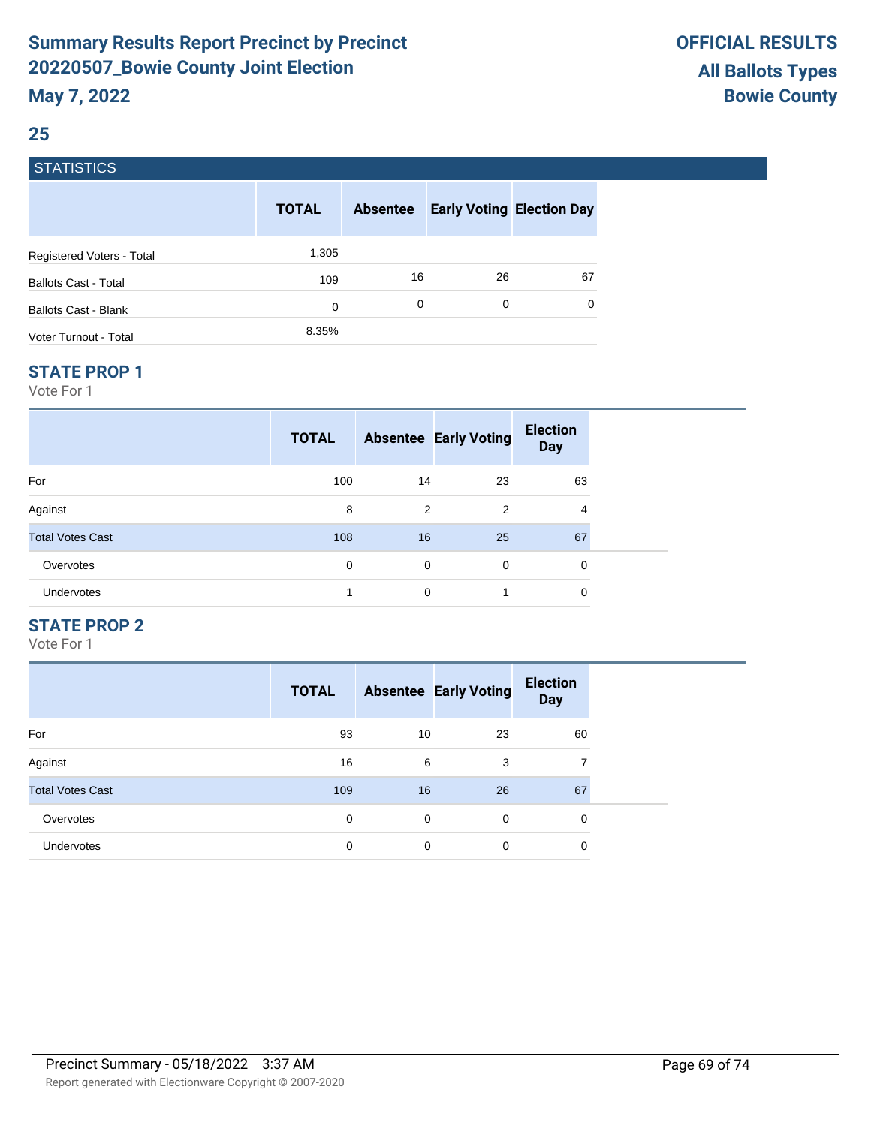### **25**

### **STATISTICS**

|                             | <b>TOTAL</b> | <b>Absentee</b> |    | <b>Early Voting Election Day</b> |
|-----------------------------|--------------|-----------------|----|----------------------------------|
| Registered Voters - Total   | 1,305        |                 |    |                                  |
| <b>Ballots Cast - Total</b> | 109          | 16              | 26 | 67                               |
| Ballots Cast - Blank        | 0            | 0               | 0  | $\Omega$                         |
| Voter Turnout - Total       | 8.35%        |                 |    |                                  |

#### **STATE PROP 1**

Vote For 1

|                         | <b>TOTAL</b> |             | <b>Absentee Early Voting</b> | <b>Election</b><br><b>Day</b> |  |
|-------------------------|--------------|-------------|------------------------------|-------------------------------|--|
| For                     | 100          | 14          | 23                           | 63                            |  |
| Against                 | 8            | 2           | 2                            | 4                             |  |
| <b>Total Votes Cast</b> | 108          | 16          | 25                           | 67                            |  |
| Overvotes               | 0            | $\mathbf 0$ | $\mathbf 0$                  | 0                             |  |
| <b>Undervotes</b>       | 4            | $\mathbf 0$ | 1                            | 0                             |  |

### **STATE PROP 2**

|                         | <b>TOTAL</b> |    | <b>Absentee Early Voting</b> | <b>Election</b><br><b>Day</b> |
|-------------------------|--------------|----|------------------------------|-------------------------------|
| For                     | 93           | 10 | 23                           | 60                            |
| Against                 | 16           | 6  | 3                            | 7                             |
| <b>Total Votes Cast</b> | 109          | 16 | 26                           | 67                            |
| Overvotes               | 0            | 0  | $\Omega$                     | 0                             |
| <b>Undervotes</b>       | 0            | 0  | 0                            | 0                             |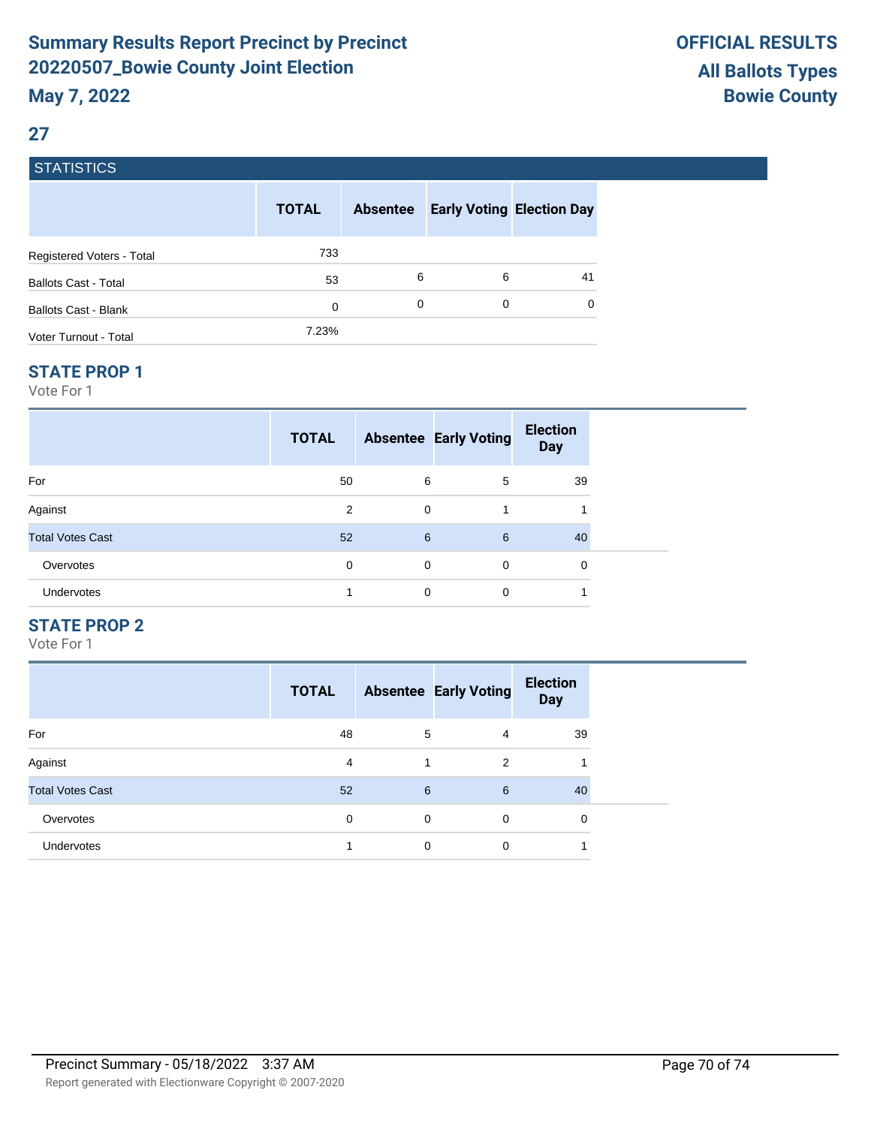### **27**

### **STATISTICS**

|                             | <b>TOTAL</b> | <b>Absentee</b> |   | <b>Early Voting Election Day</b> |
|-----------------------------|--------------|-----------------|---|----------------------------------|
| Registered Voters - Total   | 733          |                 |   |                                  |
| <b>Ballots Cast - Total</b> | 53           | 6               | 6 | 41                               |
| Ballots Cast - Blank        | 0            | 0               | 0 | $\Omega$                         |
| Voter Turnout - Total       | 7.23%        |                 |   |                                  |

#### **STATE PROP 1**

Vote For 1

|                         | <b>TOTAL</b> |             | <b>Absentee Early Voting</b> | <b>Election</b><br>Day |  |
|-------------------------|--------------|-------------|------------------------------|------------------------|--|
| For                     | 50           | 6           | 5                            | 39                     |  |
| Against                 | 2            | $\mathbf 0$ | 1                            |                        |  |
| <b>Total Votes Cast</b> | 52           | 6           | 6                            | 40                     |  |
| Overvotes               | 0            | 0           | $\mathbf 0$                  | 0                      |  |
| Undervotes              |              | 0           | 0                            |                        |  |

### **STATE PROP 2**

|                         | <b>TOTAL</b> |   | <b>Absentee Early Voting</b> | <b>Election</b><br><b>Day</b> |
|-------------------------|--------------|---|------------------------------|-------------------------------|
| For                     | 48           | 5 | 4                            | 39                            |
| Against                 | 4            | 1 | 2                            |                               |
| <b>Total Votes Cast</b> | 52           | 6 | 6                            | 40                            |
| Overvotes               | 0            | 0 | $\Omega$                     | 0                             |
| <b>Undervotes</b>       |              | 0 | 0                            |                               |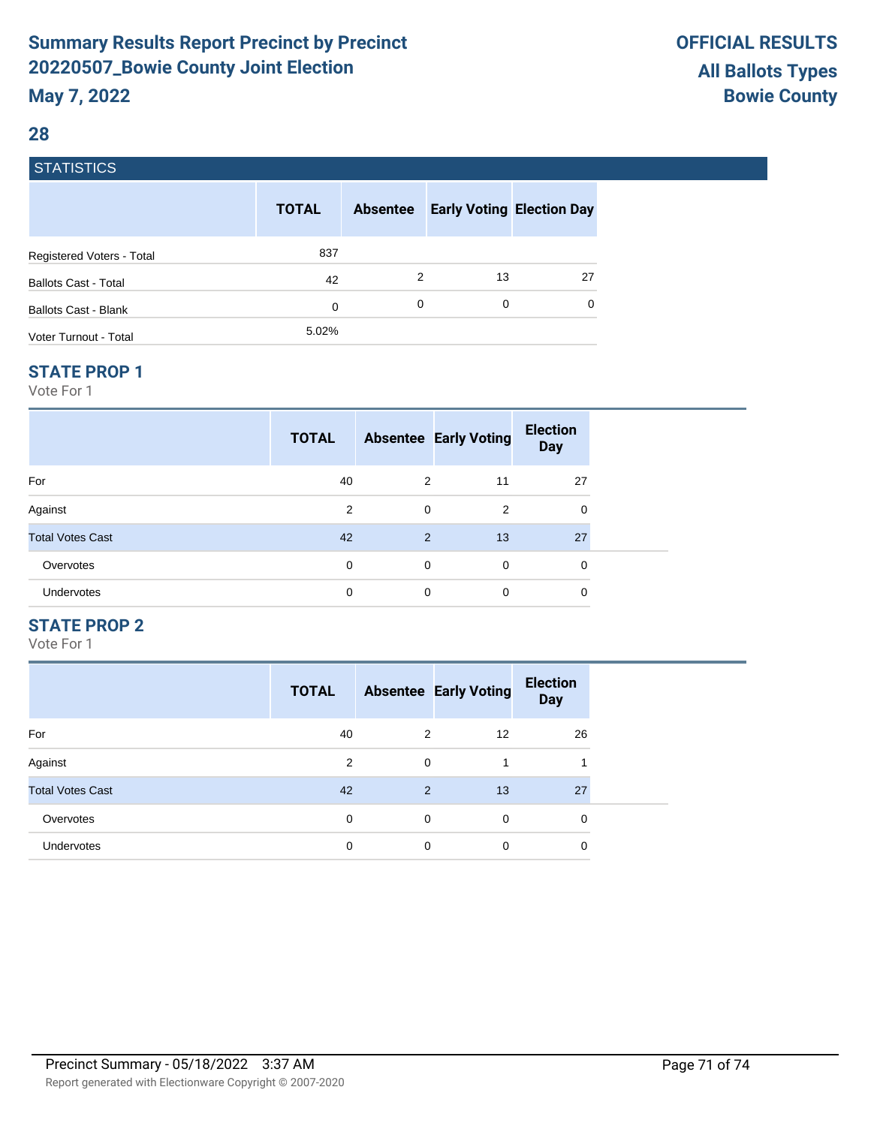### **28**

### **STATISTICS**

|                             | <b>TOTAL</b> | <b>Absentee</b> | <b>Early Voting Election Day</b> |          |
|-----------------------------|--------------|-----------------|----------------------------------|----------|
| Registered Voters - Total   | 837          |                 |                                  |          |
| <b>Ballots Cast - Total</b> | 42           | 2               | 13                               | 27       |
| Ballots Cast - Blank        | 0            | 0               | 0                                | $\Omega$ |
| Voter Turnout - Total       | 5.02%        |                 |                                  |          |

#### **STATE PROP 1**

Vote For 1

|                         | <b>TOTAL</b> |             | <b>Absentee Early Voting</b> | <b>Election</b><br><b>Day</b> |  |
|-------------------------|--------------|-------------|------------------------------|-------------------------------|--|
| For                     | 40           | 2           | 11                           | 27                            |  |
| Against                 | 2            | $\mathbf 0$ | 2                            | 0                             |  |
| <b>Total Votes Cast</b> | 42           | 2           | 13                           | 27                            |  |
| Overvotes               | 0            | $\mathbf 0$ | $\Omega$                     | 0                             |  |
| Undervotes              | 0            | 0           | $\mathbf 0$                  | 0                             |  |

### **STATE PROP 2**

|                         | <b>TOTAL</b> |   | <b>Absentee Early Voting</b> | <b>Election</b><br><b>Day</b> |
|-------------------------|--------------|---|------------------------------|-------------------------------|
| For                     | 40           | 2 | $12 \overline{ }$            | 26                            |
| Against                 | 2            | 0 |                              | 4                             |
| <b>Total Votes Cast</b> | 42           | 2 | 13                           | 27                            |
| Overvotes               | 0            | 0 | $\Omega$                     | 0                             |
| <b>Undervotes</b>       | 0            | 0 | 0                            | 0                             |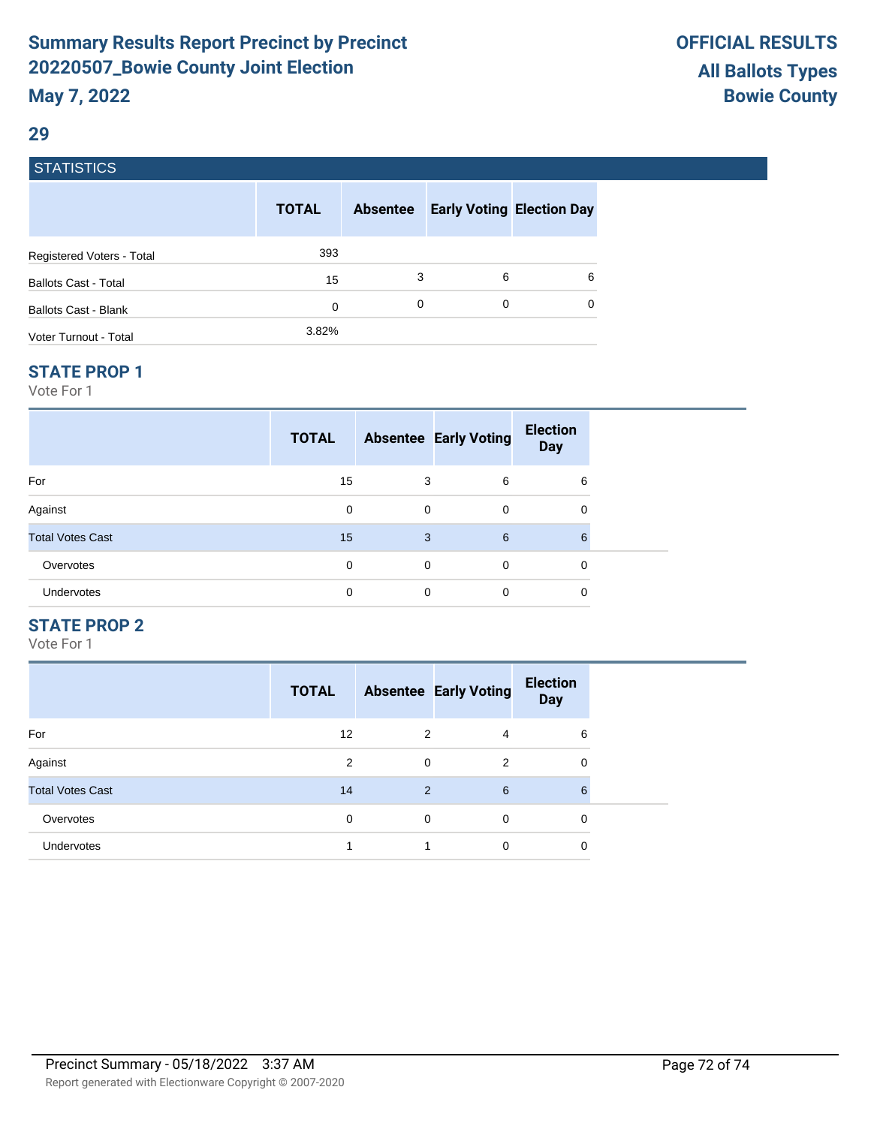### **29**

### **STATISTICS**

|                             | <b>TOTAL</b> | <b>Absentee</b> |   | <b>Early Voting Election Day</b> |
|-----------------------------|--------------|-----------------|---|----------------------------------|
| Registered Voters - Total   | 393          |                 |   |                                  |
| <b>Ballots Cast - Total</b> | 15           | 3               | 6 | 6                                |
| Ballots Cast - Blank        | 0            | 0               | 0 | 0                                |
| Voter Turnout - Total       | 3.82%        |                 |   |                                  |

#### **STATE PROP 1**

Vote For 1

| <b>TOTAL</b> |          | <b>Election</b><br><b>Day</b>   |                              |
|--------------|----------|---------------------------------|------------------------------|
| 15           | 6        | 6                               |                              |
| 0            | 0        | 0                               |                              |
| 15           | 6        | 6                               |                              |
| 0            | $\Omega$ | 0                               |                              |
| 0            | $\Omega$ | 0                               |                              |
|              |          | 3<br>$\mathbf 0$<br>3<br>0<br>0 | <b>Absentee Early Voting</b> |

#### **STATE PROP 2**

|                         | <b>TOTAL</b> |   | <b>Absentee Early Voting</b> | <b>Election</b><br><b>Day</b> |
|-------------------------|--------------|---|------------------------------|-------------------------------|
| For                     | 12           | 2 | 4                            | 6                             |
| Against                 | 2            | 0 | 2                            | 0                             |
| <b>Total Votes Cast</b> | 14           | 2 | 6                            | 6                             |
| Overvotes               | $\Omega$     | 0 | $\Omega$                     | 0                             |
| <b>Undervotes</b>       |              |   | 0                            | 0                             |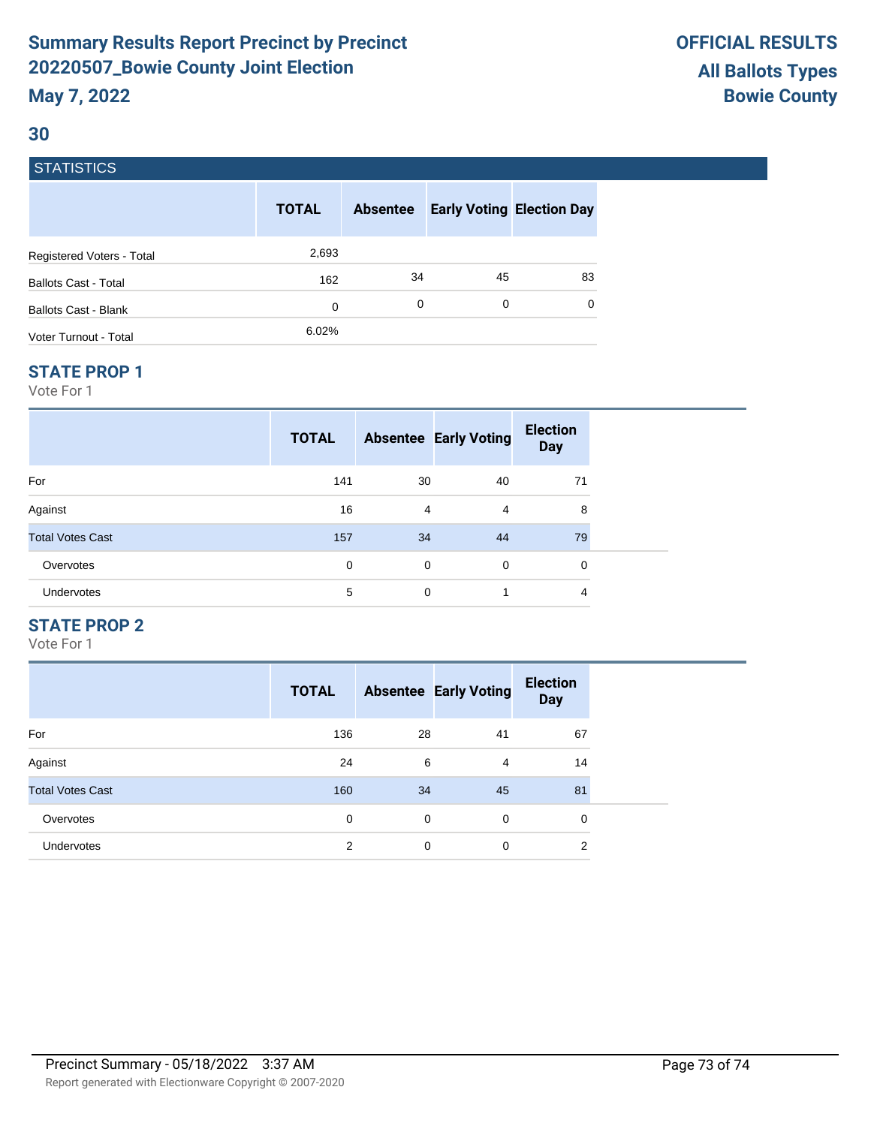# **Summary Results Report Precinct by Precinct 20220507\_Bowie County Joint Election May 7, 2022**

### **30**

## **STATISTICS**

|                             | <b>TOTAL</b> | <b>Absentee</b> | <b>Early Voting Election Day</b> |          |
|-----------------------------|--------------|-----------------|----------------------------------|----------|
| Registered Voters - Total   | 2,693        |                 |                                  |          |
| <b>Ballots Cast - Total</b> | 162          | 34              | 45                               | 83       |
| <b>Ballots Cast - Blank</b> | 0            | 0               | 0                                | $\Omega$ |
| Voter Turnout - Total       | 6.02%        |                 |                                  |          |

#### **STATE PROP 1**

Vote For 1

| <b>TOTAL</b> |   |          | <b>Election</b><br><b>Day</b>                 |  |
|--------------|---|----------|-----------------------------------------------|--|
| 141          |   | 40       | 71                                            |  |
| 16           |   | 4        | 8                                             |  |
| 157          |   | 44       | 79                                            |  |
| 0            | 0 | $\Omega$ | $\mathbf 0$                                   |  |
| 5            | 0 | 1        | 4                                             |  |
|              |   |          | <b>Absentee Early Voting</b><br>30<br>4<br>34 |  |

### **STATE PROP 2**

Vote For 1

|                         | <b>TOTAL</b> |    | <b>Absentee Early Voting</b> | <b>Election</b><br><b>Day</b> |
|-------------------------|--------------|----|------------------------------|-------------------------------|
| For                     | 136          | 28 | 41                           | 67                            |
| Against                 | 24           | 6  | 4                            | 14                            |
| <b>Total Votes Cast</b> | 160          | 34 | 45                           | 81                            |
| Overvotes               | 0            | 0  | $\mathbf 0$                  | 0                             |
| <b>Undervotes</b>       | 2            | 0  | 0                            | 2                             |